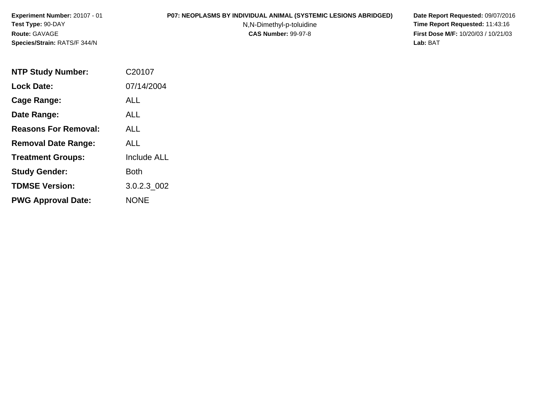#### **P07: NEOPLASMS BY INDIVIDUAL ANIMAL (SYSTEMIC LESIONS ABRIDGED) Date Report Requested:** 09/07/2016

N,N-Dimethyl-p-toluidine

| <b>NTP Study Number:</b>    | C20107             |
|-----------------------------|--------------------|
| <b>Lock Date:</b>           | 07/14/2004         |
| Cage Range:                 | ALL                |
| Date Range:                 | AI I               |
| <b>Reasons For Removal:</b> | ALL                |
| <b>Removal Date Range:</b>  | ALL                |
| <b>Treatment Groups:</b>    | <b>Include ALL</b> |
| <b>Study Gender:</b>        | Both               |
| <b>TDMSE Version:</b>       | 3.0.2.3 002        |
| <b>PWG Approval Date:</b>   | <b>NONE</b>        |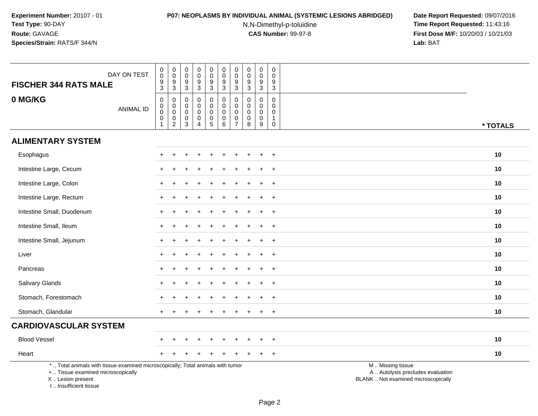### **P07: NEOPLASMS BY INDIVIDUAL ANIMAL (SYSTEMIC LESIONS ABRIDGED) Date Report Requested:** 09/07/2016

N,N-Dimethyl-p-toluidine

| DAY ON TEST<br><b>FISCHER 344 RATS MALE</b>                                                                                                                           | 0<br>$\mathbf 0$<br>$\frac{9}{3}$                                             | $\pmb{0}$<br>$\mathbf 0$<br>$\frac{9}{3}$                                | $\pmb{0}$<br>$\mathbf 0$<br>$^9_3$                             | $\pmb{0}$<br>$\mathsf{O}\xspace$<br>$\frac{9}{3}$                                        | $\boldsymbol{0}$<br>$\mathbf 0$<br>$\frac{9}{3}$                          | $\pmb{0}$<br>$\mathbf 0$<br>$\frac{9}{3}$                     | $\pmb{0}$<br>$\mathbf 0$<br>9<br>$\mathbf{3}$                              | $\pmb{0}$<br>$\mathbf 0$<br>$\frac{9}{3}$         | $\pmb{0}$<br>$\pmb{0}$<br>$\frac{9}{3}$         | $\pmb{0}$<br>$\mathbf 0$<br>9<br>$\mathbf{3}$                            |                                                                                               |
|-----------------------------------------------------------------------------------------------------------------------------------------------------------------------|-------------------------------------------------------------------------------|--------------------------------------------------------------------------|----------------------------------------------------------------|------------------------------------------------------------------------------------------|---------------------------------------------------------------------------|---------------------------------------------------------------|----------------------------------------------------------------------------|---------------------------------------------------|-------------------------------------------------|--------------------------------------------------------------------------|-----------------------------------------------------------------------------------------------|
| 0 MG/KG<br><b>ANIMAL ID</b>                                                                                                                                           | $\mathbf 0$<br>$\mathbf 0$<br>$\mathbf 0$<br>$\boldsymbol{0}$<br>$\mathbf{1}$ | 0<br>$\mathbf 0$<br>$\ddot{\mathbf{0}}$<br>$\mathbf 0$<br>$\overline{2}$ | $\mathbf 0$<br>0<br>$\pmb{0}$<br>$\mathbf 0$<br>$\mathfrak{S}$ | $\mathbf 0$<br>$\mathsf{O}\xspace$<br>$\pmb{0}$<br>$\mathsf{O}\xspace$<br>$\overline{4}$ | $\pmb{0}$<br>$\overline{0}$<br>$\mathbf 0$<br>$\pmb{0}$<br>$\overline{5}$ | $\mathbf 0$<br>$\mathbf 0$<br>$\mathbf 0$<br>$\mathbf 0$<br>6 | $\mathbf 0$<br>$\mathbf 0$<br>$\mathbf 0$<br>$\mathbf 0$<br>$\overline{7}$ | $\mathbf 0$<br>0<br>$\mathbf 0$<br>$\pmb{0}$<br>8 | $\mathbf 0$<br>0<br>$\pmb{0}$<br>$\pmb{0}$<br>9 | $\mathbf 0$<br>$\mathbf 0$<br>$\mathbf 0$<br>$\mathbf{1}$<br>$\mathbf 0$ | * TOTALS                                                                                      |
| <b>ALIMENTARY SYSTEM</b>                                                                                                                                              |                                                                               |                                                                          |                                                                |                                                                                          |                                                                           |                                                               |                                                                            |                                                   |                                                 |                                                                          |                                                                                               |
| Esophagus                                                                                                                                                             |                                                                               | $\ddot{}$                                                                |                                                                |                                                                                          | $\ddot{}$                                                                 |                                                               |                                                                            |                                                   | $\ddot{}$                                       | $+$                                                                      | 10                                                                                            |
| Intestine Large, Cecum                                                                                                                                                |                                                                               |                                                                          |                                                                |                                                                                          |                                                                           |                                                               |                                                                            |                                                   |                                                 | $\ddot{}$                                                                | 10                                                                                            |
| Intestine Large, Colon                                                                                                                                                |                                                                               |                                                                          |                                                                |                                                                                          |                                                                           |                                                               |                                                                            |                                                   |                                                 | $\div$                                                                   | 10                                                                                            |
| Intestine Large, Rectum                                                                                                                                               |                                                                               |                                                                          |                                                                |                                                                                          |                                                                           |                                                               |                                                                            |                                                   | $\div$                                          | $+$                                                                      | 10                                                                                            |
| Intestine Small, Duodenum                                                                                                                                             |                                                                               |                                                                          |                                                                |                                                                                          |                                                                           |                                                               |                                                                            |                                                   |                                                 | $\overline{+}$                                                           | 10                                                                                            |
| Intestine Small, Ileum                                                                                                                                                |                                                                               |                                                                          |                                                                |                                                                                          |                                                                           |                                                               |                                                                            |                                                   |                                                 | $\overline{1}$                                                           | 10                                                                                            |
| Intestine Small, Jejunum                                                                                                                                              |                                                                               |                                                                          |                                                                |                                                                                          |                                                                           |                                                               |                                                                            |                                                   | $\ddot{}$                                       | $^{+}$                                                                   | 10                                                                                            |
| Liver                                                                                                                                                                 |                                                                               |                                                                          |                                                                |                                                                                          |                                                                           |                                                               |                                                                            |                                                   | $\ddot{}$                                       | $+$                                                                      | 10                                                                                            |
| Pancreas                                                                                                                                                              |                                                                               |                                                                          |                                                                |                                                                                          |                                                                           |                                                               |                                                                            |                                                   |                                                 | $\ddot{}$                                                                | 10                                                                                            |
| <b>Salivary Glands</b>                                                                                                                                                |                                                                               |                                                                          |                                                                |                                                                                          |                                                                           |                                                               |                                                                            |                                                   |                                                 | $\div$                                                                   | 10                                                                                            |
| Stomach, Forestomach                                                                                                                                                  |                                                                               |                                                                          |                                                                |                                                                                          |                                                                           |                                                               |                                                                            |                                                   |                                                 | $\overline{ }$                                                           | 10                                                                                            |
| Stomach, Glandular                                                                                                                                                    |                                                                               |                                                                          |                                                                |                                                                                          |                                                                           |                                                               |                                                                            |                                                   | $\ddot{}$                                       | $+$                                                                      | 10                                                                                            |
| <b>CARDIOVASCULAR SYSTEM</b>                                                                                                                                          |                                                                               |                                                                          |                                                                |                                                                                          |                                                                           |                                                               |                                                                            |                                                   |                                                 |                                                                          |                                                                                               |
| <b>Blood Vessel</b>                                                                                                                                                   |                                                                               |                                                                          |                                                                |                                                                                          |                                                                           |                                                               |                                                                            |                                                   |                                                 | $\overline{1}$                                                           | 10                                                                                            |
| Heart                                                                                                                                                                 |                                                                               |                                                                          |                                                                |                                                                                          |                                                                           |                                                               |                                                                            |                                                   | $\pm$                                           | $+$                                                                      | 10                                                                                            |
| *  Total animals with tissue examined microscopically; Total animals with tumor<br>+  Tissue examined microscopically<br>X  Lesion present<br>L., Insufficient tissue |                                                                               |                                                                          |                                                                |                                                                                          |                                                                           |                                                               |                                                                            |                                                   |                                                 |                                                                          | M  Missing tissue<br>A  Autolysis precludes evaluation<br>BLANK  Not examined microscopically |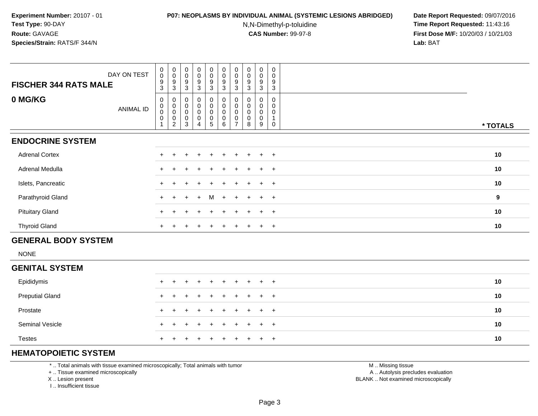### **P07: NEOPLASMS BY INDIVIDUAL ANIMAL (SYSTEMIC LESIONS ABRIDGED) Date Report Requested:** 09/07/2016

N,N-Dimethyl-p-toluidine

 **Time Report Requested:** 11:43:16 **First Dose M/F:** 10/20/03 / 10/21/03<br>**Lab:** BAT **Lab:** BAT

| DAY ON TEST<br><b>FISCHER 344 RATS MALE</b> | $_{\rm 0}^{\rm 0}$<br>$\boldsymbol{9}$<br>3 | $_{\rm 0}^{\rm 0}$<br>$\boldsymbol{9}$<br>3                          | $_{\rm 0}^{\rm 0}$<br>$\boldsymbol{9}$<br>$\mathbf{3}$       | $\begin{smallmatrix} 0\\0 \end{smallmatrix}$<br>9<br>3 | $\begin{smallmatrix}0\0\0\end{smallmatrix}$<br>$\boldsymbol{9}$<br>3 | $\begin{smallmatrix} 0\\0 \end{smallmatrix}$<br>$\boldsymbol{9}$<br>3 | $\begin{smallmatrix} 0\\0 \end{smallmatrix}$<br>$\boldsymbol{9}$<br>3 | $\pmb{0}$<br>$\pmb{0}$<br>9<br>3 | $\pmb{0}$<br>$\pmb{0}$<br>9<br>3 | $\pmb{0}$<br>0<br>9<br>$\mathbf{3}$ |                  |
|---------------------------------------------|---------------------------------------------|----------------------------------------------------------------------|--------------------------------------------------------------|--------------------------------------------------------|----------------------------------------------------------------------|-----------------------------------------------------------------------|-----------------------------------------------------------------------|----------------------------------|----------------------------------|-------------------------------------|------------------|
| 0 MG/KG<br>ANIMAL ID                        | 0<br>$\pmb{0}$<br>0<br>$\,0\,$              | 0<br>$\pmb{0}$<br>$\mathsf{O}\xspace$<br>$\pmb{0}$<br>$\overline{2}$ | $\boldsymbol{0}$<br>$\pmb{0}$<br>$\pmb{0}$<br>$_{3}^{\rm 0}$ | $\pmb{0}$<br>0<br>0<br>0<br>4                          | 0<br>$\pmb{0}$<br>$\pmb{0}$<br>$\pmb{0}$<br>5                        | 0<br>$\pmb{0}$<br>$\mathbf 0$<br>0<br>6                               | $\boldsymbol{0}$<br>$\pmb{0}$<br>$\pmb{0}$<br>$\mathbf 0$<br>⇁        | 0<br>0<br>0<br>8                 | 0<br>0<br>0<br>0<br>9            | 0<br>0<br>0<br>0                    | * TOTALS         |
| <b>ENDOCRINE SYSTEM</b>                     |                                             |                                                                      |                                                              |                                                        |                                                                      |                                                                       |                                                                       |                                  |                                  |                                     |                  |
| <b>Adrenal Cortex</b>                       |                                             |                                                                      |                                                              | $\div$                                                 | $\ddot{}$                                                            | $+$                                                                   | $+$                                                                   | $+$                              | $+$ $+$                          |                                     | 10               |
| Adrenal Medulla                             |                                             |                                                                      |                                                              |                                                        | $\div$                                                               | $+$                                                                   | $+$                                                                   | $+$                              | $+$                              | $+$                                 | 10               |
| Islets, Pancreatic                          | $\pm$                                       |                                                                      |                                                              |                                                        |                                                                      |                                                                       |                                                                       | $+$                              | $+$                              | $+$                                 | 10               |
| Parathyroid Gland                           | $+$                                         |                                                                      | $+$                                                          | $+$                                                    | M                                                                    | $+$                                                                   | $+$                                                                   | $+$                              | $+$                              | $+$                                 | $\boldsymbol{9}$ |
| <b>Pituitary Gland</b>                      | $+$                                         |                                                                      |                                                              |                                                        | $\pm$                                                                | $+$                                                                   | $\pm$                                                                 | ÷.                               | $+$                              | $+$                                 | 10               |
| <b>Thyroid Gland</b>                        | $\pm$                                       |                                                                      |                                                              |                                                        |                                                                      |                                                                       |                                                                       |                                  | $\pm$                            | $+$                                 | 10               |
| <b>GENERAL BODY SYSTEM</b>                  |                                             |                                                                      |                                                              |                                                        |                                                                      |                                                                       |                                                                       |                                  |                                  |                                     |                  |

NONE

| <b>GENITAL SYSTEM</b>  |                     |    |
|------------------------|---------------------|----|
| Epididymis             | + + + + + + + + + + | 10 |
| <b>Preputial Gland</b> | + + + + + + + + + + | 10 |
| Prostate               | + + + + + + + + + + | 10 |
| <b>Seminal Vesicle</b> | + + + + + + + + + + | 10 |
| <b>Testes</b>          | + + + + + + + + + + | 10 |

# **HEMATOPOIETIC SYSTEM**

\* .. Total animals with tissue examined microscopically; Total animals with tumor

+ .. Tissue examined microscopically

X .. Lesion present

I .. Insufficient tissue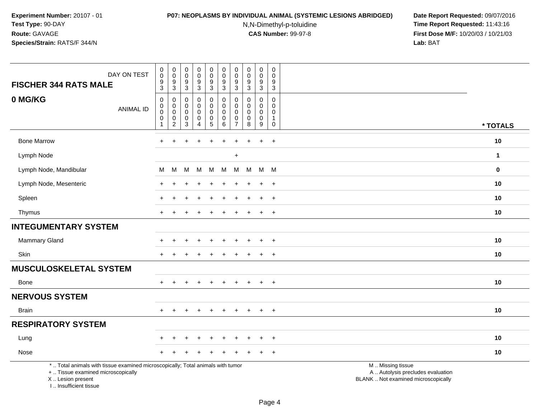# **P07: NEOPLASMS BY INDIVIDUAL ANIMAL (SYSTEMIC LESIONS ABRIDGED) Date Report Requested:** 09/07/2016

N,N-Dimethyl-p-toluidine

 **Time Report Requested:** 11:43:16 **First Dose M/F:** 10/20/03 / 10/21/03<br>**Lab:** BAT **Lab:** BAT

| DAY ON TEST<br><b>FISCHER 344 RATS MALE</b>                                                                                                | $\begin{smallmatrix}0\0\0\end{smallmatrix}$<br>9<br>$\mathbf{3}$       | $\pmb{0}$<br>$\mathbf 0$<br>9<br>$\sqrt{3}$             | $\pmb{0}$<br>$\boldsymbol{0}$<br>$9\,$<br>$\mathbf{3}$         | $\pmb{0}$<br>$\mathsf{O}\xspace$<br>$\boldsymbol{9}$<br>$\mathbf{3}$      | $\mathbf 0$<br>$\mathbf 0$<br>$\boldsymbol{9}$<br>$\mathbf{3}$ | $\pmb{0}$<br>$\pmb{0}$<br>$\boldsymbol{9}$<br>$\sqrt{3}$      | $\mathbf 0$<br>$\mathbf 0$<br>$9\,$<br>$\mathbf{3}$             | $\pmb{0}$<br>$\mathbf 0$<br>9<br>$\mathbf{3}$ | $\pmb{0}$<br>$\mathsf{O}\xspace$<br>$\boldsymbol{9}$<br>3        | 0<br>$\mathbf 0$<br>9<br>$\sqrt{3}$                                      |                                                                                               |             |
|--------------------------------------------------------------------------------------------------------------------------------------------|------------------------------------------------------------------------|---------------------------------------------------------|----------------------------------------------------------------|---------------------------------------------------------------------------|----------------------------------------------------------------|---------------------------------------------------------------|-----------------------------------------------------------------|-----------------------------------------------|------------------------------------------------------------------|--------------------------------------------------------------------------|-----------------------------------------------------------------------------------------------|-------------|
| 0 MG/KG<br><b>ANIMAL ID</b>                                                                                                                | $\mathbf 0$<br>$\mathbf 0$<br>$\mathbf 0$<br>$\pmb{0}$<br>$\mathbf{1}$ | 0<br>$\mathsf{O}$<br>$\mathbf 0$<br>0<br>$\overline{2}$ | 0<br>$\mathbf 0$<br>$\mathbf 0$<br>$\mathbf 0$<br>$\mathbf{3}$ | $\mathbf 0$<br>$\mathsf{O}$<br>$\mathbf 0$<br>$\pmb{0}$<br>$\overline{4}$ | 0<br>$\mathsf{O}$<br>$\mathbf 0$<br>0<br>$\overline{5}$        | $\mathbf 0$<br>$\pmb{0}$<br>$\mathbf 0$<br>$\pmb{0}$<br>$\,6$ | $\mathbf{0}$<br>$\Omega$<br>$\mathbf{0}$<br>0<br>$\overline{7}$ | $\Omega$<br>$\Omega$<br>$\Omega$<br>0<br>8    | 0<br>$\mathbf 0$<br>$\mathbf 0$<br>$\pmb{0}$<br>$\boldsymbol{9}$ | $\mathbf 0$<br>$\mathbf 0$<br>$\mathbf 0$<br>$\mathbf{1}$<br>$\mathbf 0$ |                                                                                               | * TOTALS    |
| <b>Bone Marrow</b>                                                                                                                         |                                                                        |                                                         |                                                                |                                                                           |                                                                |                                                               |                                                                 |                                               |                                                                  | $\ddot{}$                                                                |                                                                                               | 10          |
| Lymph Node                                                                                                                                 |                                                                        |                                                         |                                                                |                                                                           |                                                                |                                                               | $\ddot{}$                                                       |                                               |                                                                  |                                                                          |                                                                                               | $\mathbf 1$ |
| Lymph Node, Mandibular                                                                                                                     | М                                                                      | M                                                       | M                                                              | M                                                                         | M                                                              | M                                                             | M                                                               | M                                             | M M                                                              |                                                                          |                                                                                               | $\mathbf 0$ |
| Lymph Node, Mesenteric                                                                                                                     | $\ddot{}$                                                              |                                                         |                                                                |                                                                           |                                                                |                                                               |                                                                 |                                               | $\ddot{}$                                                        | $^{+}$                                                                   |                                                                                               | 10          |
| Spleen                                                                                                                                     |                                                                        |                                                         |                                                                |                                                                           |                                                                |                                                               |                                                                 |                                               | ÷                                                                | $+$                                                                      |                                                                                               | 10          |
| Thymus                                                                                                                                     |                                                                        |                                                         |                                                                |                                                                           |                                                                |                                                               |                                                                 |                                               | $\ddot{}$                                                        | $+$                                                                      |                                                                                               | 10          |
| <b>INTEGUMENTARY SYSTEM</b>                                                                                                                |                                                                        |                                                         |                                                                |                                                                           |                                                                |                                                               |                                                                 |                                               |                                                                  |                                                                          |                                                                                               |             |
| <b>Mammary Gland</b>                                                                                                                       |                                                                        |                                                         |                                                                |                                                                           |                                                                |                                                               |                                                                 |                                               |                                                                  | $\overline{+}$                                                           |                                                                                               | 10          |
| Skin                                                                                                                                       |                                                                        |                                                         |                                                                |                                                                           |                                                                |                                                               |                                                                 |                                               | $\ddot{}$                                                        | $+$                                                                      |                                                                                               | 10          |
| <b>MUSCULOSKELETAL SYSTEM</b>                                                                                                              |                                                                        |                                                         |                                                                |                                                                           |                                                                |                                                               |                                                                 |                                               |                                                                  |                                                                          |                                                                                               |             |
| Bone                                                                                                                                       | $\pm$                                                                  |                                                         |                                                                |                                                                           |                                                                |                                                               |                                                                 |                                               | $\pm$                                                            | $+$                                                                      |                                                                                               | 10          |
| <b>NERVOUS SYSTEM</b>                                                                                                                      |                                                                        |                                                         |                                                                |                                                                           |                                                                |                                                               |                                                                 |                                               |                                                                  |                                                                          |                                                                                               |             |
| <b>Brain</b>                                                                                                                               | $\ddot{}$                                                              |                                                         |                                                                |                                                                           |                                                                |                                                               |                                                                 |                                               | $\ddot{}$                                                        | $+$                                                                      |                                                                                               | 10          |
| <b>RESPIRATORY SYSTEM</b>                                                                                                                  |                                                                        |                                                         |                                                                |                                                                           |                                                                |                                                               |                                                                 |                                               |                                                                  |                                                                          |                                                                                               |             |
| Lung                                                                                                                                       |                                                                        |                                                         |                                                                |                                                                           |                                                                |                                                               |                                                                 |                                               | $\ddot{}$                                                        | $+$                                                                      |                                                                                               | 10          |
| Nose                                                                                                                                       |                                                                        |                                                         |                                                                |                                                                           |                                                                |                                                               |                                                                 |                                               |                                                                  | $\pm$                                                                    |                                                                                               | 10          |
| *  Total animals with tissue examined microscopically; Total animals with tumor<br>+  Tissue examined microscopically<br>X  Lesion present |                                                                        |                                                         |                                                                |                                                                           |                                                                |                                                               |                                                                 |                                               |                                                                  |                                                                          | M  Missing tissue<br>A  Autolysis precludes evaluation<br>BLANK  Not examined microscopically |             |

I .. Insufficient tissue

Page 4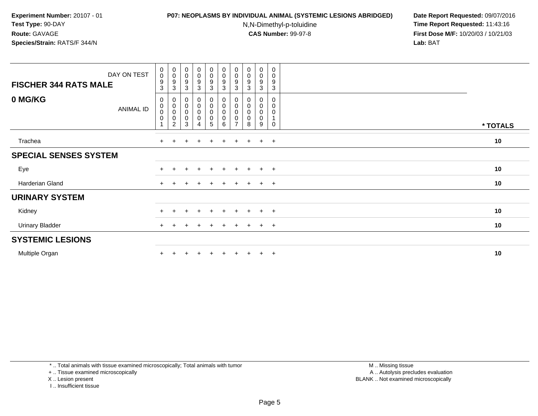### **P07: NEOPLASMS BY INDIVIDUAL ANIMAL (SYSTEMIC LESIONS ABRIDGED) Date Report Requested:** 09/07/2016

N,N-Dimethyl-p-toluidine

 **Time Report Requested:** 11:43:16 **First Dose M/F:** 10/20/03 / 10/21/03<br>**Lab:** BAT **Lab:** BAT

| DAY ON TEST<br><b>FISCHER 344 RATS MALE</b> | $_{\rm 0}^{\rm 0}$<br>$\frac{9}{3}$         | $_{\rm 0}^{\rm 0}$<br>$\boldsymbol{9}$<br>3                      | $_{\rm 0}^{\rm 0}$<br>$\boldsymbol{9}$<br>3                       | $\begin{smallmatrix}0\0\0\end{smallmatrix}$<br>9<br>$\overline{3}$           | $_{0}^{0}$<br>$\frac{9}{3}$                          | $\begin{array}{c} 0 \\ 0 \\ 9 \\ 3 \end{array}$     | $\begin{smallmatrix}0\\0\end{smallmatrix}$<br>9<br>$\mathbf{3}$ | $\begin{smallmatrix} 0\\0 \end{smallmatrix}$<br>$\boldsymbol{9}$<br>3 | $_0^0$<br>9<br>3                          | 0<br>0<br>9<br>3 |          |
|---------------------------------------------|---------------------------------------------|------------------------------------------------------------------|-------------------------------------------------------------------|------------------------------------------------------------------------------|------------------------------------------------------|-----------------------------------------------------|-----------------------------------------------------------------|-----------------------------------------------------------------------|-------------------------------------------|------------------|----------|
| 0 MG/KG<br>ANIMAL ID                        | 0<br>$_{\rm 0}^{\rm 0}$<br>$\boldsymbol{0}$ | 0<br>$\begin{matrix} 0 \\ 0 \\ 0 \end{matrix}$<br>$\overline{2}$ | 0<br>$\begin{smallmatrix}0\\0\end{smallmatrix}$<br>$\pmb{0}$<br>3 | $\begin{smallmatrix}0\0\0\0\end{smallmatrix}$<br>$\pmb{0}$<br>$\overline{4}$ | 0<br>0<br>0<br>$\begin{array}{c} 0 \\ 5 \end{array}$ | $\pmb{0}$<br>$\begin{matrix}0\\0\\0\\6\end{matrix}$ | 0<br>$\pmb{0}$<br>$\pmb{0}$<br>$\pmb{0}$<br>$\overline{ }$      | 0<br>$_{0}^{0}$<br>$\pmb{0}$<br>8                                     | 0<br>$_{\rm 0}^{\rm 0}$<br>$\pmb{0}$<br>9 | 0<br>0<br>0<br>0 | * TOTALS |
| Trachea                                     | $+$                                         |                                                                  |                                                                   | $\div$                                                                       | $+$                                                  | $\div$                                              | $\div$                                                          |                                                                       | $+$                                       | $+$              | 10       |
| <b>SPECIAL SENSES SYSTEM</b>                |                                             |                                                                  |                                                                   |                                                                              |                                                      |                                                     |                                                                 |                                                                       |                                           |                  |          |
| Eye                                         |                                             |                                                                  |                                                                   | $\ddot{}$                                                                    | $+$                                                  | $+$                                                 | $\pm$                                                           | $+$                                                                   | $+$                                       | $+$              | 10       |
| Harderian Gland                             |                                             |                                                                  |                                                                   |                                                                              | ÷                                                    |                                                     |                                                                 |                                                                       | $+$                                       | $+$              | 10       |
| <b>URINARY SYSTEM</b>                       |                                             |                                                                  |                                                                   |                                                                              |                                                      |                                                     |                                                                 |                                                                       |                                           |                  |          |
| Kidney                                      |                                             |                                                                  |                                                                   | $\ddot{}$                                                                    | $+$                                                  | $+$                                                 | $+$                                                             | $+$                                                                   | $+$                                       | $+$              | 10       |
| <b>Urinary Bladder</b>                      | $+$                                         |                                                                  |                                                                   |                                                                              | ÷                                                    |                                                     |                                                                 | $\pm$                                                                 | $+$                                       | $+$              | 10       |
| <b>SYSTEMIC LESIONS</b>                     |                                             |                                                                  |                                                                   |                                                                              |                                                      |                                                     |                                                                 |                                                                       |                                           |                  |          |
| Multiple Organ                              |                                             |                                                                  |                                                                   |                                                                              |                                                      |                                                     |                                                                 |                                                                       | $+$                                       | $+$              | 10       |

\* .. Total animals with tissue examined microscopically; Total animals with tumor

+ .. Tissue examined microscopically

- X .. Lesion present
- I .. Insufficient tissue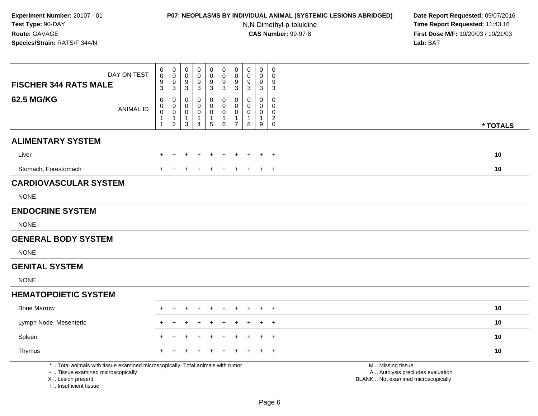# **P07: NEOPLASMS BY INDIVIDUAL ANIMAL (SYSTEMIC LESIONS ABRIDGED) Date Report Requested:** 09/07/2016

N,N-Dimethyl-p-toluidine

| <b>FISCHER 344 RATS MALE</b>                                                                                                                                          | DAY ON TEST      | 0<br>$\mathsf 0$<br>9<br>$\overline{3}$                       | $\boldsymbol{0}$<br>$\mathsf{O}\xspace$<br>9<br>$\overline{3}$          | $\mathbf 0$<br>$\mathbf 0$<br>9<br>3       | $\pmb{0}$<br>$\pmb{0}$<br>$\frac{9}{3}$       | $\pmb{0}$<br>$\pmb{0}$<br>$\frac{9}{3}$                                 | $\pmb{0}$<br>$\pmb{0}$<br>$\frac{9}{3}$                        | $\pmb{0}$<br>$\mathbf 0$<br>9<br>$\mathbf{3}$                               | $\pmb{0}$<br>$\mathsf{O}\xspace$<br>9<br>$\mathbf{3}$ | $\pmb{0}$<br>$\pmb{0}$<br>9<br>$\overline{3}$            | $\mathbf 0$<br>0<br>9<br>$\mathbf{3}$                                      |                                                                                               |          |
|-----------------------------------------------------------------------------------------------------------------------------------------------------------------------|------------------|---------------------------------------------------------------|-------------------------------------------------------------------------|--------------------------------------------|-----------------------------------------------|-------------------------------------------------------------------------|----------------------------------------------------------------|-----------------------------------------------------------------------------|-------------------------------------------------------|----------------------------------------------------------|----------------------------------------------------------------------------|-----------------------------------------------------------------------------------------------|----------|
| <b>62.5 MG/KG</b>                                                                                                                                                     | <b>ANIMAL ID</b> | 0<br>$\pmb{0}$<br>$\mathbf 0$<br>$\mathbf{1}$<br>$\mathbf{1}$ | 0<br>$\pmb{0}$<br>$\mathsf{O}\xspace$<br>$\mathbf{1}$<br>$\overline{2}$ | 0<br>0<br>$\mathbf 0$<br>$\mathbf{1}$<br>3 | 0<br>0<br>0<br>$\mathbf{1}$<br>$\overline{4}$ | $\mathbf 0$<br>$\pmb{0}$<br>$\pmb{0}$<br>$\mathbf{1}$<br>$\overline{5}$ | $\pmb{0}$<br>$\pmb{0}$<br>$\pmb{0}$<br>$\mathbf{1}$<br>$\,6\,$ | $\mathbf 0$<br>$\mathbf 0$<br>$\mathbf 0$<br>$\mathbf{1}$<br>$\overline{7}$ | 0<br>0<br>0<br>$\mathbf{1}$<br>8                      | 0<br>$\mathbf 0$<br>$\mathbf 0$<br>$\mathbf{1}$<br>$9\,$ | $\mathbf 0$<br>$\Omega$<br>$\mathbf 0$<br>$\overline{2}$<br>$\overline{0}$ |                                                                                               | * TOTALS |
| <b>ALIMENTARY SYSTEM</b>                                                                                                                                              |                  |                                                               |                                                                         |                                            |                                               |                                                                         |                                                                |                                                                             |                                                       |                                                          |                                                                            |                                                                                               |          |
| Liver                                                                                                                                                                 |                  | ÷                                                             |                                                                         | $\ddot{}$                                  | $\ddot{}$                                     | $\ddot{}$                                                               | $\ddot{}$                                                      | $\ddot{}$                                                                   | $\ddot{}$                                             |                                                          | $\overline{+}$                                                             |                                                                                               | 10       |
| Stomach, Forestomach                                                                                                                                                  |                  |                                                               |                                                                         |                                            |                                               |                                                                         |                                                                |                                                                             |                                                       |                                                          | $\overline{+}$                                                             |                                                                                               | 10       |
| <b>CARDIOVASCULAR SYSTEM</b>                                                                                                                                          |                  |                                                               |                                                                         |                                            |                                               |                                                                         |                                                                |                                                                             |                                                       |                                                          |                                                                            |                                                                                               |          |
| <b>NONE</b>                                                                                                                                                           |                  |                                                               |                                                                         |                                            |                                               |                                                                         |                                                                |                                                                             |                                                       |                                                          |                                                                            |                                                                                               |          |
| <b>ENDOCRINE SYSTEM</b>                                                                                                                                               |                  |                                                               |                                                                         |                                            |                                               |                                                                         |                                                                |                                                                             |                                                       |                                                          |                                                                            |                                                                                               |          |
| <b>NONE</b>                                                                                                                                                           |                  |                                                               |                                                                         |                                            |                                               |                                                                         |                                                                |                                                                             |                                                       |                                                          |                                                                            |                                                                                               |          |
| <b>GENERAL BODY SYSTEM</b>                                                                                                                                            |                  |                                                               |                                                                         |                                            |                                               |                                                                         |                                                                |                                                                             |                                                       |                                                          |                                                                            |                                                                                               |          |
| <b>NONE</b>                                                                                                                                                           |                  |                                                               |                                                                         |                                            |                                               |                                                                         |                                                                |                                                                             |                                                       |                                                          |                                                                            |                                                                                               |          |
| <b>GENITAL SYSTEM</b>                                                                                                                                                 |                  |                                                               |                                                                         |                                            |                                               |                                                                         |                                                                |                                                                             |                                                       |                                                          |                                                                            |                                                                                               |          |
| <b>NONE</b>                                                                                                                                                           |                  |                                                               |                                                                         |                                            |                                               |                                                                         |                                                                |                                                                             |                                                       |                                                          |                                                                            |                                                                                               |          |
| <b>HEMATOPOIETIC SYSTEM</b>                                                                                                                                           |                  |                                                               |                                                                         |                                            |                                               |                                                                         |                                                                |                                                                             |                                                       |                                                          |                                                                            |                                                                                               |          |
| <b>Bone Marrow</b>                                                                                                                                                    |                  |                                                               |                                                                         |                                            |                                               |                                                                         |                                                                |                                                                             |                                                       |                                                          | $\div$                                                                     |                                                                                               | 10       |
| Lymph Node, Mesenteric                                                                                                                                                |                  |                                                               |                                                                         |                                            |                                               |                                                                         |                                                                |                                                                             |                                                       |                                                          | $\overline{1}$                                                             |                                                                                               | 10       |
| Spleen                                                                                                                                                                |                  |                                                               |                                                                         |                                            |                                               |                                                                         |                                                                |                                                                             |                                                       |                                                          | $\ddot{}$                                                                  |                                                                                               | 10       |
| Thymus                                                                                                                                                                |                  |                                                               |                                                                         |                                            |                                               |                                                                         |                                                                |                                                                             |                                                       |                                                          | $\div$                                                                     |                                                                                               | 10       |
| *  Total animals with tissue examined microscopically; Total animals with tumor<br>+  Tissue examined microscopically<br>X  Lesion present<br>I., Insufficient tissue |                  |                                                               |                                                                         |                                            |                                               |                                                                         |                                                                |                                                                             |                                                       |                                                          |                                                                            | M  Missing tissue<br>A  Autolysis precludes evaluation<br>BLANK  Not examined microscopically |          |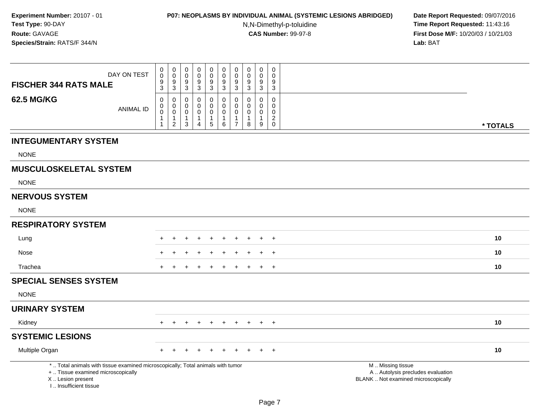# **P07: NEOPLASMS BY INDIVIDUAL ANIMAL (SYSTEMIC LESIONS ABRIDGED) Date Report Requested:** 09/07/2016

N,N-Dimethyl-p-toluidine

|                                                                                                                                                                       | DAY ON TEST      | $\pmb{0}$<br>$\pmb{0}$                                                        | $\pmb{0}$<br>$\mathbf 0$                                                    | $\pmb{0}$<br>$\mathbf 0$                                       | $\mathbf 0$<br>$\mathbf 0$                                                  | $\boldsymbol{0}$<br>$\mathsf{O}\xspace$                      | $\pmb{0}$<br>$_{9}^{\rm 0}$                                  | $\pmb{0}$<br>$\mathbf 0$                                                    | $\boldsymbol{0}$<br>$\mathbf 0$                        | $\pmb{0}$<br>$\mathbf 0$                                          | $\,0\,$<br>$\mathbf 0$                                                    |                                                                                               |          |
|-----------------------------------------------------------------------------------------------------------------------------------------------------------------------|------------------|-------------------------------------------------------------------------------|-----------------------------------------------------------------------------|----------------------------------------------------------------|-----------------------------------------------------------------------------|--------------------------------------------------------------|--------------------------------------------------------------|-----------------------------------------------------------------------------|--------------------------------------------------------|-------------------------------------------------------------------|---------------------------------------------------------------------------|-----------------------------------------------------------------------------------------------|----------|
| <b>FISCHER 344 RATS MALE</b>                                                                                                                                          |                  | $\frac{9}{3}$                                                                 | 9<br>$\mathbf{3}$                                                           | $\boldsymbol{9}$<br>$\mathbf{3}$                               | $\boldsymbol{9}$<br>$\mathbf{3}$                                            | 9<br>3                                                       | $\mathbf{3}$                                                 | 9<br>3                                                                      | 9<br>$\mathfrak{Z}$                                    | 9<br>$\mathbf{3}$                                                 | 9<br>$\sqrt{3}$                                                           |                                                                                               |          |
| <b>62.5 MG/KG</b>                                                                                                                                                     | <b>ANIMAL ID</b> | $\boldsymbol{0}$<br>$\mathbf 0$<br>$\mathsf{O}\xspace$<br>$\overline{1}$<br>1 | $\mathbf 0$<br>$\mathbf 0$<br>$\mathbf 0$<br>$\mathbf{1}$<br>$\overline{2}$ | $\mathbf 0$<br>$\mathbf 0$<br>$\mathbf 0$<br>$\mathbf{1}$<br>3 | $\mathbf 0$<br>$\mathbf 0$<br>$\mathbf 0$<br>$\mathbf{1}$<br>$\overline{4}$ | 0<br>$\mathbf 0$<br>$\mathsf{O}\xspace$<br>$\mathbf{1}$<br>5 | $\pmb{0}$<br>$\mathbf 0$<br>$\mathbf 0$<br>$\mathbf{1}$<br>6 | $\mathbf 0$<br>$\mathbf 0$<br>$\pmb{0}$<br>$\overline{1}$<br>$\overline{7}$ | $\mathbf 0$<br>$\mathbf 0$<br>0<br>$\overline{1}$<br>8 | $\mathbf 0$<br>$\overline{0}$<br>$\mathbf 0$<br>$\mathbf{1}$<br>9 | $\Omega$<br>$\mathbf 0$<br>$\mathbf 0$<br>$\boldsymbol{2}$<br>$\mathbf 0$ |                                                                                               | * TOTALS |
| <b>INTEGUMENTARY SYSTEM</b>                                                                                                                                           |                  |                                                                               |                                                                             |                                                                |                                                                             |                                                              |                                                              |                                                                             |                                                        |                                                                   |                                                                           |                                                                                               |          |
| <b>NONE</b>                                                                                                                                                           |                  |                                                                               |                                                                             |                                                                |                                                                             |                                                              |                                                              |                                                                             |                                                        |                                                                   |                                                                           |                                                                                               |          |
| <b>MUSCULOSKELETAL SYSTEM</b>                                                                                                                                         |                  |                                                                               |                                                                             |                                                                |                                                                             |                                                              |                                                              |                                                                             |                                                        |                                                                   |                                                                           |                                                                                               |          |
| <b>NONE</b>                                                                                                                                                           |                  |                                                                               |                                                                             |                                                                |                                                                             |                                                              |                                                              |                                                                             |                                                        |                                                                   |                                                                           |                                                                                               |          |
| <b>NERVOUS SYSTEM</b>                                                                                                                                                 |                  |                                                                               |                                                                             |                                                                |                                                                             |                                                              |                                                              |                                                                             |                                                        |                                                                   |                                                                           |                                                                                               |          |
| <b>NONE</b>                                                                                                                                                           |                  |                                                                               |                                                                             |                                                                |                                                                             |                                                              |                                                              |                                                                             |                                                        |                                                                   |                                                                           |                                                                                               |          |
| <b>RESPIRATORY SYSTEM</b>                                                                                                                                             |                  |                                                                               |                                                                             |                                                                |                                                                             |                                                              |                                                              |                                                                             |                                                        |                                                                   |                                                                           |                                                                                               |          |
| Lung                                                                                                                                                                  |                  |                                                                               |                                                                             |                                                                |                                                                             |                                                              |                                                              |                                                                             |                                                        |                                                                   | $+$                                                                       |                                                                                               | 10       |
| Nose                                                                                                                                                                  |                  |                                                                               |                                                                             |                                                                |                                                                             |                                                              |                                                              |                                                                             |                                                        |                                                                   | $+$                                                                       |                                                                                               | 10       |
| Trachea                                                                                                                                                               |                  |                                                                               |                                                                             |                                                                |                                                                             |                                                              |                                                              |                                                                             |                                                        |                                                                   | $\ddot{}$                                                                 |                                                                                               | 10       |
| <b>SPECIAL SENSES SYSTEM</b>                                                                                                                                          |                  |                                                                               |                                                                             |                                                                |                                                                             |                                                              |                                                              |                                                                             |                                                        |                                                                   |                                                                           |                                                                                               |          |
| <b>NONE</b>                                                                                                                                                           |                  |                                                                               |                                                                             |                                                                |                                                                             |                                                              |                                                              |                                                                             |                                                        |                                                                   |                                                                           |                                                                                               |          |
| <b>URINARY SYSTEM</b>                                                                                                                                                 |                  |                                                                               |                                                                             |                                                                |                                                                             |                                                              |                                                              |                                                                             |                                                        |                                                                   |                                                                           |                                                                                               |          |
| Kidney                                                                                                                                                                |                  |                                                                               |                                                                             |                                                                |                                                                             | $\ddot{}$                                                    | $+$                                                          | $+$                                                                         | $+$                                                    | $+$                                                               | $+$                                                                       |                                                                                               | 10       |
| <b>SYSTEMIC LESIONS</b>                                                                                                                                               |                  |                                                                               |                                                                             |                                                                |                                                                             |                                                              |                                                              |                                                                             |                                                        |                                                                   |                                                                           |                                                                                               |          |
| Multiple Organ                                                                                                                                                        |                  |                                                                               |                                                                             |                                                                |                                                                             |                                                              |                                                              |                                                                             |                                                        |                                                                   | $\ddot{}$                                                                 |                                                                                               | 10       |
| *  Total animals with tissue examined microscopically; Total animals with tumor<br>+  Tissue examined microscopically<br>X  Lesion present<br>I., Insufficient tissue |                  |                                                                               |                                                                             |                                                                |                                                                             |                                                              |                                                              |                                                                             |                                                        |                                                                   |                                                                           | M  Missing tissue<br>A  Autolysis precludes evaluation<br>BLANK  Not examined microscopically |          |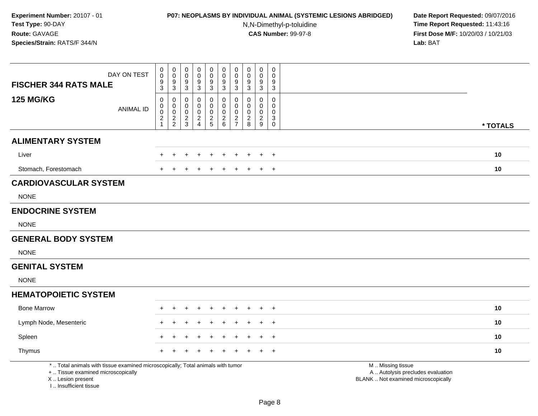# **P07: NEOPLASMS BY INDIVIDUAL ANIMAL (SYSTEMIC LESIONS ABRIDGED) Date Report Requested:** 09/07/2016

N,N-Dimethyl-p-toluidine

| DAY ON TEST<br><b>FISCHER 344 RATS MALE</b>                                                                                                                          | 0<br>$\mathbf 0$<br>$\frac{9}{3}$                                              | $\boldsymbol{0}$<br>$\ddot{\mathbf{0}}$<br>$\boldsymbol{9}$<br>$\overline{3}$ | $\mathbf 0$<br>$\mathbf 0$<br>9<br>$\mathfrak{S}$ | $\pmb{0}$<br>$\pmb{0}$<br>$\frac{9}{3}$ | $\mathsf 0$<br>$\ddot{\mathbf{0}}$<br>$\frac{9}{3}$            | $\mathbf 0$<br>$\overline{0}$<br>$\frac{9}{3}$            | $\mathbf 0$<br>$\mathbf 0$<br>9<br>$\overline{3}$          | 0<br>0<br>9<br>$\overline{3}$               | $\pmb{0}$<br>$\ddot{\mathbf{0}}$<br>$\frac{9}{3}$      | $\mathbf 0$<br>$\Omega$<br>9<br>$\mathbf{3}$  |                                                                                               |  |
|----------------------------------------------------------------------------------------------------------------------------------------------------------------------|--------------------------------------------------------------------------------|-------------------------------------------------------------------------------|---------------------------------------------------|-----------------------------------------|----------------------------------------------------------------|-----------------------------------------------------------|------------------------------------------------------------|---------------------------------------------|--------------------------------------------------------|-----------------------------------------------|-----------------------------------------------------------------------------------------------|--|
| <b>125 MG/KG</b><br><b>ANIMAL ID</b>                                                                                                                                 | $\mathbf 0$<br>$\pmb{0}$<br>$\overline{0}$<br>$\boldsymbol{2}$<br>$\mathbf{1}$ | 0<br>$\mathbf 0$<br>$\overline{0}$<br>$\frac{2}{2}$                           | 0<br>0<br>0<br>$\frac{2}{3}$                      | 0<br>0<br>0<br>$\frac{2}{4}$            | $\pmb{0}$<br>$\pmb{0}$<br>$\mathsf{O}\xspace$<br>$\frac{2}{5}$ | $\pmb{0}$<br>$\pmb{0}$<br>$\overline{0}$<br>$\frac{2}{6}$ | $\mathbf 0$<br>$\mathbf 0$<br>$\mathbf 0$<br>$\frac{2}{7}$ | 0<br>0<br>0<br>$\overline{\mathbf{c}}$<br>8 | $\mathbf 0$<br>$\pmb{0}$<br>$\pmb{0}$<br>$\frac{2}{9}$ | $\Omega$<br>0<br>$\Omega$<br>3<br>$\mathbf 0$ | * TOTALS                                                                                      |  |
| <b>ALIMENTARY SYSTEM</b>                                                                                                                                             |                                                                                |                                                                               |                                                   |                                         |                                                                |                                                           |                                                            |                                             |                                                        |                                               |                                                                                               |  |
| Liver                                                                                                                                                                |                                                                                |                                                                               | ÷                                                 |                                         |                                                                | $\ddot{}$                                                 |                                                            |                                             |                                                        | $\overline{+}$                                | 10                                                                                            |  |
| Stomach, Forestomach                                                                                                                                                 |                                                                                |                                                                               |                                                   |                                         |                                                                |                                                           |                                                            |                                             |                                                        | $\overline{+}$                                | 10                                                                                            |  |
| <b>CARDIOVASCULAR SYSTEM</b>                                                                                                                                         |                                                                                |                                                                               |                                                   |                                         |                                                                |                                                           |                                                            |                                             |                                                        |                                               |                                                                                               |  |
| <b>NONE</b>                                                                                                                                                          |                                                                                |                                                                               |                                                   |                                         |                                                                |                                                           |                                                            |                                             |                                                        |                                               |                                                                                               |  |
| <b>ENDOCRINE SYSTEM</b>                                                                                                                                              |                                                                                |                                                                               |                                                   |                                         |                                                                |                                                           |                                                            |                                             |                                                        |                                               |                                                                                               |  |
| <b>NONE</b>                                                                                                                                                          |                                                                                |                                                                               |                                                   |                                         |                                                                |                                                           |                                                            |                                             |                                                        |                                               |                                                                                               |  |
| <b>GENERAL BODY SYSTEM</b>                                                                                                                                           |                                                                                |                                                                               |                                                   |                                         |                                                                |                                                           |                                                            |                                             |                                                        |                                               |                                                                                               |  |
| <b>NONE</b>                                                                                                                                                          |                                                                                |                                                                               |                                                   |                                         |                                                                |                                                           |                                                            |                                             |                                                        |                                               |                                                                                               |  |
| <b>GENITAL SYSTEM</b>                                                                                                                                                |                                                                                |                                                                               |                                                   |                                         |                                                                |                                                           |                                                            |                                             |                                                        |                                               |                                                                                               |  |
| <b>NONE</b>                                                                                                                                                          |                                                                                |                                                                               |                                                   |                                         |                                                                |                                                           |                                                            |                                             |                                                        |                                               |                                                                                               |  |
| <b>HEMATOPOIETIC SYSTEM</b>                                                                                                                                          |                                                                                |                                                                               |                                                   |                                         |                                                                |                                                           |                                                            |                                             |                                                        |                                               |                                                                                               |  |
| <b>Bone Marrow</b>                                                                                                                                                   |                                                                                |                                                                               |                                                   |                                         |                                                                |                                                           |                                                            |                                             |                                                        | $\overline{1}$                                | 10                                                                                            |  |
| Lymph Node, Mesenteric                                                                                                                                               |                                                                                |                                                                               |                                                   |                                         |                                                                |                                                           |                                                            |                                             |                                                        | $\overline{+}$                                | 10                                                                                            |  |
| Spleen                                                                                                                                                               |                                                                                |                                                                               |                                                   |                                         |                                                                |                                                           |                                                            |                                             |                                                        | $\ddot{}$                                     | 10                                                                                            |  |
| Thymus                                                                                                                                                               |                                                                                |                                                                               |                                                   |                                         |                                                                |                                                           |                                                            |                                             |                                                        | $\div$                                        | 10                                                                                            |  |
| *  Total animals with tissue examined microscopically; Total animals with tumor<br>+  Tissue examined microscopically<br>X Lesion present<br>I., Insufficient tissue |                                                                                |                                                                               |                                                   |                                         |                                                                |                                                           |                                                            |                                             |                                                        |                                               | M  Missing tissue<br>A  Autolysis precludes evaluation<br>BLANK  Not examined microscopically |  |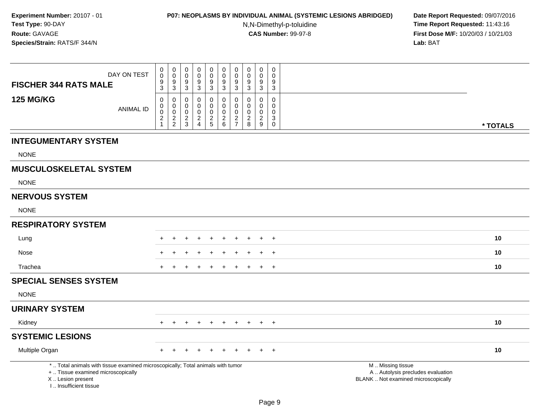# **P07: NEOPLASMS BY INDIVIDUAL ANIMAL (SYSTEMIC LESIONS ABRIDGED) Date Report Requested:** 09/07/2016

N,N-Dimethyl-p-toluidine

| DAY ON TEST                                                                                                                                                         | 0<br>$\pmb{0}$<br>9                                   | $\pmb{0}$<br>$\mathbf 0$<br>$\boldsymbol{9}$                                  | $\pmb{0}$<br>0<br>9                        | $\pmb{0}$<br>$\pmb{0}$<br>9                                      | $\pmb{0}$<br>$_{9}^{\rm 0}$          | $\pmb{0}$<br>$\mathbf 0$<br>$\overline{9}$         | $\pmb{0}$<br>$\mathbf 0$<br>$\boldsymbol{9}$                              | $\pmb{0}$<br>$\mathbf 0$<br>$9\,$                                | $\pmb{0}$<br>$\mathbf 0$<br>9                                 | $\pmb{0}$<br>$\mathbf 0$<br>9                              |                                                                                               |          |
|---------------------------------------------------------------------------------------------------------------------------------------------------------------------|-------------------------------------------------------|-------------------------------------------------------------------------------|--------------------------------------------|------------------------------------------------------------------|--------------------------------------|----------------------------------------------------|---------------------------------------------------------------------------|------------------------------------------------------------------|---------------------------------------------------------------|------------------------------------------------------------|-----------------------------------------------------------------------------------------------|----------|
| <b>FISCHER 344 RATS MALE</b>                                                                                                                                        | 3                                                     | $\mathsf 3$                                                                   | $\mathbf{3}$                               | $\mathfrak{Z}$                                                   | $\mathbf{3}$                         | $\mathbf{3}$                                       | 3                                                                         | $\sqrt{3}$                                                       | 3                                                             | 3                                                          |                                                                                               |          |
| <b>125 MG/KG</b><br><b>ANIMAL ID</b>                                                                                                                                | 0<br>0<br>$\pmb{0}$<br>$\overline{c}$<br>$\mathbf{1}$ | $\mathbf 0$<br>$\mathbf 0$<br>$\mathbf 0$<br>$\overline{2}$<br>$\overline{2}$ | 0<br>0<br>$\pmb{0}$<br>$\overline{c}$<br>3 | $\Omega$<br>0<br>$\mathbf 0$<br>$\overline{c}$<br>$\overline{4}$ | 0<br>0<br>$\mathbf 0$<br>$rac{2}{5}$ | 0<br>0<br>$\mathbf 0$<br>$\overline{2}$<br>$\,6\,$ | $\mathbf 0$<br>$\mathbf 0$<br>$\mathbf 0$<br>$\sqrt{2}$<br>$\overline{7}$ | $\Omega$<br>$\Omega$<br>$\mathbf 0$<br>$\overline{c}$<br>$\,8\,$ | $\Omega$<br>$\mathbf 0$<br>$\mathbf 0$<br>$\overline{2}$<br>9 | $\Omega$<br>$\mathbf 0$<br>$\mathbf 0$<br>3<br>$\mathbf 0$ |                                                                                               | * TOTALS |
| <b>INTEGUMENTARY SYSTEM</b>                                                                                                                                         |                                                       |                                                                               |                                            |                                                                  |                                      |                                                    |                                                                           |                                                                  |                                                               |                                                            |                                                                                               |          |
| <b>NONE</b>                                                                                                                                                         |                                                       |                                                                               |                                            |                                                                  |                                      |                                                    |                                                                           |                                                                  |                                                               |                                                            |                                                                                               |          |
| <b>MUSCULOSKELETAL SYSTEM</b>                                                                                                                                       |                                                       |                                                                               |                                            |                                                                  |                                      |                                                    |                                                                           |                                                                  |                                                               |                                                            |                                                                                               |          |
| <b>NONE</b>                                                                                                                                                         |                                                       |                                                                               |                                            |                                                                  |                                      |                                                    |                                                                           |                                                                  |                                                               |                                                            |                                                                                               |          |
| <b>NERVOUS SYSTEM</b>                                                                                                                                               |                                                       |                                                                               |                                            |                                                                  |                                      |                                                    |                                                                           |                                                                  |                                                               |                                                            |                                                                                               |          |
| <b>NONE</b>                                                                                                                                                         |                                                       |                                                                               |                                            |                                                                  |                                      |                                                    |                                                                           |                                                                  |                                                               |                                                            |                                                                                               |          |
| <b>RESPIRATORY SYSTEM</b>                                                                                                                                           |                                                       |                                                                               |                                            |                                                                  |                                      |                                                    |                                                                           |                                                                  |                                                               |                                                            |                                                                                               |          |
| Lung                                                                                                                                                                | +                                                     |                                                                               |                                            |                                                                  | $\ddot{}$                            | $\ddot{}$                                          | $\ddot{}$                                                                 | +                                                                |                                                               | $+$                                                        |                                                                                               | 10       |
| Nose                                                                                                                                                                |                                                       |                                                                               |                                            |                                                                  |                                      |                                                    |                                                                           |                                                                  |                                                               | $+$                                                        |                                                                                               | 10       |
| Trachea                                                                                                                                                             |                                                       |                                                                               |                                            |                                                                  |                                      |                                                    |                                                                           |                                                                  |                                                               | $+$                                                        |                                                                                               | 10       |
| <b>SPECIAL SENSES SYSTEM</b>                                                                                                                                        |                                                       |                                                                               |                                            |                                                                  |                                      |                                                    |                                                                           |                                                                  |                                                               |                                                            |                                                                                               |          |
| <b>NONE</b>                                                                                                                                                         |                                                       |                                                                               |                                            |                                                                  |                                      |                                                    |                                                                           |                                                                  |                                                               |                                                            |                                                                                               |          |
| <b>URINARY SYSTEM</b>                                                                                                                                               |                                                       |                                                                               |                                            |                                                                  |                                      |                                                    |                                                                           |                                                                  |                                                               |                                                            |                                                                                               |          |
| Kidney                                                                                                                                                              |                                                       |                                                                               |                                            |                                                                  |                                      |                                                    |                                                                           | $\pm$                                                            | $\ddot{}$                                                     | $+$                                                        |                                                                                               | 10       |
| <b>SYSTEMIC LESIONS</b>                                                                                                                                             |                                                       |                                                                               |                                            |                                                                  |                                      |                                                    |                                                                           |                                                                  |                                                               |                                                            |                                                                                               |          |
| Multiple Organ                                                                                                                                                      |                                                       |                                                                               |                                            |                                                                  |                                      |                                                    |                                                                           |                                                                  |                                                               | $+$                                                        |                                                                                               | 10       |
| *  Total animals with tissue examined microscopically; Total animals with tumor<br>+  Tissue examined microscopically<br>X  Lesion present<br>I Insufficient tissue |                                                       |                                                                               |                                            |                                                                  |                                      |                                                    |                                                                           |                                                                  |                                                               |                                                            | M  Missing tissue<br>A  Autolysis precludes evaluation<br>BLANK  Not examined microscopically |          |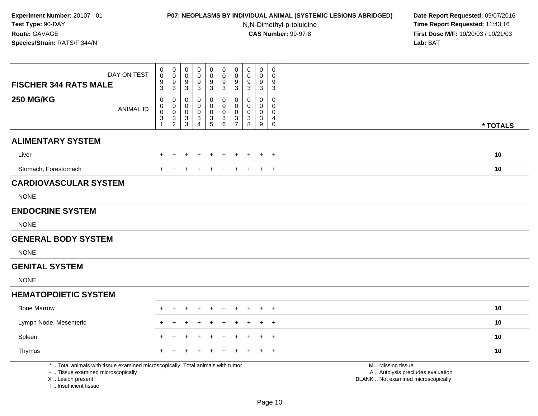# **P07: NEOPLASMS BY INDIVIDUAL ANIMAL (SYSTEMIC LESIONS ABRIDGED) Date Report Requested:** 09/07/2016

N,N-Dimethyl-p-toluidine

| DAY ON TEST<br><b>FISCHER 344 RATS MALE</b>                                                                                                                         | 0<br>$\mathbf 0$<br>$\frac{9}{3}$          | $\boldsymbol{0}$<br>$\ddot{\mathbf{0}}$<br>9<br>$\overline{3}$                         | $\mathbf 0$<br>$\mathbf 0$<br>9<br>$\mathbf{3}$ | $\pmb{0}$<br>0<br>$\frac{9}{3}$                                      | $\mathsf{O}\xspace$<br>$\ddot{\mathbf{0}}$<br>$\frac{9}{3}$ | $\mathbf 0$<br>$\overline{0}$<br>$\frac{9}{3}$            | $\mathbf 0$<br>$\mathbf 0$<br>9<br>$\mathbf{3}$            | 0<br>0<br>9<br>$\mathbf{3}$ | $\pmb{0}$<br>$\pmb{0}$<br>$\frac{9}{3}$                         | 0<br>$\Omega$<br>9<br>$\mathbf{3}$        |                                                                                               |
|---------------------------------------------------------------------------------------------------------------------------------------------------------------------|--------------------------------------------|----------------------------------------------------------------------------------------|-------------------------------------------------|----------------------------------------------------------------------|-------------------------------------------------------------|-----------------------------------------------------------|------------------------------------------------------------|-----------------------------|-----------------------------------------------------------------|-------------------------------------------|-----------------------------------------------------------------------------------------------|
| <b>250 MG/KG</b><br><b>ANIMAL ID</b>                                                                                                                                | 0<br>$\pmb{0}$<br>$\overline{0}$<br>3<br>1 | 0<br>$\mathbf 0$<br>$\ddot{\mathbf{0}}$<br>$\ensuremath{\mathsf{3}}$<br>$\overline{2}$ | 0<br>$\pmb{0}$<br>0<br>$\mathfrak{S}$<br>3      | 0<br>$\mathbf 0$<br>0<br>$\ensuremath{\mathsf{3}}$<br>$\overline{4}$ | $\pmb{0}$<br>$\pmb{0}$<br>$\pmb{0}$<br>$\frac{3}{5}$        | $\pmb{0}$<br>$\pmb{0}$<br>$\overline{0}$<br>$\frac{3}{6}$ | $\mathbf 0$<br>$\mathbf 0$<br>$\mathbf 0$<br>$\frac{3}{7}$ | 0<br>0<br>0<br>3<br>8       | 0<br>$\mathbf 0$<br>$\pmb{0}$<br>$\ensuremath{\mathsf{3}}$<br>9 | 0<br>$\mathbf 0$<br>0<br>4<br>$\mathbf 0$ | * TOTALS                                                                                      |
| <b>ALIMENTARY SYSTEM</b>                                                                                                                                            |                                            |                                                                                        |                                                 |                                                                      |                                                             |                                                           |                                                            |                             |                                                                 |                                           |                                                                                               |
| Liver                                                                                                                                                               |                                            |                                                                                        | ÷                                               |                                                                      |                                                             | $\ddot{}$                                                 |                                                            |                             |                                                                 | $\overline{+}$                            | 10                                                                                            |
| Stomach, Forestomach                                                                                                                                                |                                            |                                                                                        |                                                 |                                                                      |                                                             |                                                           |                                                            |                             |                                                                 | $\overline{+}$                            | 10                                                                                            |
| <b>CARDIOVASCULAR SYSTEM</b>                                                                                                                                        |                                            |                                                                                        |                                                 |                                                                      |                                                             |                                                           |                                                            |                             |                                                                 |                                           |                                                                                               |
| <b>NONE</b>                                                                                                                                                         |                                            |                                                                                        |                                                 |                                                                      |                                                             |                                                           |                                                            |                             |                                                                 |                                           |                                                                                               |
| <b>ENDOCRINE SYSTEM</b>                                                                                                                                             |                                            |                                                                                        |                                                 |                                                                      |                                                             |                                                           |                                                            |                             |                                                                 |                                           |                                                                                               |
| <b>NONE</b>                                                                                                                                                         |                                            |                                                                                        |                                                 |                                                                      |                                                             |                                                           |                                                            |                             |                                                                 |                                           |                                                                                               |
| <b>GENERAL BODY SYSTEM</b>                                                                                                                                          |                                            |                                                                                        |                                                 |                                                                      |                                                             |                                                           |                                                            |                             |                                                                 |                                           |                                                                                               |
| <b>NONE</b>                                                                                                                                                         |                                            |                                                                                        |                                                 |                                                                      |                                                             |                                                           |                                                            |                             |                                                                 |                                           |                                                                                               |
| <b>GENITAL SYSTEM</b>                                                                                                                                               |                                            |                                                                                        |                                                 |                                                                      |                                                             |                                                           |                                                            |                             |                                                                 |                                           |                                                                                               |
| <b>NONE</b>                                                                                                                                                         |                                            |                                                                                        |                                                 |                                                                      |                                                             |                                                           |                                                            |                             |                                                                 |                                           |                                                                                               |
| <b>HEMATOPOIETIC SYSTEM</b>                                                                                                                                         |                                            |                                                                                        |                                                 |                                                                      |                                                             |                                                           |                                                            |                             |                                                                 |                                           |                                                                                               |
| <b>Bone Marrow</b>                                                                                                                                                  |                                            |                                                                                        |                                                 |                                                                      |                                                             |                                                           |                                                            |                             |                                                                 | $\overline{1}$                            | 10                                                                                            |
| Lymph Node, Mesenteric                                                                                                                                              |                                            |                                                                                        |                                                 |                                                                      |                                                             |                                                           |                                                            |                             |                                                                 | $\overline{+}$                            | 10                                                                                            |
| Spleen                                                                                                                                                              |                                            |                                                                                        |                                                 |                                                                      |                                                             |                                                           |                                                            |                             |                                                                 | $\div$                                    | 10                                                                                            |
| Thymus                                                                                                                                                              |                                            |                                                                                        |                                                 |                                                                      |                                                             |                                                           |                                                            |                             |                                                                 | $\overline{1}$                            | 10                                                                                            |
| *  Total animals with tissue examined microscopically; Total animals with tumor<br>+  Tissue examined microscopically<br>X  Lesion present<br>I Insufficient tissue |                                            |                                                                                        |                                                 |                                                                      |                                                             |                                                           |                                                            |                             |                                                                 |                                           | M  Missing tissue<br>A  Autolysis precludes evaluation<br>BLANK  Not examined microscopically |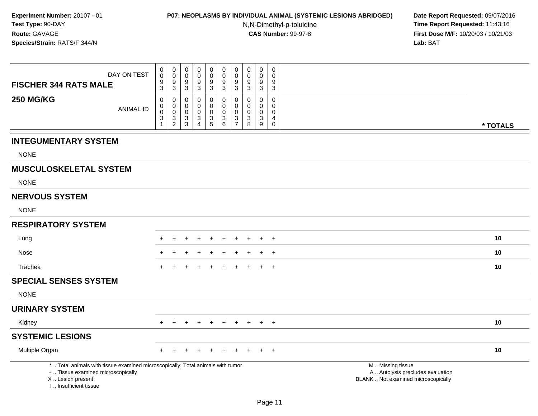# **P07: NEOPLASMS BY INDIVIDUAL ANIMAL (SYSTEMIC LESIONS ABRIDGED) Date Report Requested:** 09/07/2016

N,N-Dimethyl-p-toluidine

| DAY ON TEST                                                                                                                                                           | $\pmb{0}$<br>$\pmb{0}$                             | $\begin{smallmatrix} 0\\0 \end{smallmatrix}$                                | 0<br>$\mathbf 0$      | $\mathbf 0$<br>$\mathbf 0$                                            | $\pmb{0}$<br>$\mathbf 0$                                          | 0<br>$\mathbf 0$<br>$\boldsymbol{9}$                  | $\pmb{0}$<br>$\pmb{0}$                                       | $\mathbf 0$<br>$\mathbf 0$                          | $\pmb{0}$<br>$\mathbf 0$                                       | 0<br>$\mathbf 0$                                    |                                                                                               |          |
|-----------------------------------------------------------------------------------------------------------------------------------------------------------------------|----------------------------------------------------|-----------------------------------------------------------------------------|-----------------------|-----------------------------------------------------------------------|-------------------------------------------------------------------|-------------------------------------------------------|--------------------------------------------------------------|-----------------------------------------------------|----------------------------------------------------------------|-----------------------------------------------------|-----------------------------------------------------------------------------------------------|----------|
| <b>FISCHER 344 RATS MALE</b>                                                                                                                                          | $\frac{9}{3}$                                      | $\boldsymbol{9}$<br>$\mathbf{3}$                                            | 9<br>3                | 9<br>$\mathbf{3}$                                                     | $\boldsymbol{9}$<br>$\mathbf{3}$                                  | 3                                                     | 9<br>3                                                       | 9<br>3                                              | 9<br>3                                                         | 9<br>3                                              |                                                                                               |          |
| <b>250 MG/KG</b><br><b>ANIMAL ID</b>                                                                                                                                  | 0<br>$\boldsymbol{0}$<br>$\mathbf 0$<br>$\sqrt{3}$ | $\mathbf 0$<br>$\pmb{0}$<br>$\mathbf 0$<br>$\overline{3}$<br>$\overline{2}$ | 0<br>0<br>0<br>3<br>3 | $\Omega$<br>$\mathbf 0$<br>$\mathbf 0$<br>3<br>$\boldsymbol{\Lambda}$ | 0<br>$\mathsf 0$<br>$\mathbf 0$<br>$\ensuremath{\mathsf{3}}$<br>5 | 0<br>$\mathbf 0$<br>0<br>$\sqrt{3}$<br>$6\phantom{1}$ | $\pmb{0}$<br>$\pmb{0}$<br>$\mathbf 0$<br>3<br>$\overline{7}$ | $\mathbf 0$<br>$\mathbf 0$<br>$\mathbf 0$<br>3<br>8 | $\mathbf 0$<br>$\mathbf 0$<br>$\mathbf 0$<br>$\mathbf{3}$<br>9 | $\mathbf 0$<br>0<br>$\mathbf 0$<br>4<br>$\mathbf 0$ |                                                                                               | * TOTALS |
| <b>INTEGUMENTARY SYSTEM</b>                                                                                                                                           |                                                    |                                                                             |                       |                                                                       |                                                                   |                                                       |                                                              |                                                     |                                                                |                                                     |                                                                                               |          |
| <b>NONE</b>                                                                                                                                                           |                                                    |                                                                             |                       |                                                                       |                                                                   |                                                       |                                                              |                                                     |                                                                |                                                     |                                                                                               |          |
| <b>MUSCULOSKELETAL SYSTEM</b>                                                                                                                                         |                                                    |                                                                             |                       |                                                                       |                                                                   |                                                       |                                                              |                                                     |                                                                |                                                     |                                                                                               |          |
| <b>NONE</b>                                                                                                                                                           |                                                    |                                                                             |                       |                                                                       |                                                                   |                                                       |                                                              |                                                     |                                                                |                                                     |                                                                                               |          |
| <b>NERVOUS SYSTEM</b>                                                                                                                                                 |                                                    |                                                                             |                       |                                                                       |                                                                   |                                                       |                                                              |                                                     |                                                                |                                                     |                                                                                               |          |
| <b>NONE</b>                                                                                                                                                           |                                                    |                                                                             |                       |                                                                       |                                                                   |                                                       |                                                              |                                                     |                                                                |                                                     |                                                                                               |          |
| <b>RESPIRATORY SYSTEM</b>                                                                                                                                             |                                                    |                                                                             |                       |                                                                       |                                                                   |                                                       |                                                              |                                                     |                                                                |                                                     |                                                                                               |          |
| Lung                                                                                                                                                                  |                                                    |                                                                             |                       |                                                                       |                                                                   |                                                       |                                                              |                                                     |                                                                | $+$                                                 |                                                                                               | 10       |
| Nose                                                                                                                                                                  |                                                    |                                                                             |                       |                                                                       |                                                                   |                                                       |                                                              |                                                     |                                                                | $\ddot{}$                                           |                                                                                               | 10       |
| Trachea                                                                                                                                                               | ╇                                                  |                                                                             |                       |                                                                       |                                                                   |                                                       |                                                              |                                                     |                                                                | $+$                                                 |                                                                                               | 10       |
| <b>SPECIAL SENSES SYSTEM</b>                                                                                                                                          |                                                    |                                                                             |                       |                                                                       |                                                                   |                                                       |                                                              |                                                     |                                                                |                                                     |                                                                                               |          |
| <b>NONE</b>                                                                                                                                                           |                                                    |                                                                             |                       |                                                                       |                                                                   |                                                       |                                                              |                                                     |                                                                |                                                     |                                                                                               |          |
| <b>URINARY SYSTEM</b>                                                                                                                                                 |                                                    |                                                                             |                       |                                                                       |                                                                   |                                                       |                                                              |                                                     |                                                                |                                                     |                                                                                               |          |
| Kidney                                                                                                                                                                |                                                    |                                                                             |                       |                                                                       |                                                                   |                                                       |                                                              |                                                     | $+$                                                            | $+$                                                 |                                                                                               | 10       |
| <b>SYSTEMIC LESIONS</b>                                                                                                                                               |                                                    |                                                                             |                       |                                                                       |                                                                   |                                                       |                                                              |                                                     |                                                                |                                                     |                                                                                               |          |
| Multiple Organ                                                                                                                                                        |                                                    |                                                                             |                       |                                                                       |                                                                   |                                                       |                                                              |                                                     |                                                                | $^{+}$                                              |                                                                                               | 10       |
| *  Total animals with tissue examined microscopically; Total animals with tumor<br>+  Tissue examined microscopically<br>X  Lesion present<br>I., Insufficient tissue |                                                    |                                                                             |                       |                                                                       |                                                                   |                                                       |                                                              |                                                     |                                                                |                                                     | M  Missing tissue<br>A  Autolysis precludes evaluation<br>BLANK  Not examined microscopically |          |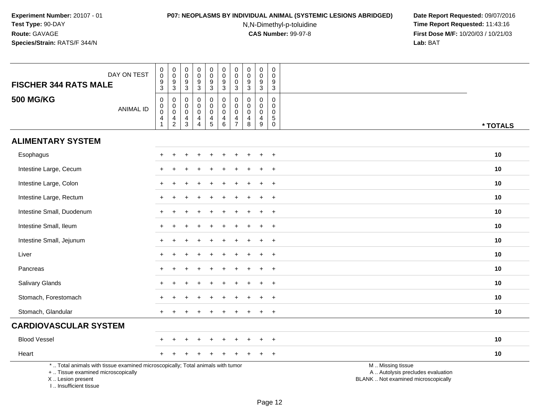# **P07: NEOPLASMS BY INDIVIDUAL ANIMAL (SYSTEMIC LESIONS ABRIDGED) Date Report Requested:** 09/07/2016

N,N-Dimethyl-p-toluidine

| DAY ON TEST<br><b>FISCHER 344 RATS MALE</b>                                                                                                                          | 0<br>$\mathbf 0$<br>$\frac{9}{3}$         | $\pmb{0}$<br>$\ddot{\mathbf{0}}$<br>$\frac{9}{3}$                                    | $\,0\,$<br>$\mathbf 0$<br>$\frac{9}{3}$                                   | $_{\rm 0}^{\rm 0}$<br>$\frac{9}{3}$                                               | $\mathbf 0$<br>$\mathsf 0$<br>$\frac{9}{3}$                        | $\pmb{0}$<br>$\overline{0}$<br>$\frac{9}{3}$                                      | $\pmb{0}$<br>$\mathbf 0$<br>0<br>3                     | $\pmb{0}$<br>$\mathbf 0$<br>9<br>$\overline{3}$                                   | $\pmb{0}$<br>$\ddot{\mathbf{0}}$<br>$\frac{9}{3}$                      | $\pmb{0}$<br>$\Omega$<br>9<br>3                                        |                                                                                               |  |
|----------------------------------------------------------------------------------------------------------------------------------------------------------------------|-------------------------------------------|--------------------------------------------------------------------------------------|---------------------------------------------------------------------------|-----------------------------------------------------------------------------------|--------------------------------------------------------------------|-----------------------------------------------------------------------------------|--------------------------------------------------------|-----------------------------------------------------------------------------------|------------------------------------------------------------------------|------------------------------------------------------------------------|-----------------------------------------------------------------------------------------------|--|
| <b>500 MG/KG</b><br><b>ANIMAL ID</b>                                                                                                                                 | $\mathbf 0$<br>0<br>$\mathbf 0$<br>4<br>1 | $\pmb{0}$<br>$\mathbf 0$<br>$\tilde{0}$<br>$\overline{\mathbf{4}}$<br>$\overline{2}$ | $\mathsf{O}\xspace$<br>0<br>$\pmb{0}$<br>$\overline{4}$<br>$\mathfrak{S}$ | $\pmb{0}$<br>$\mathsf{O}\xspace$<br>$\pmb{0}$<br>$\overline{4}$<br>$\overline{4}$ | $\mathbf 0$<br>$\mathsf{O}\xspace$<br>$\mathbf 0$<br>$\frac{4}{5}$ | $\pmb{0}$<br>$\boldsymbol{0}$<br>$\boldsymbol{0}$<br>$\overline{\mathbf{4}}$<br>6 | 0<br>$\mathbf 0$<br>$\mathbf 0$<br>4<br>$\overline{7}$ | $\mathbf 0$<br>$\mathbf 0$<br>$\mathsf{O}\xspace$<br>$\overline{\mathbf{4}}$<br>8 | $\pmb{0}$<br>$\mathsf{O}\xspace$<br>$\mathbf 0$<br>$\overline{4}$<br>9 | $\mathbf 0$<br>$\mathbf 0$<br>$\mathbf 0$<br>$\sqrt{5}$<br>$\mathbf 0$ | * TOTALS                                                                                      |  |
| <b>ALIMENTARY SYSTEM</b>                                                                                                                                             |                                           |                                                                                      |                                                                           |                                                                                   |                                                                    |                                                                                   |                                                        |                                                                                   |                                                                        |                                                                        |                                                                                               |  |
| Esophagus                                                                                                                                                            |                                           |                                                                                      |                                                                           |                                                                                   |                                                                    |                                                                                   |                                                        |                                                                                   | $\ddot{}$                                                              | $+$                                                                    | 10                                                                                            |  |
| Intestine Large, Cecum                                                                                                                                               |                                           |                                                                                      |                                                                           |                                                                                   |                                                                    |                                                                                   |                                                        |                                                                                   |                                                                        | $\overline{1}$                                                         | 10                                                                                            |  |
| Intestine Large, Colon                                                                                                                                               |                                           |                                                                                      |                                                                           |                                                                                   |                                                                    |                                                                                   |                                                        |                                                                                   |                                                                        | $\ddot{}$                                                              | 10                                                                                            |  |
| Intestine Large, Rectum                                                                                                                                              |                                           |                                                                                      |                                                                           |                                                                                   |                                                                    |                                                                                   |                                                        |                                                                                   | $\ddot{}$                                                              | $+$                                                                    | 10                                                                                            |  |
| Intestine Small, Duodenum                                                                                                                                            |                                           |                                                                                      |                                                                           |                                                                                   |                                                                    |                                                                                   |                                                        |                                                                                   |                                                                        | $+$                                                                    | 10                                                                                            |  |
| Intestine Small, Ileum                                                                                                                                               |                                           |                                                                                      |                                                                           |                                                                                   |                                                                    |                                                                                   |                                                        |                                                                                   |                                                                        | $\div$                                                                 | 10                                                                                            |  |
| Intestine Small, Jejunum                                                                                                                                             |                                           |                                                                                      |                                                                           |                                                                                   |                                                                    |                                                                                   |                                                        |                                                                                   | $\mathbf +$                                                            | $^{+}$                                                                 | 10                                                                                            |  |
| Liver                                                                                                                                                                |                                           |                                                                                      |                                                                           |                                                                                   |                                                                    |                                                                                   |                                                        |                                                                                   | $\ddot{}$                                                              | $+$                                                                    | 10                                                                                            |  |
| Pancreas                                                                                                                                                             |                                           |                                                                                      |                                                                           |                                                                                   |                                                                    |                                                                                   |                                                        |                                                                                   |                                                                        | $\ddot{}$                                                              | 10                                                                                            |  |
| <b>Salivary Glands</b>                                                                                                                                               |                                           |                                                                                      |                                                                           |                                                                                   |                                                                    |                                                                                   |                                                        |                                                                                   |                                                                        | $\overline{+}$                                                         | 10                                                                                            |  |
| Stomach, Forestomach                                                                                                                                                 |                                           |                                                                                      |                                                                           |                                                                                   |                                                                    |                                                                                   |                                                        |                                                                                   |                                                                        | $\overline{ }$                                                         | 10                                                                                            |  |
| Stomach, Glandular                                                                                                                                                   |                                           |                                                                                      |                                                                           |                                                                                   |                                                                    |                                                                                   |                                                        |                                                                                   | $\mathbf +$                                                            | $^{+}$                                                                 | 10                                                                                            |  |
| <b>CARDIOVASCULAR SYSTEM</b>                                                                                                                                         |                                           |                                                                                      |                                                                           |                                                                                   |                                                                    |                                                                                   |                                                        |                                                                                   |                                                                        |                                                                        |                                                                                               |  |
| <b>Blood Vessel</b>                                                                                                                                                  |                                           |                                                                                      |                                                                           |                                                                                   |                                                                    |                                                                                   |                                                        |                                                                                   |                                                                        | $\overline{1}$                                                         | 10                                                                                            |  |
| Heart                                                                                                                                                                |                                           |                                                                                      |                                                                           |                                                                                   |                                                                    |                                                                                   |                                                        |                                                                                   |                                                                        | $\overline{+}$                                                         | 10                                                                                            |  |
| *  Total animals with tissue examined microscopically; Total animals with tumor<br>+  Tissue examined microscopically<br>X Lesion present<br>L., Insufficient tissue |                                           |                                                                                      |                                                                           |                                                                                   |                                                                    |                                                                                   |                                                        |                                                                                   |                                                                        |                                                                        | M  Missing tissue<br>A  Autolysis precludes evaluation<br>BLANK  Not examined microscopically |  |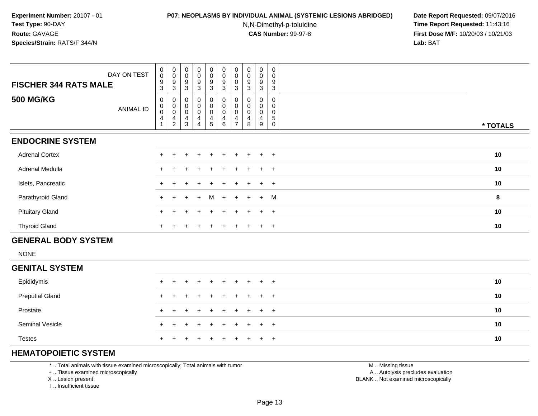### **P07: NEOPLASMS BY INDIVIDUAL ANIMAL (SYSTEMIC LESIONS ABRIDGED) Date Report Requested:** 09/07/2016

N,N-Dimethyl-p-toluidine

 **Time Report Requested:** 11:43:16 **First Dose M/F:** 10/20/03 / 10/21/03<br>**Lab:** BAT **Lab:** BAT

| DAY ON TEST<br><b>FISCHER 344 RATS MALE</b> | $_{\rm 0}^{\rm 0}$<br>9<br>3                    | $\begin{smallmatrix}0\\0\end{smallmatrix}$<br>$\boldsymbol{9}$<br>3                   | $\pmb{0}$<br>$\pmb{0}$<br>$\boldsymbol{9}$<br>3 | $_{\rm 0}^{\rm 0}$<br>9<br>3            | $\begin{smallmatrix}0\0\0\end{smallmatrix}$<br>9<br>3 | $\pmb{0}$<br>$\pmb{0}$<br>$\boldsymbol{9}$<br>3 | $\begin{smallmatrix}0\\0\end{smallmatrix}$<br>$\pmb{0}$<br>3 | $\mathbf 0$<br>$\pmb{0}$<br>9<br>3 | $\boldsymbol{0}$<br>$\pmb{0}$<br>9<br>3 | 0<br>0<br>9<br>3      |          |  |
|---------------------------------------------|-------------------------------------------------|---------------------------------------------------------------------------------------|-------------------------------------------------|-----------------------------------------|-------------------------------------------------------|-------------------------------------------------|--------------------------------------------------------------|------------------------------------|-----------------------------------------|-----------------------|----------|--|
| <b>500 MG/KG</b><br><b>ANIMAL ID</b>        | $\boldsymbol{0}$<br>$\pmb{0}$<br>$\pmb{0}$<br>4 | $\boldsymbol{0}$<br>$\begin{smallmatrix}0\\0\end{smallmatrix}$<br>4<br>$\overline{c}$ | 0<br>$\,0\,$<br>$\,0\,$<br>4<br>3               | 0<br>$\pmb{0}$<br>$\mathbf 0$<br>4<br>4 | 0<br>0<br>0<br>4<br>5                                 | 0<br>$\pmb{0}$<br>$\mathbf 0$<br>4<br>6         | 0<br>$\pmb{0}$<br>$\pmb{0}$<br>4                             | 0<br>0<br>8                        | 0<br>$\pmb{0}$<br>0<br>4<br>9           | 0<br>0<br>0<br>5<br>0 | * TOTALS |  |
| <b>ENDOCRINE SYSTEM</b>                     |                                                 |                                                                                       |                                                 |                                         |                                                       |                                                 |                                                              |                                    |                                         |                       |          |  |
| <b>Adrenal Cortex</b>                       |                                                 |                                                                                       |                                                 |                                         | $\ddot{}$                                             |                                                 |                                                              | $+$                                |                                         | $+$                   | 10       |  |
| Adrenal Medulla                             |                                                 |                                                                                       |                                                 |                                         | $\div$                                                |                                                 | $+$                                                          | $+$                                |                                         | $+$                   | 10       |  |
| Islets, Pancreatic                          | $+$                                             |                                                                                       |                                                 |                                         | $\div$                                                |                                                 | $+$                                                          | $+$                                | $+$ $+$                                 |                       | 10       |  |
| Parathyroid Gland                           | $+$                                             | $+$                                                                                   | $+$                                             | $+$                                     |                                                       | M +                                             | $+$                                                          | $+$                                | $+$ M                                   |                       | 8        |  |
| <b>Pituitary Gland</b>                      | $+$                                             |                                                                                       |                                                 | $\div$                                  | $\pm$                                                 | $+$                                             | $+$                                                          | $+$                                | $+$ $+$                                 |                       | 10       |  |
| <b>Thyroid Gland</b>                        | $+$                                             | $\pm$                                                                                 | ÷                                               | $\pm$                                   | $\overline{+}$                                        | $+$                                             | $+$                                                          | $+$                                | $+$ $+$                                 |                       | 10       |  |
| <b>GENERAL BODY SYSTEM</b>                  |                                                 |                                                                                       |                                                 |                                         |                                                       |                                                 |                                                              |                                    |                                         |                       |          |  |

NONE

| <b>GENITAL SYSTEM</b>  |  |                     |  |  |  |  |    |
|------------------------|--|---------------------|--|--|--|--|----|
| Epididymis             |  | + + + + + + + + + + |  |  |  |  | 10 |
| <b>Preputial Gland</b> |  | + + + + + + + + + + |  |  |  |  | 10 |
| Prostate               |  | + + + + + + + + + + |  |  |  |  | 10 |
| <b>Seminal Vesicle</b> |  | + + + + + + + + + + |  |  |  |  | 10 |
| <b>Testes</b>          |  | + + + + + + + + + + |  |  |  |  | 10 |

# **HEMATOPOIETIC SYSTEM**

\* .. Total animals with tissue examined microscopically; Total animals with tumor

+ .. Tissue examined microscopically

X .. Lesion present

I .. Insufficient tissue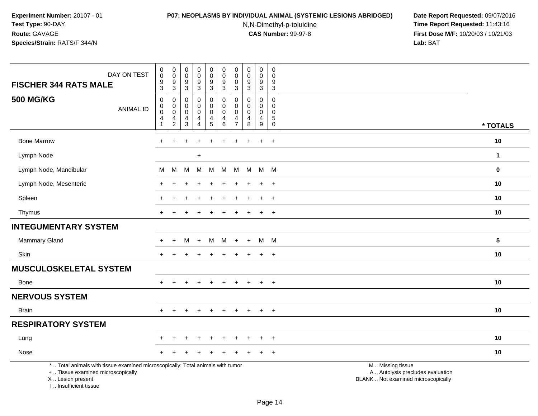#### **P07: NEOPLASMS BY INDIVIDUAL ANIMAL (SYSTEMIC LESIONS ABRIDGED) Date Report Requested:** 09/07/2016

N,N-Dimethyl-p-toluidine

 **Time Report Requested:** 11:43:16 **First Dose M/F:** 10/20/03 / 10/21/03<br>**Lab:** BAT **Lab:** BAT

| DAY ON TEST<br><b>FISCHER 344 RATS MALE</b>                                                                                                | $_{\rm 0}^{\rm 0}$<br>$\boldsymbol{9}$ | $_{\rm 0}^{\rm 0}$<br>$\boldsymbol{9}$    | $\pmb{0}$<br>$\boldsymbol{0}$<br>$\boldsymbol{9}$ | $\begin{smallmatrix} 0\\0 \end{smallmatrix}$<br>$\boldsymbol{9}$ | 0<br>$\tilde{0}$<br>$\boldsymbol{9}$  | $\pmb{0}$<br>$\pmb{0}$<br>$\boldsymbol{9}$ | $\pmb{0}$<br>$\mathbf 0$<br>$\mathbf 0$    | $\pmb{0}$<br>$\mathbf 0$<br>9              | $\mathsf 0$<br>$\ddot{\mathbf{0}}$<br>9 | $\mathsf 0$<br>$\mathbf 0$<br>$\boldsymbol{9}$ |                                                                                               |                 |
|--------------------------------------------------------------------------------------------------------------------------------------------|----------------------------------------|-------------------------------------------|---------------------------------------------------|------------------------------------------------------------------|---------------------------------------|--------------------------------------------|--------------------------------------------|--------------------------------------------|-----------------------------------------|------------------------------------------------|-----------------------------------------------------------------------------------------------|-----------------|
|                                                                                                                                            | 3                                      | $\sqrt{3}$                                | $\mathbf{3}$                                      | $\mathbf{3}$                                                     | 3                                     | $\sqrt{3}$                                 | $\sqrt{3}$                                 | $\mathbf{3}$                               | $\sqrt{3}$                              | $\mathbf{3}$                                   |                                                                                               |                 |
| <b>500 MG/KG</b><br><b>ANIMAL ID</b>                                                                                                       | 0<br>$\pmb{0}$<br>$\mathbf 0$          | $\mathbf 0$<br>$\mathbf 0$<br>$\mathbf 0$ | $\mathbf 0$<br>$\mathbf 0$<br>$\mathbf 0$         | $\mathbf 0$<br>0<br>$\pmb{0}$                                    | 0<br>$\mathbf 0$<br>$\mathbf 0$       | $\mathbf 0$<br>$\mathbf 0$<br>$\mathbf 0$  | $\mathbf 0$<br>$\mathbf 0$<br>$\mathbf{0}$ | $\mathbf 0$<br>$\mathbf{0}$<br>$\mathbf 0$ | 0<br>$\mathbf 0$<br>$\mathbf 0$         | $\mathbf 0$<br>$\mathbf 0$<br>$\mathbf 0$      |                                                                                               |                 |
|                                                                                                                                            | 4<br>$\mathbf{1}$                      | $\frac{4}{2}$                             | $\overline{a}$<br>$\mathbf{3}$                    | $\overline{4}$<br>$\overline{4}$                                 | $\begin{array}{c} 4 \\ 5 \end{array}$ | $\overline{4}$<br>$\,6\,$                  | 4<br>$\overline{7}$                        | $\overline{4}$<br>8                        | $\overline{\mathbf{4}}$<br>$9\,$        | $\sqrt{5}$<br>$\mathbf 0$                      |                                                                                               | * TOTALS        |
| <b>Bone Marrow</b>                                                                                                                         | $\div$                                 | +                                         |                                                   |                                                                  |                                       |                                            |                                            |                                            | $\ddot{}$                               | $\ddot{}$                                      |                                                                                               | 10              |
| Lymph Node                                                                                                                                 |                                        |                                           |                                                   | $\ddot{}$                                                        |                                       |                                            |                                            |                                            |                                         |                                                |                                                                                               | $\mathbf{1}$    |
| Lymph Node, Mandibular                                                                                                                     | м                                      | M                                         | M                                                 | M                                                                | M                                     | M                                          | м                                          | M                                          | M M                                     |                                                |                                                                                               | $\pmb{0}$       |
| Lymph Node, Mesenteric                                                                                                                     |                                        |                                           |                                                   |                                                                  |                                       |                                            |                                            |                                            | ÷                                       | $\pm$                                          |                                                                                               | 10              |
| Spleen                                                                                                                                     |                                        |                                           |                                                   |                                                                  |                                       |                                            |                                            |                                            | $\ddot{}$                               | $^{+}$                                         |                                                                                               | 10              |
| Thymus                                                                                                                                     |                                        |                                           |                                                   |                                                                  |                                       |                                            |                                            |                                            | $\ddot{}$                               | $+$                                            |                                                                                               | 10              |
| <b>INTEGUMENTARY SYSTEM</b>                                                                                                                |                                        |                                           |                                                   |                                                                  |                                       |                                            |                                            |                                            |                                         |                                                |                                                                                               |                 |
| Mammary Gland                                                                                                                              | $\ddot{}$                              | $\ddot{}$                                 | М                                                 | $+$                                                              | M                                     | M                                          | $+$                                        | $+$                                        | M M                                     |                                                |                                                                                               | $5\phantom{.0}$ |
| Skin                                                                                                                                       |                                        |                                           |                                                   |                                                                  |                                       | $\div$                                     |                                            |                                            | $\pm$                                   | $+$                                            |                                                                                               | 10              |
| <b>MUSCULOSKELETAL SYSTEM</b>                                                                                                              |                                        |                                           |                                                   |                                                                  |                                       |                                            |                                            |                                            |                                         |                                                |                                                                                               |                 |
| <b>Bone</b>                                                                                                                                | $+$                                    |                                           |                                                   | $\overline{1}$                                                   | $\pm$                                 | $\ddot{}$                                  |                                            | $\pm$                                      | $+$                                     | $^{+}$                                         |                                                                                               | 10              |
| <b>NERVOUS SYSTEM</b>                                                                                                                      |                                        |                                           |                                                   |                                                                  |                                       |                                            |                                            |                                            |                                         |                                                |                                                                                               |                 |
| <b>Brain</b>                                                                                                                               | $\ddot{}$                              |                                           |                                                   |                                                                  |                                       |                                            |                                            |                                            | $\ddot{}$                               | $^{+}$                                         |                                                                                               | 10              |
| <b>RESPIRATORY SYSTEM</b>                                                                                                                  |                                        |                                           |                                                   |                                                                  |                                       |                                            |                                            |                                            |                                         |                                                |                                                                                               |                 |
| Lung                                                                                                                                       |                                        |                                           |                                                   |                                                                  |                                       |                                            |                                            |                                            | $\ddot{}$                               | $+$                                            |                                                                                               | 10              |
| Nose                                                                                                                                       |                                        |                                           |                                                   |                                                                  |                                       |                                            |                                            |                                            |                                         | $\ddot{}$                                      |                                                                                               | 10              |
| *  Total animals with tissue examined microscopically; Total animals with tumor<br>+  Tissue examined microscopically<br>X  Lesion present |                                        |                                           |                                                   |                                                                  |                                       |                                            |                                            |                                            |                                         |                                                | M  Missing tissue<br>A  Autolysis precludes evaluation<br>BLANK  Not examined microscopically |                 |

I .. Insufficient tissue

Page 14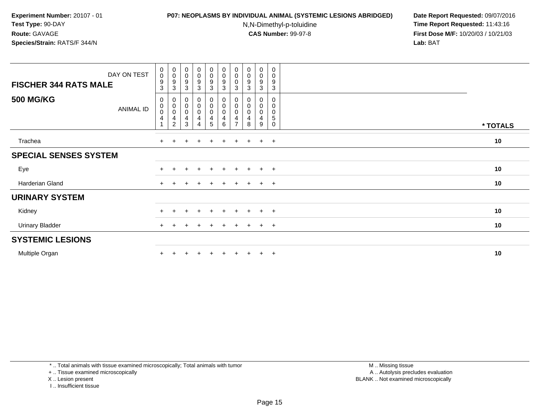#### **P07: NEOPLASMS BY INDIVIDUAL ANIMAL (SYSTEMIC LESIONS ABRIDGED) Date Report Requested:** 09/07/2016

N,N-Dimethyl-p-toluidine

 **Time Report Requested:** 11:43:16 **First Dose M/F:** 10/20/03 / 10/21/03<br>**Lab:** BAT **Lab:** BAT

| DAY ON TEST<br><b>FISCHER 344 RATS MALE</b> | $_{\rm 0}^{\rm 0}$<br>$\boldsymbol{9}$<br>3 | $\begin{matrix} 0 \\ 0 \\ 9 \\ 3 \end{matrix}$                 | $_{\rm 0}^{\rm 0}$<br>$\boldsymbol{9}$<br>$\sqrt{3}$ | $\begin{smallmatrix}0\0\0\end{smallmatrix}$<br>9<br>3 | $\begin{smallmatrix}0\0\0\end{smallmatrix}$<br>$\boldsymbol{9}$<br>$\mathbf{3}$ | $\begin{array}{c} 0 \\ 0 \\ 9 \\ 3 \end{array}$                  | $\begin{smallmatrix} 0\\0 \end{smallmatrix}$<br>$\pmb{0}$<br>$\mathbf{3}$ | $\begin{smallmatrix} 0\\0 \end{smallmatrix}$<br>$\boldsymbol{9}$<br>3 | $\begin{smallmatrix}0\0\0\end{smallmatrix}$<br>$\boldsymbol{9}$<br>3 | 0<br>0<br>9<br>3                |          |  |
|---------------------------------------------|---------------------------------------------|----------------------------------------------------------------|------------------------------------------------------|-------------------------------------------------------|---------------------------------------------------------------------------------|------------------------------------------------------------------|---------------------------------------------------------------------------|-----------------------------------------------------------------------|----------------------------------------------------------------------|---------------------------------|----------|--|
| <b>500 MG/KG</b><br><b>ANIMAL ID</b>        | 0<br>$\mathbf 0$<br>0<br>$\overline{a}$     | $\begin{smallmatrix}0\\0\\0\end{smallmatrix}$<br>$\frac{4}{2}$ | 0<br>$\overline{0}$<br>4<br>3                        | 0<br>$\pmb{0}$<br>$\pmb{0}$<br>$\overline{4}$<br>4    | 0<br>$\pmb{0}$<br>$\pmb{0}$<br>$\overline{\mathbf{4}}$<br>5                     | 0<br>$\overline{0}$ <sub>0</sub><br>$\overline{\mathbf{4}}$<br>6 | 0<br>$\overline{0}$<br>0<br>4<br>$\overline{7}$                           | 0<br>$\boldsymbol{0}$<br>$\pmb{0}$<br>4<br>8                          | 0<br>$\mathbf 0$<br>0<br>4<br>9                                      | 0<br>0<br>0<br>5<br>$\mathbf 0$ | * TOTALS |  |
| Trachea                                     | $+$                                         |                                                                |                                                      | $\div$                                                | $\ddot{}$                                                                       | $\div$                                                           | $\ddot{}$                                                                 | $\ddot{}$                                                             | $+$                                                                  | $+$                             | 10       |  |
| <b>SPECIAL SENSES SYSTEM</b>                |                                             |                                                                |                                                      |                                                       |                                                                                 |                                                                  |                                                                           |                                                                       |                                                                      |                                 |          |  |
| Eye                                         | $+$                                         |                                                                | $+$                                                  | $\overline{+}$                                        | $+$                                                                             | $+$                                                              | $+$                                                                       | $+$                                                                   | $+$                                                                  | $+$                             | 10       |  |
| Harderian Gland                             | $+$                                         |                                                                |                                                      |                                                       | $\pm$                                                                           | $\ddot{}$                                                        | $\pm$                                                                     | $+$                                                                   | $\ddot{}$                                                            | $+$                             | 10       |  |
| <b>URINARY SYSTEM</b>                       |                                             |                                                                |                                                      |                                                       |                                                                                 |                                                                  |                                                                           |                                                                       |                                                                      |                                 |          |  |
| Kidney                                      | $+$                                         | $\pm$                                                          | $\pm$                                                | $\ddot{}$                                             | $+$                                                                             | $+$                                                              | $+$                                                                       | $+$                                                                   | $+$                                                                  | $+$                             | 10       |  |
| <b>Urinary Bladder</b>                      | $+$                                         |                                                                |                                                      |                                                       | $+$                                                                             | $\ddot{}$                                                        | $\ddot{}$                                                                 | $+$                                                                   | $\ddot{}$                                                            | $+$                             | 10       |  |
| <b>SYSTEMIC LESIONS</b>                     |                                             |                                                                |                                                      |                                                       |                                                                                 |                                                                  |                                                                           |                                                                       |                                                                      |                                 |          |  |
| Multiple Organ                              |                                             |                                                                |                                                      |                                                       |                                                                                 |                                                                  |                                                                           |                                                                       | $\pm$                                                                | $+$                             | 10       |  |

\* .. Total animals with tissue examined microscopically; Total animals with tumor

+ .. Tissue examined microscopically

X .. Lesion present

I .. Insufficient tissue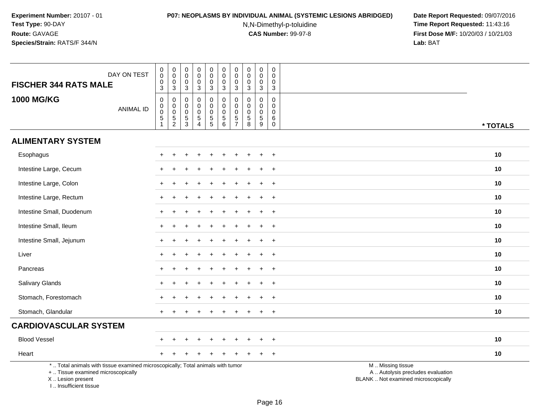# **P07: NEOPLASMS BY INDIVIDUAL ANIMAL (SYSTEMIC LESIONS ABRIDGED) Date Report Requested:** 09/07/2016

N,N-Dimethyl-p-toluidine

| DAY ON TEST<br><b>FISCHER 344 RATS MALE</b>                                                                                                                          | 0<br>$\ddot{\mathbf{0}}$<br>$\pmb{0}$<br>$\mathbf{3}$ | $_{\rm 0}^{\rm 0}$<br>$\mathbf 0$<br>3          | 0<br>$\mathbf 0$<br>0<br>3                                   | $\mathbf 0$<br>$\mathbf 0$<br>$\mathbf 0$<br>3                                     | $\pmb{0}$<br>$\mathsf{O}\xspace$<br>0<br>3                  | $\pmb{0}$<br>$\mathsf{O}\xspace$<br>0<br>$\mathbf{3}$  | $\pmb{0}$<br>$\pmb{0}$<br>$\pmb{0}$<br>$\mathbf{3}$                 | $\pmb{0}$<br>$\mathbf 0$<br>0<br>$\mathbf{3}$                | $\pmb{0}$<br>$\mathbf 0$<br>$\mathbf 0$<br>3                 | $\mathbf 0$<br>$\mathbf 0$<br>$\mathbf 0$<br>$\mathbf{3}$ |                                                                                               |
|----------------------------------------------------------------------------------------------------------------------------------------------------------------------|-------------------------------------------------------|-------------------------------------------------|--------------------------------------------------------------|------------------------------------------------------------------------------------|-------------------------------------------------------------|--------------------------------------------------------|---------------------------------------------------------------------|--------------------------------------------------------------|--------------------------------------------------------------|-----------------------------------------------------------|-----------------------------------------------------------------------------------------------|
| <b>1000 MG/KG</b><br><b>ANIMAL ID</b>                                                                                                                                | $\pmb{0}$<br>$_{\rm 0}^{\rm 0}$<br>$\overline{5}$     | $\,0\,$<br>$\mathsf{O}\xspace$<br>$\frac{0}{5}$ | $\mathbf 0$<br>$\mathbf 0$<br>$\mathbf 0$<br>$\sqrt{5}$<br>3 | $\mathbf 0$<br>$\mathbf 0$<br>$\mathbf 0$<br>$\,$ 5 $\,$<br>$\boldsymbol{\Lambda}$ | $\mathbf 0$<br>$\mathsf 0$<br>$\pmb{0}$<br>$\,$ 5 $\,$<br>5 | $\mathbf 0$<br>0<br>$\mathbf 0$<br>$\overline{5}$<br>6 | $\pmb{0}$<br>$\pmb{0}$<br>$\pmb{0}$<br>$\sqrt{5}$<br>$\overline{7}$ | $\mathbf 0$<br>$\mathbf 0$<br>$\mathbf 0$<br>$\sqrt{5}$<br>8 | $\mathbf 0$<br>$\mathbf 0$<br>$\mathbf 0$<br>$\sqrt{5}$<br>9 | $\Omega$<br>0<br>$\mathbf 0$<br>$\,6\,$<br>$\mathbf 0$    | * TOTALS                                                                                      |
| <b>ALIMENTARY SYSTEM</b>                                                                                                                                             |                                                       |                                                 |                                                              |                                                                                    |                                                             |                                                        |                                                                     |                                                              |                                                              |                                                           |                                                                                               |
| Esophagus                                                                                                                                                            | $\pm$                                                 |                                                 |                                                              |                                                                                    |                                                             |                                                        |                                                                     |                                                              |                                                              | $+$                                                       | 10                                                                                            |
| Intestine Large, Cecum                                                                                                                                               |                                                       |                                                 |                                                              |                                                                                    |                                                             |                                                        |                                                                     |                                                              |                                                              | $\overline{+}$                                            | 10                                                                                            |
| Intestine Large, Colon                                                                                                                                               |                                                       |                                                 |                                                              |                                                                                    |                                                             |                                                        |                                                                     |                                                              |                                                              | $\ddot{}$                                                 | 10                                                                                            |
| Intestine Large, Rectum                                                                                                                                              | $+$                                                   |                                                 |                                                              |                                                                                    |                                                             |                                                        |                                                                     |                                                              |                                                              | $+$                                                       | 10                                                                                            |
| Intestine Small, Duodenum                                                                                                                                            |                                                       |                                                 |                                                              |                                                                                    |                                                             |                                                        |                                                                     |                                                              |                                                              | $\overline{+}$                                            | 10                                                                                            |
| Intestine Small, Ileum                                                                                                                                               |                                                       |                                                 |                                                              |                                                                                    |                                                             |                                                        |                                                                     |                                                              |                                                              | $\ddot{}$                                                 | 10                                                                                            |
| Intestine Small, Jejunum                                                                                                                                             | $+$                                                   |                                                 |                                                              |                                                                                    |                                                             |                                                        |                                                                     |                                                              | $\div$                                                       | $+$                                                       | 10                                                                                            |
| Liver                                                                                                                                                                | $+$                                                   |                                                 |                                                              |                                                                                    |                                                             |                                                        |                                                                     |                                                              |                                                              | $+$                                                       | 10                                                                                            |
| Pancreas                                                                                                                                                             |                                                       |                                                 |                                                              |                                                                                    |                                                             |                                                        |                                                                     |                                                              |                                                              | $\overline{+}$                                            | 10                                                                                            |
| Salivary Glands                                                                                                                                                      |                                                       |                                                 |                                                              |                                                                                    |                                                             |                                                        |                                                                     |                                                              |                                                              | $\overline{+}$                                            | 10                                                                                            |
| Stomach, Forestomach                                                                                                                                                 |                                                       |                                                 |                                                              |                                                                                    |                                                             |                                                        |                                                                     |                                                              |                                                              | $\overline{+}$                                            | 10                                                                                            |
| Stomach, Glandular                                                                                                                                                   |                                                       |                                                 |                                                              |                                                                                    |                                                             |                                                        |                                                                     |                                                              |                                                              | $+$                                                       | 10                                                                                            |
| <b>CARDIOVASCULAR SYSTEM</b>                                                                                                                                         |                                                       |                                                 |                                                              |                                                                                    |                                                             |                                                        |                                                                     |                                                              |                                                              |                                                           |                                                                                               |
| <b>Blood Vessel</b>                                                                                                                                                  |                                                       |                                                 |                                                              |                                                                                    |                                                             |                                                        |                                                                     |                                                              |                                                              | $\overline{+}$                                            | 10                                                                                            |
| Heart                                                                                                                                                                |                                                       |                                                 |                                                              |                                                                                    |                                                             |                                                        |                                                                     |                                                              |                                                              | $+$                                                       | 10                                                                                            |
| *  Total animals with tissue examined microscopically; Total animals with tumor<br>+  Tissue examined microscopically<br>X  Lesion present<br>I  Insufficient tissue |                                                       |                                                 |                                                              |                                                                                    |                                                             |                                                        |                                                                     |                                                              |                                                              |                                                           | M  Missing tissue<br>A  Autolysis precludes evaluation<br>BLANK  Not examined microscopically |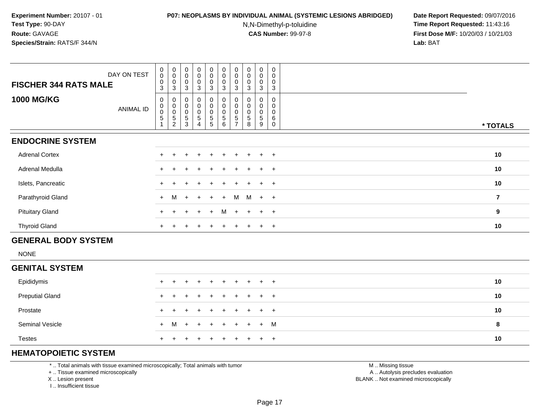### **P07: NEOPLASMS BY INDIVIDUAL ANIMAL (SYSTEMIC LESIONS ABRIDGED) Date Report Requested:** 09/07/2016

N,N-Dimethyl-p-toluidine

 **Time Report Requested:** 11:43:16 **First Dose M/F:** 10/20/03 / 10/21/03<br>**Lab:** BAT **Lab:** BAT

| DAY ON TEST<br><b>FISCHER 344 RATS MALE</b> | $\begin{smallmatrix} 0\\0 \end{smallmatrix}$<br>$\pmb{0}$<br>3 | $\begin{smallmatrix}0\\0\end{smallmatrix}$<br>$\pmb{0}$<br>$\sqrt{3}$               | $\begin{smallmatrix} 0\\0 \end{smallmatrix}$<br>$\pmb{0}$<br>3 | $\begin{smallmatrix} 0\\0 \end{smallmatrix}$<br>0<br>$\mathbf{3}$ | $\begin{smallmatrix}0\0\0\end{smallmatrix}$<br>0<br>3 | $\pmb{0}$<br>$\overline{0}$<br>$\pmb{0}$<br>3 | $\begin{smallmatrix}0\0\0\end{smallmatrix}$<br>$\pmb{0}$<br>3 | 0<br>$\pmb{0}$<br>0<br>3 | $\begin{smallmatrix} 0\\0 \end{smallmatrix}$<br>$\mathbf 0$<br>3 | 0<br>0<br>0<br>3      |                |  |
|---------------------------------------------|----------------------------------------------------------------|-------------------------------------------------------------------------------------|----------------------------------------------------------------|-------------------------------------------------------------------|-------------------------------------------------------|-----------------------------------------------|---------------------------------------------------------------|--------------------------|------------------------------------------------------------------|-----------------------|----------------|--|
| <b>1000 MG/KG</b><br><b>ANIMAL ID</b>       | 0<br>$_{\rm 0}^{\rm 0}$<br>5                                   | 0<br>$\begin{smallmatrix}0\\0\end{smallmatrix}$<br>$\overline{5}$<br>$\overline{c}$ | $\pmb{0}$<br>$\,0\,$<br>$\pmb{0}$<br>$\sqrt{5}$<br>$\sqrt{3}$  | 0<br>$\mathbf 0$<br>$\mathsf 0$<br>$\mathbf 5$<br>$\overline{4}$  | 0<br>$\mathsf 0$<br>$\mathbf 0$<br>5<br>5             | $\pmb{0}$<br>$\pmb{0}$<br>$\mathbf 5$<br>6    | 0<br>$\pmb{0}$<br>$\pmb{0}$<br>$\mathbf 5$<br>$\overline{ }$  | 0<br>0<br>5<br>8         | 0<br>$\pmb{0}$<br>$\pmb{0}$<br>$\sqrt{5}$<br>9                   | 0<br>0<br>0<br>6<br>0 | * TOTALS       |  |
| <b>ENDOCRINE SYSTEM</b>                     |                                                                |                                                                                     |                                                                |                                                                   |                                                       |                                               |                                                               |                          |                                                                  |                       |                |  |
| <b>Adrenal Cortex</b>                       |                                                                |                                                                                     |                                                                |                                                                   | $\ddot{}$                                             |                                               | $+$                                                           | $+$                      | $+$                                                              | $+$                   | 10             |  |
| Adrenal Medulla                             |                                                                |                                                                                     |                                                                |                                                                   | $\pm$                                                 | $+$                                           | $+$                                                           | $+$                      |                                                                  | $+$ $+$               | 10             |  |
| Islets, Pancreatic                          |                                                                |                                                                                     |                                                                |                                                                   | $\ddot{}$                                             | $+$                                           | $+$                                                           | $+$                      | $+$                                                              | $+$                   | 10             |  |
| Parathyroid Gland                           | $+$                                                            | M                                                                                   | $+$                                                            | $+$                                                               | $+$                                                   | $+$                                           | M                                                             | M                        |                                                                  | $+$ $+$               | $\overline{7}$ |  |
| <b>Pituitary Gland</b>                      |                                                                |                                                                                     |                                                                | $\ddot{}$                                                         | $+$                                                   | M                                             | $+$                                                           | $+$                      | $+$                                                              | $+$                   | 9              |  |
| <b>Thyroid Gland</b>                        | $+$                                                            | $\pm$                                                                               | +                                                              | $\pm$                                                             | $\pm$                                                 | $+$                                           | $+$                                                           | $+$                      |                                                                  | $+$ $+$               | 10             |  |
| <b>GENERAL BODY SYSTEM</b>                  |                                                                |                                                                                     |                                                                |                                                                   |                                                       |                                               |                                                               |                          |                                                                  |                       |                |  |

NONE

#### **GENITAL SYSTEM**Epididymis <sup>+</sup> <sup>+</sup> <sup>+</sup> <sup>+</sup> <sup>+</sup> <sup>+</sup> <sup>+</sup> <sup>+</sup> <sup>+</sup> <sup>+</sup> **<sup>10</sup>** Preputial Glandd  $+$  <sup>+</sup> <sup>+</sup> <sup>+</sup> <sup>+</sup> <sup>+</sup> <sup>+</sup> <sup>+</sup> <sup>+</sup> <sup>+</sup> **<sup>10</sup>** Prostate $e$  + <sup>+</sup> <sup>+</sup> <sup>+</sup> <sup>+</sup> <sup>+</sup> <sup>+</sup> <sup>+</sup> <sup>+</sup> <sup>+</sup> **<sup>10</sup>** Seminal Vesicle $e$  + <sup>M</sup> <sup>+</sup> <sup>+</sup> <sup>+</sup> <sup>+</sup> <sup>+</sup> <sup>+</sup> <sup>+</sup> <sup>M</sup> **<sup>8</sup>** Testes <sup>+</sup><sup>+</sup> <sup>+</sup> <sup>+</sup> <sup>+</sup> <sup>+</sup> <sup>+</sup> <sup>+</sup> <sup>+</sup> <sup>+</sup> **<sup>10</sup>**

# **HEMATOPOIETIC SYSTEM**

\* .. Total animals with tissue examined microscopically; Total animals with tumor

+ .. Tissue examined microscopically

X .. Lesion present

I .. Insufficient tissue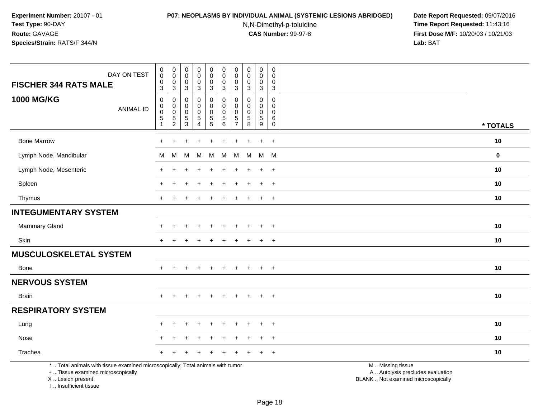# **P07: NEOPLASMS BY INDIVIDUAL ANIMAL (SYSTEMIC LESIONS ABRIDGED) Date Report Requested:** 09/07/2016

N,N-Dimethyl-p-toluidine

 **Time Report Requested:** 11:43:16 **First Dose M/F:** 10/20/03 / 10/21/03<br>**Lab:** BAT **Lab:** BAT

| DAY ON TEST<br><b>FISCHER 344 RATS MALE</b>                                                                                                | $\pmb{0}$<br>$\mathbf 0$<br>0 | $\pmb{0}$<br>$\pmb{0}$<br>$\mathbf 0$ | $\pmb{0}$<br>$\boldsymbol{0}$<br>$\mathbf 0$ | $\pmb{0}$<br>$\mathsf{O}\xspace$<br>0 | 0<br>$\mathbf 0$<br>0 | $\pmb{0}$<br>$\pmb{0}$<br>$\mathbf 0$          | $\mathbf 0$<br>0<br>$\mathbf 0$             | $\pmb{0}$<br>$\mathbf 0$<br>$\mathbf 0$ | $\pmb{0}$<br>$\pmb{0}$<br>0 | $\pmb{0}$<br>$\mathbf 0$<br>$\mathbf 0$        |                                                                                               |             |
|--------------------------------------------------------------------------------------------------------------------------------------------|-------------------------------|---------------------------------------|----------------------------------------------|---------------------------------------|-----------------------|------------------------------------------------|---------------------------------------------|-----------------------------------------|-----------------------------|------------------------------------------------|-----------------------------------------------------------------------------------------------|-------------|
| <b>1000 MG/KG</b><br><b>ANIMAL ID</b>                                                                                                      | 3<br>0<br>0<br>$\mathbf 0$    | $\mathbf{3}$<br>0<br>0<br>$\mathbf 0$ | 3<br>$\Omega$<br>$\mathbf 0$<br>$\mathbf 0$  | 3<br>0<br>$\mathbf 0$<br>$\mathbf 0$  | 3<br>0<br>0<br>0      | 3<br>$\mathbf 0$<br>$\mathbf 0$<br>$\mathbf 0$ | 3<br>$\Omega$<br>$\mathbf 0$<br>$\mathbf 0$ | 3<br>$\Omega$<br>0<br>$\mathbf 0$       | 3<br>0<br>0<br>0            | 3<br>$\mathbf 0$<br>$\mathbf 0$<br>$\mathbf 0$ |                                                                                               |             |
|                                                                                                                                            | 5<br>$\overline{1}$           | $\frac{5}{2}$                         | $\frac{5}{3}$                                | $\mathbf 5$<br>$\overline{4}$         | $\frac{5}{5}$         | $\begin{array}{c} 5 \\ 6 \end{array}$          | $\,$ 5 $\,$<br>$\overline{7}$               | $\,$ 5 $\,$<br>8                        | $\frac{5}{9}$               | 6<br>$\mathbf 0$                               |                                                                                               | * TOTALS    |
| <b>Bone Marrow</b>                                                                                                                         | ÷                             |                                       |                                              |                                       |                       |                                                |                                             |                                         | $\ddot{}$                   | $^{+}$                                         |                                                                                               | 10          |
| Lymph Node, Mandibular                                                                                                                     | м                             | м                                     | M                                            | M                                     | M                     | M                                              | M                                           | M                                       |                             | M M                                            |                                                                                               | $\mathbf 0$ |
| Lymph Node, Mesenteric                                                                                                                     |                               |                                       |                                              |                                       |                       |                                                |                                             |                                         | $\ddot{}$                   | $+$                                            |                                                                                               | 10          |
| Spleen                                                                                                                                     |                               |                                       |                                              |                                       |                       |                                                |                                             |                                         | $\ddot{}$                   | $\overline{ }$                                 |                                                                                               | 10          |
| Thymus                                                                                                                                     | $\ddot{}$                     |                                       |                                              |                                       |                       |                                                |                                             |                                         | $\pm$                       | $+$                                            |                                                                                               | 10          |
| <b>INTEGUMENTARY SYSTEM</b>                                                                                                                |                               |                                       |                                              |                                       |                       |                                                |                                             |                                         |                             |                                                |                                                                                               |             |
| Mammary Gland                                                                                                                              |                               |                                       |                                              |                                       |                       |                                                |                                             |                                         | $\ddot{}$                   | $\ddot{}$                                      |                                                                                               | 10          |
| Skin                                                                                                                                       |                               |                                       |                                              |                                       |                       |                                                |                                             |                                         | $\ddot{}$                   | $+$                                            |                                                                                               | 10          |
| <b>MUSCULOSKELETAL SYSTEM</b>                                                                                                              |                               |                                       |                                              |                                       |                       |                                                |                                             |                                         |                             |                                                |                                                                                               |             |
| Bone                                                                                                                                       |                               |                                       |                                              |                                       |                       |                                                |                                             |                                         |                             | $^{+}$                                         |                                                                                               | 10          |
| <b>NERVOUS SYSTEM</b>                                                                                                                      |                               |                                       |                                              |                                       |                       |                                                |                                             |                                         |                             |                                                |                                                                                               |             |
| <b>Brain</b>                                                                                                                               | $+$                           | $+$                                   | $\ddot{}$                                    | $+$                                   | $+$                   | $+$                                            | $+$                                         | $+$                                     | $+$                         | $+$                                            |                                                                                               | 10          |
| <b>RESPIRATORY SYSTEM</b>                                                                                                                  |                               |                                       |                                              |                                       |                       |                                                |                                             |                                         |                             |                                                |                                                                                               |             |
| Lung                                                                                                                                       |                               |                                       |                                              |                                       |                       |                                                |                                             |                                         | ÷                           | $^{+}$                                         |                                                                                               | 10          |
| Nose                                                                                                                                       |                               |                                       |                                              |                                       |                       |                                                |                                             |                                         | $\ddot{}$                   | $+$                                            |                                                                                               | 10          |
| Trachea                                                                                                                                    |                               |                                       |                                              |                                       |                       |                                                |                                             |                                         |                             | $\overline{+}$                                 |                                                                                               | 10          |
| *  Total animals with tissue examined microscopically; Total animals with tumor<br>+  Tissue examined microscopically<br>X  Lesion present |                               |                                       |                                              |                                       |                       |                                                |                                             |                                         |                             |                                                | M  Missing tissue<br>A  Autolysis precludes evaluation<br>BLANK  Not examined microscopically |             |

I .. Insufficient tissue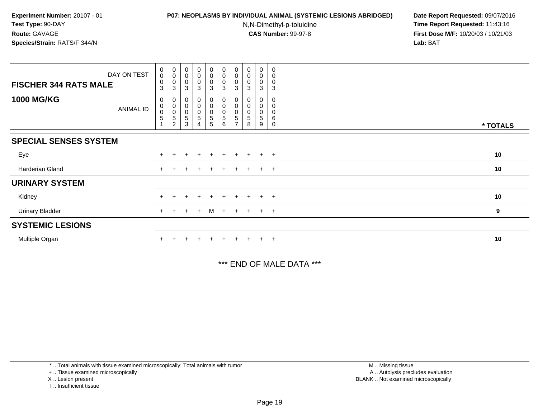# **P07: NEOPLASMS BY INDIVIDUAL ANIMAL (SYSTEMIC LESIONS ABRIDGED) Date Report Requested:** 09/07/2016

N,N-Dimethyl-p-toluidine

 **Time Report Requested:** 11:43:16 **First Dose M/F:** 10/20/03 / 10/21/03<br>**Lab:** BAT **Lab:** BAT

| DAY ON TEST                    | $\pmb{0}$<br>$\pmb{0}$<br>$\mathbf 0$ | $\begin{smallmatrix} 0\\0 \end{smallmatrix}$<br>$\,0\,$ | $\pmb{0}$<br>$\pmb{0}$<br>$\pmb{0}$     | $_0^0$<br>$\boldsymbol{0}$                          | $_0^0$<br>0           | $_{\rm 0}^{\rm 0}$<br>$\pmb{0}$                | $\pmb{0}$<br>$\pmb{0}$<br>0           | $\pmb{0}$<br>$\pmb{0}$<br>$\mathbf 0$ | 0<br>$\pmb{0}$<br>$\mathbf 0$   | $\pmb{0}$<br>0<br>0   |          |
|--------------------------------|---------------------------------------|---------------------------------------------------------|-----------------------------------------|-----------------------------------------------------|-----------------------|------------------------------------------------|---------------------------------------|---------------------------------------|---------------------------------|-----------------------|----------|
| <b>FISCHER 344 RATS MALE</b>   | 3                                     | 3                                                       | 3                                       | 3                                                   | $\mathbf{3}$          | $\mathbf{3}$                                   | 3                                     | 3                                     | 3                               | 3                     |          |
| <b>1000 MG/KG</b><br>ANIMAL ID | 0<br>$\,0\,$<br>$\pmb{0}$<br>5        | $\pmb{0}$<br>$\overline{0}$<br>$\mathbf 5$<br>2         | $\boldsymbol{0}$<br>$\pmb{0}$<br>5<br>3 | 0<br>$\begin{matrix} 0 \\ 0 \end{matrix}$<br>5<br>4 | 0<br>0<br>0<br>5<br>5 | 0<br>$\pmb{0}$<br>$\pmb{0}$<br>$\sqrt{5}$<br>6 | $\pmb{0}$<br>0<br>5<br>$\overline{ }$ | 0<br>5<br>8                           | 0<br>$\mathbf 0$<br>0<br>5<br>9 | 0<br>0<br>0<br>6<br>0 | * TOTALS |
|                                |                                       |                                                         |                                         |                                                     |                       |                                                |                                       |                                       |                                 |                       |          |
| <b>SPECIAL SENSES SYSTEM</b>   |                                       |                                                         |                                         |                                                     |                       |                                                |                                       |                                       |                                 |                       |          |
| Eye                            |                                       |                                                         |                                         |                                                     | $\pm$                 |                                                |                                       | $\div$                                | $\pm$                           | $+$                   | 10       |
| Harderian Gland                |                                       |                                                         |                                         |                                                     | $\pm$                 | $\pm$                                          | $\pm$                                 | $+$                                   | $+$                             | $+$                   | 10       |
| <b>URINARY SYSTEM</b>          |                                       |                                                         |                                         |                                                     |                       |                                                |                                       |                                       |                                 |                       |          |
| Kidney                         |                                       |                                                         |                                         |                                                     | ÷                     |                                                |                                       |                                       | $+$                             | $+$                   | 10       |
| <b>Urinary Bladder</b>         |                                       |                                                         |                                         | $+$                                                 | м                     | $+$                                            | $+$                                   | $+$                                   | $+$                             | $+$                   | 9        |
| <b>SYSTEMIC LESIONS</b>        |                                       |                                                         |                                         |                                                     |                       |                                                |                                       |                                       |                                 |                       |          |
| Multiple Organ                 |                                       |                                                         |                                         |                                                     | $+$                   |                                                |                                       |                                       | $+$                             | $+$                   | 10       |

\*\*\* END OF MALE DATA \*\*\*

\* .. Total animals with tissue examined microscopically; Total animals with tumor

+ .. Tissue examined microscopically

X .. Lesion present

I .. Insufficient tissue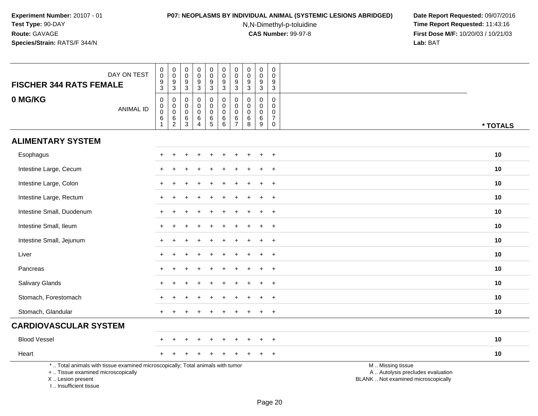## **P07: NEOPLASMS BY INDIVIDUAL ANIMAL (SYSTEMIC LESIONS ABRIDGED) Date Report Requested:** 09/07/2016

N,N-Dimethyl-p-toluidine

| DAY ON TEST<br><b>FISCHER 344 RATS FEMALE</b>                                                                                                                      | $\pmb{0}$<br>$\pmb{0}$<br>$\frac{9}{3}$                             | $_{\rm 0}^{\rm 0}$<br>$\frac{9}{3}$                                             | $\boldsymbol{0}$<br>$\ddot{\mathbf{0}}$<br>$\frac{9}{3}$           | $\pmb{0}$<br>$\mathsf{O}\xspace$<br>$\frac{9}{3}$                      | $\pmb{0}$<br>$\pmb{0}$<br>$\frac{9}{3}$         | $\pmb{0}$<br>$\overline{0}$<br>$\frac{9}{3}$                                      | $\pmb{0}$<br>$\mathbf 0$<br>9<br>$\overline{3}$                        | $\pmb{0}$<br>$\mathbf 0$<br>9<br>$\mathbf{3}$   | $\mathbf 0$<br>$\mathbf 0$<br>$\boldsymbol{9}$<br>3     | 0<br>$\Omega$<br>9<br>3                                       |                                                                                               |
|--------------------------------------------------------------------------------------------------------------------------------------------------------------------|---------------------------------------------------------------------|---------------------------------------------------------------------------------|--------------------------------------------------------------------|------------------------------------------------------------------------|-------------------------------------------------|-----------------------------------------------------------------------------------|------------------------------------------------------------------------|-------------------------------------------------|---------------------------------------------------------|---------------------------------------------------------------|-----------------------------------------------------------------------------------------------|
| 0 MG/KG<br><b>ANIMAL ID</b>                                                                                                                                        | $\mathbf 0$<br>$_{\rm 0}^{\rm 0}$<br>$6\phantom{a}$<br>$\mathbf{1}$ | $\pmb{0}$<br>$\mathsf 0$<br>$\ddot{\mathbf{0}}$<br>$6\phantom{a}$<br>$\sqrt{2}$ | $\mathbf 0$<br>$\mathbf 0$<br>$\mathbf 0$<br>$\,6$<br>$\mathbf{3}$ | $\mathbf 0$<br>$\mathbf 0$<br>$\mathbf 0$<br>$\,6\,$<br>$\overline{4}$ | 0<br>$\mathbf 0$<br>$\mathbf 0$<br>$\,6\,$<br>5 | $\boldsymbol{0}$<br>$\mathsf{O}\xspace$<br>$\mathbf 0$<br>$\,6$<br>$6\phantom{1}$ | $\mathbf 0$<br>$\mathbf 0$<br>$\mathbf 0$<br>$\,6\,$<br>$\overline{7}$ | $\mathbf 0$<br>$\mathbf 0$<br>0<br>$\,6\,$<br>8 | $\mathbf 0$<br>$\mathbf 0$<br>$\mathbf 0$<br>$\,6$<br>9 | $\Omega$<br>0<br>$\mathbf 0$<br>$\overline{7}$<br>$\mathbf 0$ | * TOTALS                                                                                      |
| <b>ALIMENTARY SYSTEM</b>                                                                                                                                           |                                                                     |                                                                                 |                                                                    |                                                                        |                                                 |                                                                                   |                                                                        |                                                 |                                                         |                                                               |                                                                                               |
| Esophagus                                                                                                                                                          | $+$                                                                 | $\div$                                                                          |                                                                    |                                                                        |                                                 |                                                                                   |                                                                        |                                                 |                                                         | $+$                                                           | 10                                                                                            |
| Intestine Large, Cecum                                                                                                                                             |                                                                     |                                                                                 |                                                                    |                                                                        |                                                 |                                                                                   |                                                                        |                                                 |                                                         | $\overline{+}$                                                | 10                                                                                            |
| Intestine Large, Colon                                                                                                                                             |                                                                     |                                                                                 |                                                                    |                                                                        |                                                 |                                                                                   |                                                                        |                                                 |                                                         | $+$                                                           | 10                                                                                            |
| Intestine Large, Rectum                                                                                                                                            | $+$                                                                 |                                                                                 |                                                                    |                                                                        |                                                 |                                                                                   |                                                                        |                                                 |                                                         | $+$                                                           | 10                                                                                            |
| Intestine Small, Duodenum                                                                                                                                          |                                                                     |                                                                                 |                                                                    |                                                                        |                                                 |                                                                                   |                                                                        |                                                 |                                                         | $+$                                                           | 10                                                                                            |
| Intestine Small, Ileum                                                                                                                                             |                                                                     |                                                                                 |                                                                    |                                                                        |                                                 |                                                                                   |                                                                        |                                                 |                                                         | $\ddot{}$                                                     | 10                                                                                            |
| Intestine Small, Jejunum                                                                                                                                           | $+$                                                                 |                                                                                 |                                                                    |                                                                        |                                                 |                                                                                   |                                                                        |                                                 | ÷                                                       | $+$                                                           | 10                                                                                            |
| Liver                                                                                                                                                              |                                                                     |                                                                                 |                                                                    |                                                                        |                                                 |                                                                                   |                                                                        |                                                 |                                                         | $+$                                                           | 10                                                                                            |
| Pancreas                                                                                                                                                           |                                                                     |                                                                                 |                                                                    |                                                                        |                                                 |                                                                                   |                                                                        |                                                 |                                                         | $+$                                                           | 10                                                                                            |
| Salivary Glands                                                                                                                                                    |                                                                     |                                                                                 |                                                                    |                                                                        |                                                 |                                                                                   |                                                                        |                                                 |                                                         | $^{+}$                                                        | 10                                                                                            |
| Stomach, Forestomach                                                                                                                                               |                                                                     |                                                                                 |                                                                    |                                                                        |                                                 |                                                                                   |                                                                        |                                                 |                                                         | $+$                                                           | 10                                                                                            |
| Stomach, Glandular                                                                                                                                                 |                                                                     |                                                                                 |                                                                    |                                                                        |                                                 |                                                                                   |                                                                        |                                                 |                                                         | $+$                                                           | 10                                                                                            |
| <b>CARDIOVASCULAR SYSTEM</b>                                                                                                                                       |                                                                     |                                                                                 |                                                                    |                                                                        |                                                 |                                                                                   |                                                                        |                                                 |                                                         |                                                               |                                                                                               |
| <b>Blood Vessel</b>                                                                                                                                                |                                                                     |                                                                                 |                                                                    |                                                                        |                                                 |                                                                                   |                                                                        |                                                 |                                                         | $\overline{+}$                                                | 10                                                                                            |
| Heart                                                                                                                                                              |                                                                     |                                                                                 |                                                                    |                                                                        |                                                 |                                                                                   |                                                                        |                                                 |                                                         | $+$                                                           | 10                                                                                            |
| *  Total animals with tissue examined microscopically; Total animals with tumor<br>+  Tissue examined microscopically<br>X Lesion present<br>I Insufficient tissue |                                                                     |                                                                                 |                                                                    |                                                                        |                                                 |                                                                                   |                                                                        |                                                 |                                                         |                                                               | M  Missing tissue<br>A  Autolysis precludes evaluation<br>BLANK  Not examined microscopically |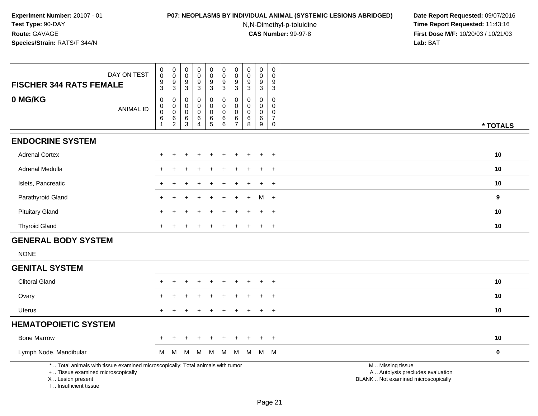I .. Insufficient tissue

# **P07: NEOPLASMS BY INDIVIDUAL ANIMAL (SYSTEMIC LESIONS ABRIDGED) Date Report Requested:** 09/07/2016

N,N-Dimethyl-p-toluidine

| <b>FISCHER 344 RATS FEMALE</b>                                                                                                             | DAY ON TEST      | 0<br>0<br>9<br>3                                    | $\pmb{0}$<br>$\pmb{0}$<br>9<br>$\mathbf{3}$                          | 0<br>0<br>9<br>3                | $\pmb{0}$<br>$\mathbf 0$<br>$\frac{9}{3}$    | $_{\rm 0}^{\rm 0}$<br>$\frac{9}{3}$                              | $_{\rm 0}^{\rm 0}$<br>$\frac{9}{3}$                         | $\pmb{0}$<br>$\mathbf 0$<br>9<br>$\mathbf{3}$                      | $\pmb{0}$<br>$\mathbf 0$<br>9<br>3 | $_{\rm 0}^{\rm 0}$<br>$\frac{9}{3}$                          | 0<br>$\Omega$<br>9<br>3                                |                                                                                               |
|--------------------------------------------------------------------------------------------------------------------------------------------|------------------|-----------------------------------------------------|----------------------------------------------------------------------|---------------------------------|----------------------------------------------|------------------------------------------------------------------|-------------------------------------------------------------|--------------------------------------------------------------------|------------------------------------|--------------------------------------------------------------|--------------------------------------------------------|-----------------------------------------------------------------------------------------------|
| 0 MG/KG                                                                                                                                    | <b>ANIMAL ID</b> | 0<br>$\,0\,$<br>$\overline{0}$<br>6<br>$\mathbf{1}$ | $\pmb{0}$<br>$\mathbf 0$<br>$\mathbf 0$<br>$\,6\,$<br>$\overline{2}$ | $\mathbf 0$<br>0<br>0<br>6<br>3 | $\mathbf 0$<br>0<br>0<br>6<br>$\overline{4}$ | $\pmb{0}$<br>$\pmb{0}$<br>$\pmb{0}$<br>$\,6\,$<br>$\overline{5}$ | $\mathbf 0$<br>$\pmb{0}$<br>$\pmb{0}$<br>$\,6\,$<br>$\,6\,$ | $\pmb{0}$<br>$\mathbf 0$<br>$\mathbf 0$<br>$\,6$<br>$\overline{7}$ | 0<br>0<br>$\mathbf 0$<br>6<br>8    | 0<br>$\pmb{0}$<br>$\mathbf 0$<br>$\,6\,$<br>$\boldsymbol{9}$ | 0<br>0<br>$\mathbf 0$<br>$\overline{7}$<br>$\mathbf 0$ | * TOTALS                                                                                      |
| <b>ENDOCRINE SYSTEM</b>                                                                                                                    |                  |                                                     |                                                                      |                                 |                                              |                                                                  |                                                             |                                                                    |                                    |                                                              |                                                        |                                                                                               |
| <b>Adrenal Cortex</b>                                                                                                                      |                  |                                                     |                                                                      |                                 |                                              |                                                                  |                                                             |                                                                    |                                    |                                                              | $\overline{1}$                                         | 10                                                                                            |
| Adrenal Medulla                                                                                                                            |                  | $\ddot{}$                                           |                                                                      |                                 |                                              |                                                                  |                                                             |                                                                    |                                    |                                                              | $+$                                                    | 10                                                                                            |
| Islets, Pancreatic                                                                                                                         |                  | $+$                                                 |                                                                      |                                 |                                              |                                                                  |                                                             |                                                                    |                                    |                                                              | $\ddot{}$                                              | 10                                                                                            |
| Parathyroid Gland                                                                                                                          |                  |                                                     |                                                                      |                                 |                                              |                                                                  |                                                             |                                                                    |                                    | M                                                            | $+$                                                    | $\boldsymbol{9}$                                                                              |
| <b>Pituitary Gland</b>                                                                                                                     |                  | $+$                                                 |                                                                      |                                 |                                              |                                                                  |                                                             |                                                                    |                                    |                                                              | $+$                                                    | 10                                                                                            |
| <b>Thyroid Gland</b>                                                                                                                       |                  | $+$                                                 |                                                                      |                                 |                                              |                                                                  | $\ddot{}$                                                   | $\overline{+}$                                                     | $\ddot{}$                          | $+$                                                          | $+$                                                    | 10                                                                                            |
| <b>GENERAL BODY SYSTEM</b>                                                                                                                 |                  |                                                     |                                                                      |                                 |                                              |                                                                  |                                                             |                                                                    |                                    |                                                              |                                                        |                                                                                               |
| <b>NONE</b>                                                                                                                                |                  |                                                     |                                                                      |                                 |                                              |                                                                  |                                                             |                                                                    |                                    |                                                              |                                                        |                                                                                               |
| <b>GENITAL SYSTEM</b>                                                                                                                      |                  |                                                     |                                                                      |                                 |                                              |                                                                  |                                                             |                                                                    |                                    |                                                              |                                                        |                                                                                               |
| <b>Clitoral Gland</b>                                                                                                                      |                  |                                                     |                                                                      |                                 |                                              |                                                                  |                                                             |                                                                    |                                    |                                                              | $\overline{1}$                                         | 10                                                                                            |
| Ovary                                                                                                                                      |                  |                                                     |                                                                      |                                 |                                              |                                                                  |                                                             |                                                                    |                                    |                                                              | $\overline{ }$                                         | 10                                                                                            |
| Uterus                                                                                                                                     |                  | $\ddot{}$                                           |                                                                      |                                 |                                              |                                                                  |                                                             |                                                                    | ÷                                  |                                                              | $\ddot{}$                                              | 10                                                                                            |
| <b>HEMATOPOIETIC SYSTEM</b>                                                                                                                |                  |                                                     |                                                                      |                                 |                                              |                                                                  |                                                             |                                                                    |                                    |                                                              |                                                        |                                                                                               |
| <b>Bone Marrow</b>                                                                                                                         |                  | +                                                   |                                                                      |                                 |                                              |                                                                  |                                                             |                                                                    |                                    |                                                              | $\overline{+}$                                         | 10                                                                                            |
| Lymph Node, Mandibular                                                                                                                     |                  | M                                                   | M                                                                    | м                               | м                                            | M                                                                | M                                                           | M                                                                  | M                                  |                                                              | M M                                                    | $\pmb{0}$                                                                                     |
| *  Total animals with tissue examined microscopically; Total animals with tumor<br>+  Tissue examined microscopically<br>X  Lesion present |                  |                                                     |                                                                      |                                 |                                              |                                                                  |                                                             |                                                                    |                                    |                                                              |                                                        | M  Missing tissue<br>A  Autolysis precludes evaluation<br>BLANK  Not examined microscopically |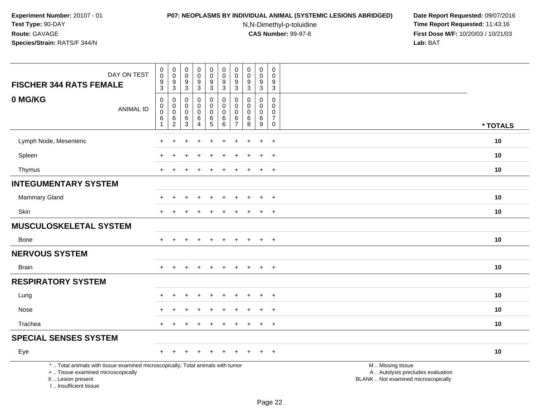# **P07: NEOPLASMS BY INDIVIDUAL ANIMAL (SYSTEMIC LESIONS ABRIDGED) Date Report Requested:** 09/07/2016

N,N-Dimethyl-p-toluidine

| <b>FISCHER 344 RATS FEMALE</b>                                                                                                                                        | DAY ON TEST      | $\begin{smallmatrix} 0\\0 \end{smallmatrix}$<br>$\boldsymbol{9}$<br>$\mathbf{3}$ | $\pmb{0}$<br>$\boldsymbol{0}$<br>$9\,$<br>3        | $\pmb{0}$<br>$\mathbf 0$<br>$\boldsymbol{9}$<br>$\mathbf{3}$ | $\begin{smallmatrix}0\\0\end{smallmatrix}$<br>$\overline{9}$<br>3 | $\pmb{0}$<br>$\mathbf 0$<br>$\overline{9}$<br>3                    | $\begin{smallmatrix}0\0\0\end{smallmatrix}$<br>$\boldsymbol{9}$<br>3 | $\pmb{0}$<br>$\pmb{0}$<br>$\boldsymbol{9}$<br>$\mathbf{3}$           | $\pmb{0}$<br>$\mathbf 0$<br>$\boldsymbol{9}$<br>$\mathbf{3}$ | $\pmb{0}$<br>$\mathbf 0$<br>$\boldsymbol{9}$<br>3                      | $\pmb{0}$<br>$\mathbf 0$<br>$\frac{9}{3}$                      |                                                                                               |          |
|-----------------------------------------------------------------------------------------------------------------------------------------------------------------------|------------------|----------------------------------------------------------------------------------|----------------------------------------------------|--------------------------------------------------------------|-------------------------------------------------------------------|--------------------------------------------------------------------|----------------------------------------------------------------------|----------------------------------------------------------------------|--------------------------------------------------------------|------------------------------------------------------------------------|----------------------------------------------------------------|-----------------------------------------------------------------------------------------------|----------|
| 0 MG/KG                                                                                                                                                               | <b>ANIMAL ID</b> | $\pmb{0}$<br>$\pmb{0}$<br>$\mathbf 0$<br>$\,6$<br>$\overline{1}$                 | 0<br>$\,0\,$<br>$\mathbf 0$<br>6<br>$\overline{c}$ | $\mathbf 0$<br>$\mathbf 0$<br>$\mathbf 0$<br>6<br>3          | 0<br>0<br>$\mathsf 0$<br>6<br>$\overline{4}$                      | $\pmb{0}$<br>$\mathbf 0$<br>$\pmb{0}$<br>$\,6\,$<br>$\overline{5}$ | $\pmb{0}$<br>$\pmb{0}$<br>$\pmb{0}$<br>$\,6\,$<br>$6\phantom{1}$     | $\mathbf 0$<br>$\mathbf 0$<br>$\pmb{0}$<br>$\,6\,$<br>$\overline{7}$ | $\pmb{0}$<br>$\mathbf 0$<br>$\mathbf 0$<br>$\,6\,$<br>8      | $\mathbf 0$<br>$\mathbf 0$<br>$\mathbf 0$<br>$\,6$<br>$\boldsymbol{9}$ | 0<br>$\mathbf 0$<br>$\pmb{0}$<br>$\boldsymbol{7}$<br>$\pmb{0}$ |                                                                                               | * TOTALS |
| Lymph Node, Mesenteric                                                                                                                                                |                  |                                                                                  |                                                    |                                                              |                                                                   |                                                                    |                                                                      |                                                                      |                                                              | ÷                                                                      | $\overline{+}$                                                 |                                                                                               | 10       |
| Spleen                                                                                                                                                                |                  |                                                                                  |                                                    |                                                              |                                                                   |                                                                    |                                                                      |                                                                      |                                                              |                                                                        | $\ddot{}$                                                      |                                                                                               | 10       |
| Thymus                                                                                                                                                                |                  | $\ddot{}$                                                                        |                                                    |                                                              |                                                                   |                                                                    |                                                                      |                                                                      |                                                              | ÷                                                                      | $+$                                                            |                                                                                               | 10       |
| <b>INTEGUMENTARY SYSTEM</b>                                                                                                                                           |                  |                                                                                  |                                                    |                                                              |                                                                   |                                                                    |                                                                      |                                                                      |                                                              |                                                                        |                                                                |                                                                                               |          |
| Mammary Gland                                                                                                                                                         |                  | $\div$                                                                           | $\ddot{}$                                          | ÷                                                            | $\ddot{}$                                                         | $\ddot{}$                                                          | $\ddot{}$                                                            | $\pm$                                                                | ÷                                                            | $\ddot{}$                                                              | $+$                                                            |                                                                                               | 10       |
| Skin                                                                                                                                                                  |                  |                                                                                  |                                                    |                                                              |                                                                   |                                                                    |                                                                      |                                                                      |                                                              |                                                                        | $\ddot{}$                                                      |                                                                                               | 10       |
| MUSCULOSKELETAL SYSTEM                                                                                                                                                |                  |                                                                                  |                                                    |                                                              |                                                                   |                                                                    |                                                                      |                                                                      |                                                              |                                                                        |                                                                |                                                                                               |          |
| <b>Bone</b>                                                                                                                                                           |                  | $\ddot{}$                                                                        |                                                    |                                                              | $\ddot{}$                                                         | $\pm$                                                              | $\div$                                                               |                                                                      |                                                              | $\ddot{}$                                                              | $+$                                                            |                                                                                               | 10       |
| <b>NERVOUS SYSTEM</b>                                                                                                                                                 |                  |                                                                                  |                                                    |                                                              |                                                                   |                                                                    |                                                                      |                                                                      |                                                              |                                                                        |                                                                |                                                                                               |          |
| <b>Brain</b>                                                                                                                                                          |                  | $\ddot{}$                                                                        | $\ddot{}$                                          |                                                              | $\ddot{}$                                                         | $\ddot{}$                                                          | $\ddot{}$                                                            | $\pm$                                                                | $\overline{+}$                                               | $\ddot{}$                                                              | $+$                                                            |                                                                                               | 10       |
| <b>RESPIRATORY SYSTEM</b>                                                                                                                                             |                  |                                                                                  |                                                    |                                                              |                                                                   |                                                                    |                                                                      |                                                                      |                                                              |                                                                        |                                                                |                                                                                               |          |
| Lung                                                                                                                                                                  |                  |                                                                                  |                                                    |                                                              |                                                                   |                                                                    |                                                                      |                                                                      |                                                              |                                                                        | $\ddot{}$                                                      |                                                                                               | 10       |
| Nose                                                                                                                                                                  |                  |                                                                                  |                                                    |                                                              |                                                                   |                                                                    |                                                                      |                                                                      |                                                              | $\ddot{}$                                                              | $+$                                                            |                                                                                               | 10       |
| Trachea                                                                                                                                                               |                  | $+$                                                                              |                                                    |                                                              |                                                                   |                                                                    |                                                                      |                                                                      |                                                              | $\ddot{}$                                                              | $+$                                                            |                                                                                               | 10       |
| <b>SPECIAL SENSES SYSTEM</b>                                                                                                                                          |                  |                                                                                  |                                                    |                                                              |                                                                   |                                                                    |                                                                      |                                                                      |                                                              |                                                                        |                                                                |                                                                                               |          |
| Eye                                                                                                                                                                   |                  |                                                                                  |                                                    |                                                              |                                                                   |                                                                    |                                                                      |                                                                      |                                                              |                                                                        | $\ddot{}$                                                      |                                                                                               | 10       |
| *  Total animals with tissue examined microscopically; Total animals with tumor<br>+  Tissue examined microscopically<br>X  Lesion present<br>I., Insufficient tissue |                  |                                                                                  |                                                    |                                                              |                                                                   |                                                                    |                                                                      |                                                                      |                                                              |                                                                        |                                                                | M  Missing tissue<br>A  Autolysis precludes evaluation<br>BLANK  Not examined microscopically |          |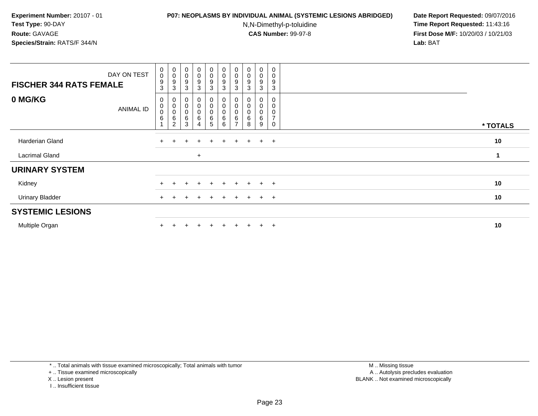### **P07: NEOPLASMS BY INDIVIDUAL ANIMAL (SYSTEMIC LESIONS ABRIDGED) Date Report Requested:** 09/07/2016

N,N-Dimethyl-p-toluidine

 **Time Report Requested:** 11:43:16 **First Dose M/F:** 10/20/03 / 10/21/03<br>**Lab:** BAT **Lab:** BAT

| DAY ON TEST<br><b>FISCHER 344 RATS FEMALE</b> | $\mathbf 0$<br>$\mathbf 0$<br>9<br>$\sqrt{3}$ | $\begin{smallmatrix} 0\\0 \end{smallmatrix}$<br>$\boldsymbol{9}$<br>3    | $\pmb{0}$<br>$\mathbf 0$<br>9<br>3                       | $\begin{smallmatrix}0\0\0\end{smallmatrix}$<br>9<br>3 | $_{\rm 0}^{\rm 0}$<br>$\boldsymbol{9}$<br>3 | $_{\rm 0}^{\rm 0}$<br>$\boldsymbol{9}$<br>3     | $_{\rm 0}^{\rm 0}$<br>9<br>3      | $\begin{smallmatrix}0\\0\end{smallmatrix}$<br>9<br>3 | 0<br>0<br>9<br>3 | 0<br>$\mathbf 0$<br>9<br>3      |              |  |
|-----------------------------------------------|-----------------------------------------------|--------------------------------------------------------------------------|----------------------------------------------------------|-------------------------------------------------------|---------------------------------------------|-------------------------------------------------|-----------------------------------|------------------------------------------------------|------------------|---------------------------------|--------------|--|
| 0 MG/KG<br>ANIMAL ID                          | 0<br>$\pmb{0}$<br>$\pmb{0}$<br>$\,6$          | $\begin{smallmatrix}0\\0\\0\end{smallmatrix}$<br>$\,6$<br>$\overline{2}$ | $\mathbf 0$<br>$\boldsymbol{0}$<br>$\mathbf 0$<br>6<br>3 | 0<br>$\overline{0}$<br>0<br>6<br>4                    | 0<br>0<br>0<br>6<br>5                       | $\pmb{0}$<br>$_{\rm 0}^{\rm 0}$<br>$\,6\,$<br>6 | 0<br>0<br>$\,6$<br>$\overline{ }$ | 6<br>8                                               | 0<br>0<br>6<br>9 | 0<br>$\overline{ }$<br>$\Omega$ | * TOTALS     |  |
| Harderian Gland                               |                                               |                                                                          |                                                          | $\div$                                                | $\pm$                                       | $+$                                             | $+$                               | $+$                                                  | $+$              | $+$                             | 10           |  |
| <b>Lacrimal Gland</b>                         |                                               |                                                                          |                                                          | $\ddot{}$                                             |                                             |                                                 |                                   |                                                      |                  |                                 | $\mathbf{1}$ |  |
| <b>URINARY SYSTEM</b>                         |                                               |                                                                          |                                                          |                                                       |                                             |                                                 |                                   |                                                      |                  |                                 |              |  |
| Kidney                                        |                                               |                                                                          |                                                          |                                                       | ÷                                           |                                                 | $\ddot{}$                         | $+$                                                  | $\ddot{}$        | $+$                             | 10           |  |
| <b>Urinary Bladder</b>                        |                                               |                                                                          |                                                          | $\pm$                                                 | $+$                                         | $+$                                             | $+$                               | $+$                                                  |                  | $+$ $+$                         | 10           |  |
| <b>SYSTEMIC LESIONS</b>                       |                                               |                                                                          |                                                          |                                                       |                                             |                                                 |                                   |                                                      |                  |                                 |              |  |
| Multiple Organ                                |                                               |                                                                          |                                                          |                                                       | $\ddot{}$                                   | $\pm$                                           | $\pm$                             | $+$                                                  | $\pm$            | $+$                             | 10           |  |

I .. Insufficient tissue

X .. Lesion present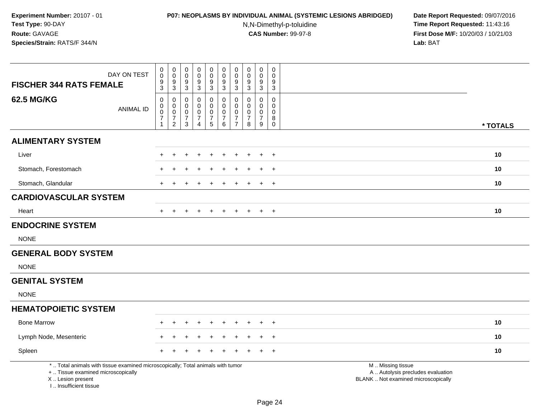# **P07: NEOPLASMS BY INDIVIDUAL ANIMAL (SYSTEMIC LESIONS ABRIDGED) Date Report Requested:** 09/07/2016

N,N-Dimethyl-p-toluidine

| DAY ON TEST<br><b>FISCHER 344 RATS FEMALE</b>                                                                                                                       | $_{\rm 0}^{\rm 0}$<br>$\frac{9}{3}$                                | $\mathbf 0$<br>$\ddot{\mathbf{0}}$<br>$\frac{9}{3}$                 | $\pmb{0}$<br>0<br>9                       | $\mathbf 0$<br>$\ddot{\mathbf{0}}$<br>$\boldsymbol{9}$                    | $\pmb{0}$<br>$\mathbf 0$<br>$\boldsymbol{9}$                       | $\mathbf 0$<br>$\mathbf 0$<br>9                                  | 0<br>$\mathbf 0$<br>9                           | $\mathbf 0$<br>$\mathbf 0$<br>9           | $\pmb{0}$<br>$\pmb{0}$<br>$\boldsymbol{9}$           | $\mathbf 0$<br>$\mathbf 0$<br>9                     |                                                                                               |          |
|---------------------------------------------------------------------------------------------------------------------------------------------------------------------|--------------------------------------------------------------------|---------------------------------------------------------------------|-------------------------------------------|---------------------------------------------------------------------------|--------------------------------------------------------------------|------------------------------------------------------------------|-------------------------------------------------|-------------------------------------------|------------------------------------------------------|-----------------------------------------------------|-----------------------------------------------------------------------------------------------|----------|
|                                                                                                                                                                     |                                                                    |                                                                     | $\mathbf{3}$                              | $\mathbf{3}$                                                              | $\mathbf{3}$                                                       | $\sqrt{3}$                                                       | $\mathbf{3}$                                    | $\mathbf{3}$                              | $\mathbf{3}$                                         | $\overline{3}$                                      |                                                                                               |          |
| <b>62.5 MG/KG</b><br><b>ANIMAL ID</b>                                                                                                                               | 0<br>$\pmb{0}$<br>$\overline{0}$<br>$\overline{7}$<br>$\mathbf{1}$ | 0<br>$\mathbf 0$<br>$\mathbf 0$<br>$\overline{7}$<br>$\overline{2}$ | $\Omega$<br>0<br>0<br>$\overline{7}$<br>3 | $\mathbf 0$<br>$\pmb{0}$<br>$\pmb{0}$<br>$\overline{7}$<br>$\overline{4}$ | 0<br>$\pmb{0}$<br>$\mathbf 0$<br>$\overline{7}$<br>$5\phantom{.0}$ | $\mathbf 0$<br>$\mathbf 0$<br>$\mathbf 0$<br>$\overline{7}$<br>6 | 0<br>0<br>0<br>$\overline{7}$<br>$\overline{7}$ | $\Omega$<br>0<br>0<br>$\overline{7}$<br>8 | $\mathbf 0$<br>0<br>$\pmb{0}$<br>$\overline{7}$<br>9 | $\mathbf 0$<br>$\mathbf 0$<br>$\mathbf 0$<br>8<br>0 |                                                                                               | * TOTALS |
|                                                                                                                                                                     |                                                                    |                                                                     |                                           |                                                                           |                                                                    |                                                                  |                                                 |                                           |                                                      |                                                     |                                                                                               |          |
| <b>ALIMENTARY SYSTEM</b>                                                                                                                                            |                                                                    |                                                                     |                                           |                                                                           |                                                                    |                                                                  |                                                 |                                           |                                                      |                                                     |                                                                                               |          |
| Liver                                                                                                                                                               |                                                                    |                                                                     |                                           |                                                                           |                                                                    |                                                                  |                                                 |                                           | $\div$                                               | $+$                                                 |                                                                                               | 10       |
| Stomach, Forestomach                                                                                                                                                |                                                                    |                                                                     |                                           |                                                                           |                                                                    |                                                                  |                                                 |                                           |                                                      | $\overline{1}$                                      |                                                                                               | 10       |
| Stomach, Glandular                                                                                                                                                  |                                                                    |                                                                     |                                           |                                                                           |                                                                    |                                                                  |                                                 |                                           | $\pm$                                                | $+$                                                 |                                                                                               | 10       |
| <b>CARDIOVASCULAR SYSTEM</b>                                                                                                                                        |                                                                    |                                                                     |                                           |                                                                           |                                                                    |                                                                  |                                                 |                                           |                                                      |                                                     |                                                                                               |          |
| Heart                                                                                                                                                               | $+$                                                                | $\ddot{}$                                                           | $\ddot{}$                                 | $\overline{+}$                                                            | $+$                                                                | $\ddot{}$                                                        | $\ddot{}$                                       | $+$                                       | $+$                                                  | $+$                                                 |                                                                                               | 10       |
| <b>ENDOCRINE SYSTEM</b>                                                                                                                                             |                                                                    |                                                                     |                                           |                                                                           |                                                                    |                                                                  |                                                 |                                           |                                                      |                                                     |                                                                                               |          |
| <b>NONE</b>                                                                                                                                                         |                                                                    |                                                                     |                                           |                                                                           |                                                                    |                                                                  |                                                 |                                           |                                                      |                                                     |                                                                                               |          |
| <b>GENERAL BODY SYSTEM</b>                                                                                                                                          |                                                                    |                                                                     |                                           |                                                                           |                                                                    |                                                                  |                                                 |                                           |                                                      |                                                     |                                                                                               |          |
| <b>NONE</b>                                                                                                                                                         |                                                                    |                                                                     |                                           |                                                                           |                                                                    |                                                                  |                                                 |                                           |                                                      |                                                     |                                                                                               |          |
| <b>GENITAL SYSTEM</b>                                                                                                                                               |                                                                    |                                                                     |                                           |                                                                           |                                                                    |                                                                  |                                                 |                                           |                                                      |                                                     |                                                                                               |          |
| <b>NONE</b>                                                                                                                                                         |                                                                    |                                                                     |                                           |                                                                           |                                                                    |                                                                  |                                                 |                                           |                                                      |                                                     |                                                                                               |          |
| <b>HEMATOPOIETIC SYSTEM</b>                                                                                                                                         |                                                                    |                                                                     |                                           |                                                                           |                                                                    |                                                                  |                                                 |                                           |                                                      |                                                     |                                                                                               |          |
| <b>Bone Marrow</b>                                                                                                                                                  |                                                                    |                                                                     |                                           |                                                                           |                                                                    |                                                                  |                                                 |                                           |                                                      | $\ddot{}$                                           |                                                                                               | 10       |
| Lymph Node, Mesenteric                                                                                                                                              |                                                                    |                                                                     |                                           |                                                                           |                                                                    |                                                                  |                                                 |                                           |                                                      | $+$                                                 |                                                                                               | 10       |
| Spleen                                                                                                                                                              |                                                                    |                                                                     |                                           |                                                                           |                                                                    |                                                                  |                                                 |                                           |                                                      |                                                     |                                                                                               | 10       |
| *  Total animals with tissue examined microscopically; Total animals with tumor<br>+  Tissue examined microscopically<br>X  Lesion present<br>I Insufficient tissue |                                                                    |                                                                     |                                           |                                                                           |                                                                    |                                                                  |                                                 |                                           |                                                      |                                                     | M  Missing tissue<br>A  Autolysis precludes evaluation<br>BLANK  Not examined microscopically |          |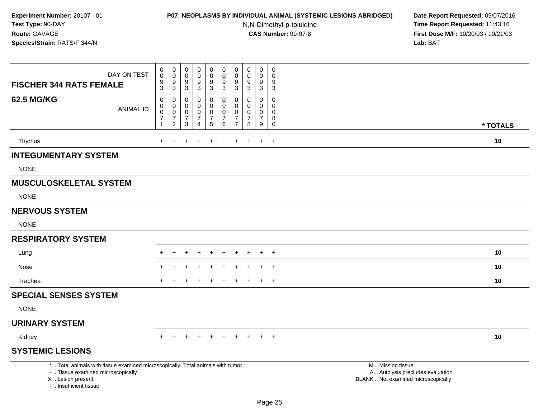# **P07: NEOPLASMS BY INDIVIDUAL ANIMAL (SYSTEMIC LESIONS ABRIDGED) Date Report Requested:** 09/07/2016

N,N-Dimethyl-p-toluidine

| DAY ON TEST<br><b>FISCHER 344 RATS FEMALE</b>                                                                                                                       | 0<br>$\mathbf 0$<br>9<br>3                                          | $\mathbf 0$<br>$\mathbf 0$<br>9<br>3          | $\boldsymbol{0}$<br>$\pmb{0}$<br>$\boldsymbol{9}$<br>$\mathbf{3}$ | $\pmb{0}$<br>$\pmb{0}$<br>9<br>$\mathbf{3}$                      | $\mathbf 0$<br>$\mathbf 0$<br>$9\,$<br>3                         | $\pmb{0}$<br>$\mathbf 0$<br>9<br>$\mathbf{3}$                          | $\mathbf 0$<br>0<br>9<br>$\sqrt{3}$       | $\boldsymbol{0}$<br>$\mathbf 0$<br>9<br>$\mathbf{3}$ | $\mathbf 0$<br>$\mathbf 0$<br>9<br>$\mathbf{3}$        | $\mathsf{O}$<br>0<br>9<br>3                                    |                                                                                               |          |
|---------------------------------------------------------------------------------------------------------------------------------------------------------------------|---------------------------------------------------------------------|-----------------------------------------------|-------------------------------------------------------------------|------------------------------------------------------------------|------------------------------------------------------------------|------------------------------------------------------------------------|-------------------------------------------|------------------------------------------------------|--------------------------------------------------------|----------------------------------------------------------------|-----------------------------------------------------------------------------------------------|----------|
| <b>62.5 MG/KG</b><br><b>ANIMAL ID</b>                                                                                                                               | $\mathbf 0$<br>0<br>$\mathbf 0$<br>$\boldsymbol{7}$<br>$\mathbf{1}$ | 0<br>0<br>$\mathsf{O}$<br>7<br>$\overline{c}$ | 0<br>0<br>0<br>$\overline{7}$<br>$\mathfrak{S}$                   | $\mathbf 0$<br>$\mathbf 0$<br>$\mathsf 0$<br>7<br>$\overline{4}$ | $\mathbf 0$<br>$\mathbf 0$<br>$\pmb{0}$<br>$\boldsymbol{7}$<br>5 | $\mathbf 0$<br>$\mathbf 0$<br>$\mathbf 0$<br>$\overline{7}$<br>$\,6\,$ | 0<br>$\Omega$<br>0<br>7<br>$\overline{7}$ | 0<br>0<br>0<br>$\overline{7}$<br>8                   | $\mathbf 0$<br>0<br>$\mathbf 0$<br>$\overline{7}$<br>9 | $\mathbf 0$<br>$\mathbf{0}$<br>$\mathbf 0$<br>8<br>$\mathbf 0$ |                                                                                               | * TOTALS |
| Thymus                                                                                                                                                              | $+$                                                                 | $\ddot{}$                                     |                                                                   | $\ddot{}$                                                        | $\ddot{}$                                                        | $\ddot{}$                                                              | $\ddot{}$                                 | $\ddot{}$                                            | $\ddot{}$                                              | $+$                                                            |                                                                                               | 10       |
| <b>INTEGUMENTARY SYSTEM</b>                                                                                                                                         |                                                                     |                                               |                                                                   |                                                                  |                                                                  |                                                                        |                                           |                                                      |                                                        |                                                                |                                                                                               |          |
| <b>NONE</b>                                                                                                                                                         |                                                                     |                                               |                                                                   |                                                                  |                                                                  |                                                                        |                                           |                                                      |                                                        |                                                                |                                                                                               |          |
| <b>MUSCULOSKELETAL SYSTEM</b>                                                                                                                                       |                                                                     |                                               |                                                                   |                                                                  |                                                                  |                                                                        |                                           |                                                      |                                                        |                                                                |                                                                                               |          |
| <b>NONE</b>                                                                                                                                                         |                                                                     |                                               |                                                                   |                                                                  |                                                                  |                                                                        |                                           |                                                      |                                                        |                                                                |                                                                                               |          |
| <b>NERVOUS SYSTEM</b>                                                                                                                                               |                                                                     |                                               |                                                                   |                                                                  |                                                                  |                                                                        |                                           |                                                      |                                                        |                                                                |                                                                                               |          |
| <b>NONE</b>                                                                                                                                                         |                                                                     |                                               |                                                                   |                                                                  |                                                                  |                                                                        |                                           |                                                      |                                                        |                                                                |                                                                                               |          |
| <b>RESPIRATORY SYSTEM</b>                                                                                                                                           |                                                                     |                                               |                                                                   |                                                                  |                                                                  |                                                                        |                                           |                                                      |                                                        |                                                                |                                                                                               |          |
| Lung                                                                                                                                                                |                                                                     |                                               |                                                                   | $\div$                                                           | $\div$                                                           |                                                                        |                                           |                                                      | $\ddot{}$                                              | $+$                                                            |                                                                                               | 10       |
| Nose                                                                                                                                                                |                                                                     |                                               |                                                                   |                                                                  |                                                                  |                                                                        |                                           |                                                      |                                                        | $\ddot{}$                                                      |                                                                                               | 10       |
| Trachea                                                                                                                                                             |                                                                     |                                               |                                                                   |                                                                  |                                                                  |                                                                        |                                           |                                                      | $\ddot{}$                                              | $+$                                                            |                                                                                               | 10       |
| <b>SPECIAL SENSES SYSTEM</b>                                                                                                                                        |                                                                     |                                               |                                                                   |                                                                  |                                                                  |                                                                        |                                           |                                                      |                                                        |                                                                |                                                                                               |          |
| <b>NONE</b>                                                                                                                                                         |                                                                     |                                               |                                                                   |                                                                  |                                                                  |                                                                        |                                           |                                                      |                                                        |                                                                |                                                                                               |          |
| <b>URINARY SYSTEM</b>                                                                                                                                               |                                                                     |                                               |                                                                   |                                                                  |                                                                  |                                                                        |                                           |                                                      |                                                        |                                                                |                                                                                               |          |
| Kidney                                                                                                                                                              | $+$                                                                 | $\ddot{}$                                     |                                                                   | $\ddot{}$                                                        | $\ddot{}$                                                        | $\ddot{}$                                                              | $+$                                       | $+$                                                  | $+$                                                    | $+$                                                            |                                                                                               | 10       |
| <b>SYSTEMIC LESIONS</b>                                                                                                                                             |                                                                     |                                               |                                                                   |                                                                  |                                                                  |                                                                        |                                           |                                                      |                                                        |                                                                |                                                                                               |          |
| *  Total animals with tissue examined microscopically; Total animals with tumor<br>+  Tissue examined microscopically<br>X  Lesion present<br>I Insufficient tissue |                                                                     |                                               |                                                                   |                                                                  |                                                                  |                                                                        |                                           |                                                      |                                                        |                                                                | M  Missing tissue<br>A  Autolysis precludes evaluation<br>BLANK  Not examined microscopically |          |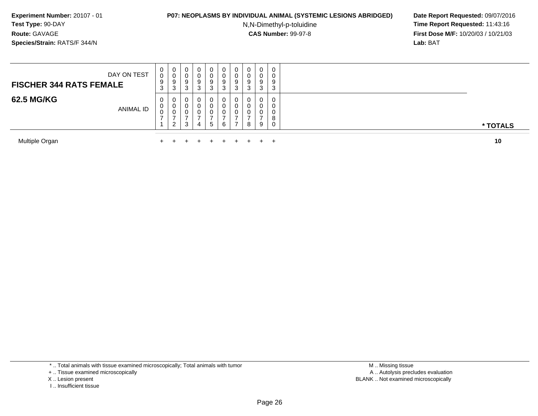#### **P07: NEOPLASMS BY INDIVIDUAL ANIMAL (SYSTEMIC LESIONS ABRIDGED) Date Report Requested:** 09/07/2016

N,N-Dimethyl-p-toluidine

 **Time Report Requested:** 11:43:16 **First Dose M/F:** 10/20/03 / 10/21/03<br>**Lab:** BAT **Lab:** BAT

| DAY ON TEST<br><b>FISCHER 344 RATS FEMALE</b> | U<br>9<br>3 | ◡<br>9<br>J.              | 0<br>u<br>9<br>చ | 0<br>0<br>9<br>3 | 0<br>0<br>9<br>3                 | $\mathbf 0$<br>0<br>9<br>3 | 9       | 0<br>⌒            | 0<br>0<br>9<br>3            | 0<br>0<br>9<br>3      |          |
|-----------------------------------------------|-------------|---------------------------|------------------|------------------|----------------------------------|----------------------------|---------|-------------------|-----------------------------|-----------------------|----------|
| 62.5 MG/KG<br><b>ANIMAL ID</b>                | U<br>υ      | v<br>ັ<br>◠<br>$\epsilon$ | U<br>U<br>3      | 0<br>0<br>U<br>4 | $\mathbf{0}$<br>0<br>0<br>-<br>5 | 0<br>0<br>0<br>6           |         | 0<br>$\circ$<br>o | $\mathbf{0}$<br>0<br>0<br>9 | 0<br>0<br>0<br>8<br>0 | * TOTALS |
| Multiple Organ                                | ÷.          |                           |                  | $\pm$            |                                  | $+$ $+$                    | $+$ $-$ | $\pm$             | $+$                         |                       | 10       |

Multiple Organn  $+$ 

\* .. Total animals with tissue examined microscopically; Total animals with tumor

+ .. Tissue examined microscopically

X .. Lesion present

I .. Insufficient tissue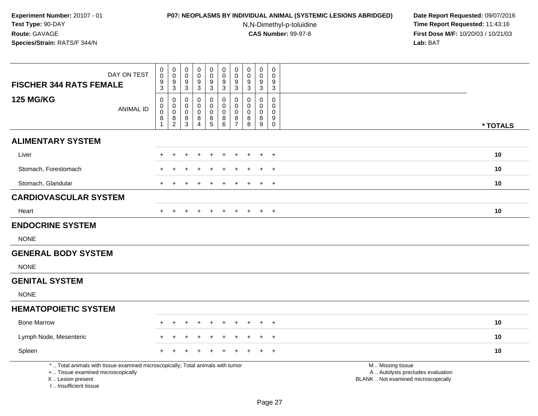# **P07: NEOPLASMS BY INDIVIDUAL ANIMAL (SYSTEMIC LESIONS ABRIDGED) Date Report Requested:** 09/07/2016

N,N-Dimethyl-p-toluidine

| DAY ON TEST<br><b>FISCHER 344 RATS FEMALE</b>                                                                                                                       | $\pmb{0}$<br>$\mathbf 0$<br>9                                | $\pmb{0}$<br>$\mathsf{O}\xspace$<br>9                     | 0<br>$\mathsf 0$<br>9  | $\mathsf 0$<br>$\pmb{0}$<br>$\boldsymbol{9}$              | $\pmb{0}$<br>$\pmb{0}$<br>9           | $\mathbf 0$<br>$\mathbf 0$<br>9                           | $\pmb{0}$<br>$\pmb{0}$<br>9      | 0<br>$\pmb{0}$<br>9                        | $\pmb{0}$<br>$\pmb{0}$<br>9                               | $\mathbf 0$<br>$\mathbf 0$<br>9                              |                                                                                               |          |
|---------------------------------------------------------------------------------------------------------------------------------------------------------------------|--------------------------------------------------------------|-----------------------------------------------------------|------------------------|-----------------------------------------------------------|---------------------------------------|-----------------------------------------------------------|----------------------------------|--------------------------------------------|-----------------------------------------------------------|--------------------------------------------------------------|-----------------------------------------------------------------------------------------------|----------|
| <b>125 MG/KG</b><br><b>ANIMAL ID</b>                                                                                                                                | $\overline{3}$<br>$\mathbf 0$<br>$\pmb{0}$<br>$\overline{0}$ | $\overline{3}$<br>0<br>$\mathbf 0$<br>$\ddot{\mathbf{0}}$ | 3<br>0<br>$\mathbf 0$  | $\overline{3}$<br>$\mathbf 0$<br>$\mathbf 0$<br>$\pmb{0}$ | $\mathbf{3}$<br>0<br>0<br>$\mathbf 0$ | $\mathbf{3}$<br>$\mathbf 0$<br>$\mathbf 0$<br>$\mathbf 0$ | 3<br>0<br>0                      | $\sqrt{3}$<br>0<br>$\Omega$<br>$\mathbf 0$ | $\mathfrak{Z}$<br>$\mathbf 0$<br>$\mathbf 0$<br>$\pmb{0}$ | $\overline{3}$<br>$\mathbf 0$<br>$\mathbf{0}$<br>$\mathbf 0$ |                                                                                               |          |
|                                                                                                                                                                     | 8<br>1                                                       | $\frac{8}{2}$                                             | 0<br>8<br>$\mathbf{3}$ | $\,8\,$<br>$\boldsymbol{\Lambda}$                         | $^8$ 5                                | 8<br>$\,6\,$                                              | $\pmb{0}$<br>8<br>$\overline{7}$ | 8<br>8                                     | 8<br>$9\,$                                                | 9<br>$\mathbf 0$                                             |                                                                                               | * TOTALS |
| <b>ALIMENTARY SYSTEM</b>                                                                                                                                            |                                                              |                                                           |                        |                                                           |                                       |                                                           |                                  |                                            |                                                           |                                                              |                                                                                               |          |
| Liver                                                                                                                                                               |                                                              | $\ddot{}$                                                 | +                      | $\div$                                                    | $\ddot{}$                             | $\ddot{}$                                                 |                                  |                                            | $\ddot{}$                                                 | $\overline{+}$                                               |                                                                                               | 10       |
| Stomach, Forestomach                                                                                                                                                |                                                              |                                                           |                        |                                                           |                                       |                                                           |                                  |                                            |                                                           | $\overline{1}$                                               |                                                                                               | 10       |
| Stomach, Glandular                                                                                                                                                  |                                                              |                                                           |                        |                                                           |                                       |                                                           |                                  |                                            | $\pm$                                                     | $+$                                                          |                                                                                               | 10       |
| <b>CARDIOVASCULAR SYSTEM</b>                                                                                                                                        |                                                              |                                                           |                        |                                                           |                                       |                                                           |                                  |                                            |                                                           |                                                              |                                                                                               |          |
| Heart                                                                                                                                                               | $+$                                                          | $\pm$                                                     | ÷                      | $\ddot{}$                                                 | $\ddot{}$                             | $+$                                                       | $+$                              | $+$                                        | $+$                                                       | $+$                                                          |                                                                                               | 10       |
| <b>ENDOCRINE SYSTEM</b>                                                                                                                                             |                                                              |                                                           |                        |                                                           |                                       |                                                           |                                  |                                            |                                                           |                                                              |                                                                                               |          |
| <b>NONE</b>                                                                                                                                                         |                                                              |                                                           |                        |                                                           |                                       |                                                           |                                  |                                            |                                                           |                                                              |                                                                                               |          |
| <b>GENERAL BODY SYSTEM</b>                                                                                                                                          |                                                              |                                                           |                        |                                                           |                                       |                                                           |                                  |                                            |                                                           |                                                              |                                                                                               |          |
| <b>NONE</b>                                                                                                                                                         |                                                              |                                                           |                        |                                                           |                                       |                                                           |                                  |                                            |                                                           |                                                              |                                                                                               |          |
| <b>GENITAL SYSTEM</b>                                                                                                                                               |                                                              |                                                           |                        |                                                           |                                       |                                                           |                                  |                                            |                                                           |                                                              |                                                                                               |          |
| <b>NONE</b>                                                                                                                                                         |                                                              |                                                           |                        |                                                           |                                       |                                                           |                                  |                                            |                                                           |                                                              |                                                                                               |          |
| <b>HEMATOPOIETIC SYSTEM</b>                                                                                                                                         |                                                              |                                                           |                        |                                                           |                                       |                                                           |                                  |                                            |                                                           |                                                              |                                                                                               |          |
| <b>Bone Marrow</b>                                                                                                                                                  |                                                              |                                                           |                        |                                                           |                                       |                                                           |                                  |                                            |                                                           | $+$                                                          |                                                                                               | 10       |
| Lymph Node, Mesenteric                                                                                                                                              |                                                              |                                                           |                        |                                                           |                                       |                                                           |                                  |                                            |                                                           | $+$                                                          |                                                                                               | 10       |
| Spleen                                                                                                                                                              |                                                              |                                                           |                        |                                                           |                                       |                                                           |                                  |                                            |                                                           |                                                              |                                                                                               | 10       |
| *  Total animals with tissue examined microscopically; Total animals with tumor<br>+  Tissue examined microscopically<br>X  Lesion present<br>I Insufficient tissue |                                                              |                                                           |                        |                                                           |                                       |                                                           |                                  |                                            |                                                           |                                                              | M  Missing tissue<br>A  Autolysis precludes evaluation<br>BLANK  Not examined microscopically |          |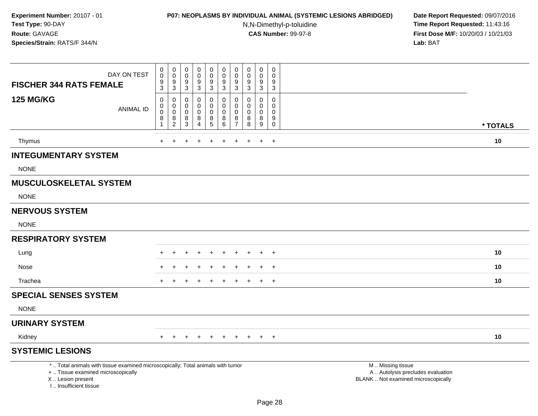## **P07: NEOPLASMS BY INDIVIDUAL ANIMAL (SYSTEMIC LESIONS ABRIDGED) Date Report Requested:** 09/07/2016

N,N-Dimethyl-p-toluidine

| DAY ON TEST<br><b>FISCHER 344 RATS FEMALE</b>                                                                                                                         | 0<br>$\mathsf{O}\xspace$<br>9<br>3                   | $\pmb{0}$<br>$\mathbf 0$<br>9<br>3                     | $\boldsymbol{0}$<br>$\pmb{0}$<br>$\boldsymbol{9}$<br>$\sqrt{3}$ | $\pmb{0}$<br>$\pmb{0}$<br>$\boldsymbol{9}$<br>$\mathbf{3}$ | $\mathbf 0$<br>$\mathbf 0$<br>$\boldsymbol{9}$<br>3 | $\pmb{0}$<br>$\mathbf 0$<br>9<br>$\mathbf{3}$           | $\mathbf 0$<br>$\mathbf 0$<br>9<br>$\sqrt{3}$          | $\pmb{0}$<br>$\pmb{0}$<br>$\boldsymbol{9}$<br>$\ensuremath{\mathsf{3}}$ | $\mathbf 0$<br>$\mathbf 0$<br>9<br>$\mathbf{3}$        | $\mathsf{O}\xspace$<br>0<br>9<br>3                                    |                                                                                               |          |
|-----------------------------------------------------------------------------------------------------------------------------------------------------------------------|------------------------------------------------------|--------------------------------------------------------|-----------------------------------------------------------------|------------------------------------------------------------|-----------------------------------------------------|---------------------------------------------------------|--------------------------------------------------------|-------------------------------------------------------------------------|--------------------------------------------------------|-----------------------------------------------------------------------|-----------------------------------------------------------------------------------------------|----------|
| <b>125 MG/KG</b><br><b>ANIMAL ID</b>                                                                                                                                  | $\mathsf 0$<br>0<br>$\mathbf 0$<br>8<br>$\mathbf{1}$ | 0<br>$\mathbf 0$<br>$\mathbf 0$<br>8<br>$\overline{2}$ | $\mathbf 0$<br>0<br>$\pmb{0}$<br>8<br>$\mathfrak{S}$            | $\mathbf 0$<br>0<br>$\pmb{0}$<br>$\bf 8$<br>$\overline{4}$ | 0<br>$\mathbf 0$<br>$\pmb{0}$<br>$^8$ 5             | $\mathbf 0$<br>$\pmb{0}$<br>$\mathbf 0$<br>8<br>$\,6\,$ | 0<br>$\mathbf 0$<br>$\mathbf 0$<br>8<br>$\overline{7}$ | 0<br>$\mathbf 0$<br>$\pmb{0}$<br>8<br>$\overline{8}$                    | $\mathbf 0$<br>0<br>$\mathbf 0$<br>8<br>$\overline{9}$ | $\mathbf 0$<br>$\mathbf 0$<br>$\mathbf 0$<br>9<br>$\ddot{\mathbf{0}}$ |                                                                                               | * TOTALS |
| Thymus                                                                                                                                                                | $+$                                                  | $\ddot{}$                                              |                                                                 | $\ddot{}$                                                  | $\ddot{}$                                           | $\ddot{}$                                               | $\ddot{}$                                              | $\ddot{}$                                                               | $+$                                                    | $+$                                                                   |                                                                                               | 10       |
| <b>INTEGUMENTARY SYSTEM</b>                                                                                                                                           |                                                      |                                                        |                                                                 |                                                            |                                                     |                                                         |                                                        |                                                                         |                                                        |                                                                       |                                                                                               |          |
| <b>NONE</b>                                                                                                                                                           |                                                      |                                                        |                                                                 |                                                            |                                                     |                                                         |                                                        |                                                                         |                                                        |                                                                       |                                                                                               |          |
| <b>MUSCULOSKELETAL SYSTEM</b>                                                                                                                                         |                                                      |                                                        |                                                                 |                                                            |                                                     |                                                         |                                                        |                                                                         |                                                        |                                                                       |                                                                                               |          |
| <b>NONE</b>                                                                                                                                                           |                                                      |                                                        |                                                                 |                                                            |                                                     |                                                         |                                                        |                                                                         |                                                        |                                                                       |                                                                                               |          |
| <b>NERVOUS SYSTEM</b>                                                                                                                                                 |                                                      |                                                        |                                                                 |                                                            |                                                     |                                                         |                                                        |                                                                         |                                                        |                                                                       |                                                                                               |          |
| <b>NONE</b>                                                                                                                                                           |                                                      |                                                        |                                                                 |                                                            |                                                     |                                                         |                                                        |                                                                         |                                                        |                                                                       |                                                                                               |          |
| <b>RESPIRATORY SYSTEM</b>                                                                                                                                             |                                                      |                                                        |                                                                 |                                                            |                                                     |                                                         |                                                        |                                                                         |                                                        |                                                                       |                                                                                               |          |
| Lung                                                                                                                                                                  |                                                      |                                                        |                                                                 | $\div$                                                     | $\ddot{}$                                           |                                                         |                                                        |                                                                         | $\ddot{}$                                              | $+$                                                                   |                                                                                               | 10       |
| Nose                                                                                                                                                                  |                                                      |                                                        |                                                                 |                                                            |                                                     |                                                         |                                                        |                                                                         |                                                        | $\ddot{}$                                                             |                                                                                               | 10       |
| Trachea                                                                                                                                                               |                                                      |                                                        |                                                                 |                                                            |                                                     |                                                         |                                                        |                                                                         | $\ddot{}$                                              | $+$                                                                   |                                                                                               | 10       |
| <b>SPECIAL SENSES SYSTEM</b><br><b>NONE</b>                                                                                                                           |                                                      |                                                        |                                                                 |                                                            |                                                     |                                                         |                                                        |                                                                         |                                                        |                                                                       |                                                                                               |          |
| <b>URINARY SYSTEM</b>                                                                                                                                                 |                                                      |                                                        |                                                                 |                                                            |                                                     |                                                         |                                                        |                                                                         |                                                        |                                                                       |                                                                                               |          |
| Kidney                                                                                                                                                                | ٠.                                                   | $\div$                                                 |                                                                 | $\div$                                                     | $\ddot{}$                                           | $\overline{+}$                                          | $\ddot{}$                                              | $+$                                                                     | $+$                                                    | $+$                                                                   |                                                                                               | 10       |
| <b>SYSTEMIC LESIONS</b>                                                                                                                                               |                                                      |                                                        |                                                                 |                                                            |                                                     |                                                         |                                                        |                                                                         |                                                        |                                                                       |                                                                                               |          |
| *  Total animals with tissue examined microscopically; Total animals with tumor<br>+  Tissue examined microscopically<br>X  Lesion present<br>I., Insufficient tissue |                                                      |                                                        |                                                                 |                                                            |                                                     |                                                         |                                                        |                                                                         |                                                        |                                                                       | M  Missing tissue<br>A  Autolysis precludes evaluation<br>BLANK  Not examined microscopically |          |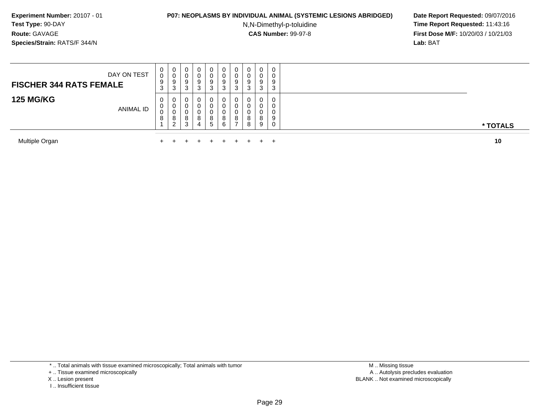#### **P07: NEOPLASMS BY INDIVIDUAL ANIMAL (SYSTEMIC LESIONS ABRIDGED) Date Report Requested:** 09/07/2016

N,N-Dimethyl-p-toluidine

 **Time Report Requested:** 11:43:16 **First Dose M/F:** 10/20/03 / 10/21/03<br>**Lab:** BAT **Lab:** BAT

| DAY ON TEST<br><b>FISCHER 344 RATS FEMALE</b> | 0<br>0<br>9<br>3 | <b>∴</b> ∪<br>J | 0<br>9 | 0<br>0<br>9<br>3      | $\mathbf{0}$<br>0<br>9<br>3 | 0<br>0<br>9<br>3      | 0<br>υ<br>9<br>ບ |         | $\mathbf{0}$<br>∩<br>υ<br>9<br>3 | 0<br>U<br>9<br>ົ |          |
|-----------------------------------------------|------------------|-----------------|--------|-----------------------|-----------------------------|-----------------------|------------------|---------|----------------------------------|------------------|----------|
| <b>125 MG/KG</b><br>ANIMAL ID                 | 0<br>0<br>0<br>8 | $\sim$          | U<br>3 | 0<br>0<br>U<br>8<br>4 | 0<br>0<br>0<br>8<br>5       | 0<br>0<br>0<br>8<br>6 | 0<br>υ<br>U<br>8 |         | 0<br>0<br>0<br>8<br>9            | 0<br>U<br>9      | * TOTALS |
| Multiple Organ                                | $+$              |                 | $\div$ | $\pm$                 |                             | $+$ $+$               | $+$ $-$          | $+$ $-$ | $+$ $-$                          | +                | 10       |

Multiple Organn  $+$ 

\* .. Total animals with tissue examined microscopically; Total animals with tumor

+ .. Tissue examined microscopically

X .. Lesion present

I .. Insufficient tissue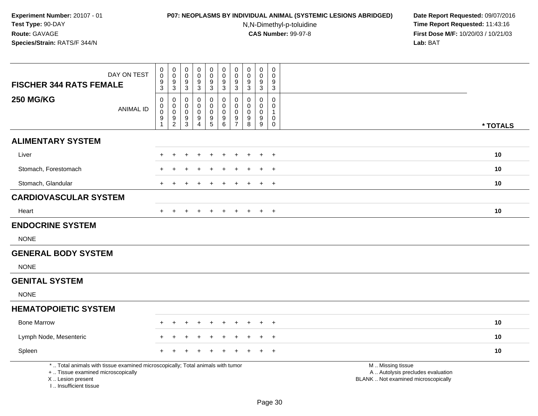# **P07: NEOPLASMS BY INDIVIDUAL ANIMAL (SYSTEMIC LESIONS ABRIDGED) Date Report Requested:** 09/07/2016

N,N-Dimethyl-p-toluidine

| DAY ON TEST<br><b>FISCHER 344 RATS FEMALE</b>                                                                                                                       | $\pmb{0}$<br>$\ddot{\mathbf{0}}$<br>9<br>$\overline{3}$    | $\pmb{0}$<br>$\mathsf{O}\xspace$<br>9<br>$\overline{3}$ | $\pmb{0}$<br>$\mathsf 0$<br>9<br>$\overline{3}$ | $\mathsf 0$<br>$\pmb{0}$<br>9<br>$\overline{3}$                 | $\pmb{0}$<br>$\pmb{0}$<br>9<br>$\mathbf{3}$              | $\mathbf 0$<br>$\mathbf 0$<br>9<br>$\sqrt{3}$                                   | $\pmb{0}$<br>$\pmb{0}$<br>9<br>$\mathbf{3}$       | 0<br>$\pmb{0}$<br>9<br>$\sqrt{3}$                     | $\pmb{0}$<br>$\pmb{0}$<br>9<br>$\sqrt{3}$              | $\mathbf 0$<br>$\mathbf 0$<br>9<br>$\overline{3}$                        |                                                                                               |          |
|---------------------------------------------------------------------------------------------------------------------------------------------------------------------|------------------------------------------------------------|---------------------------------------------------------|-------------------------------------------------|-----------------------------------------------------------------|----------------------------------------------------------|---------------------------------------------------------------------------------|---------------------------------------------------|-------------------------------------------------------|--------------------------------------------------------|--------------------------------------------------------------------------|-----------------------------------------------------------------------------------------------|----------|
| <b>250 MG/KG</b><br><b>ANIMAL ID</b>                                                                                                                                | $\mathbf 0$<br>$_{\rm 0}^{\rm 0}$<br>$\boldsymbol{9}$<br>1 | 0<br>$\pmb{0}$<br>$\mathsf{O}\xspace$<br>$\frac{9}{2}$  | $\mathbf 0$<br>0<br>0<br>9<br>$\overline{3}$    | $\mathbf 0$<br>0<br>$\mathbf 0$<br>$\boldsymbol{9}$<br>$\Delta$ | 0<br>0<br>$\mathsf{O}\xspace$<br>$9\,$<br>$\overline{5}$ | $\mathbf 0$<br>$\mathbf 0$<br>$\mathbf 0$<br>$\boldsymbol{9}$<br>$6\phantom{1}$ | 0<br>0<br>0<br>$\boldsymbol{9}$<br>$\overline{7}$ | $\Omega$<br>0<br>$\mathbf 0$<br>$\boldsymbol{9}$<br>8 | $\mathbf 0$<br>0<br>$\pmb{0}$<br>$\boldsymbol{9}$<br>9 | $\mathbf 0$<br>$\mathbf 0$<br>$\mathbf{1}$<br>$\mathbf 0$<br>$\mathsf 0$ |                                                                                               | * TOTALS |
| <b>ALIMENTARY SYSTEM</b>                                                                                                                                            |                                                            |                                                         |                                                 |                                                                 |                                                          |                                                                                 |                                                   |                                                       |                                                        |                                                                          |                                                                                               |          |
| Liver                                                                                                                                                               |                                                            | $\ddot{}$                                               | +                                               | $\ddot{}$                                                       | $\ddot{}$                                                | $\ddot{}$                                                                       | $\ddot{}$                                         | $\pm$                                                 | $\ddot{}$                                              | $+$                                                                      |                                                                                               | 10       |
| Stomach, Forestomach                                                                                                                                                |                                                            |                                                         |                                                 |                                                                 |                                                          |                                                                                 |                                                   |                                                       |                                                        | $\overline{1}$                                                           |                                                                                               | 10       |
| Stomach, Glandular                                                                                                                                                  |                                                            |                                                         |                                                 |                                                                 |                                                          |                                                                                 |                                                   |                                                       |                                                        | $\ddot{}$                                                                |                                                                                               | 10       |
| <b>CARDIOVASCULAR SYSTEM</b>                                                                                                                                        |                                                            |                                                         |                                                 |                                                                 |                                                          |                                                                                 |                                                   |                                                       |                                                        |                                                                          |                                                                                               |          |
| Heart                                                                                                                                                               | $+$                                                        | $\ddot{}$                                               | +                                               | $\ddot{}$                                                       | $\ddot{}$                                                | $\ddot{}$                                                                       | $\ddot{}$                                         | $\ddot{}$                                             | $+$                                                    | $+$                                                                      |                                                                                               | 10       |
| <b>ENDOCRINE SYSTEM</b>                                                                                                                                             |                                                            |                                                         |                                                 |                                                                 |                                                          |                                                                                 |                                                   |                                                       |                                                        |                                                                          |                                                                                               |          |
| <b>NONE</b>                                                                                                                                                         |                                                            |                                                         |                                                 |                                                                 |                                                          |                                                                                 |                                                   |                                                       |                                                        |                                                                          |                                                                                               |          |
| <b>GENERAL BODY SYSTEM</b>                                                                                                                                          |                                                            |                                                         |                                                 |                                                                 |                                                          |                                                                                 |                                                   |                                                       |                                                        |                                                                          |                                                                                               |          |
| <b>NONE</b>                                                                                                                                                         |                                                            |                                                         |                                                 |                                                                 |                                                          |                                                                                 |                                                   |                                                       |                                                        |                                                                          |                                                                                               |          |
| <b>GENITAL SYSTEM</b>                                                                                                                                               |                                                            |                                                         |                                                 |                                                                 |                                                          |                                                                                 |                                                   |                                                       |                                                        |                                                                          |                                                                                               |          |
| <b>NONE</b>                                                                                                                                                         |                                                            |                                                         |                                                 |                                                                 |                                                          |                                                                                 |                                                   |                                                       |                                                        |                                                                          |                                                                                               |          |
| <b>HEMATOPOIETIC SYSTEM</b>                                                                                                                                         |                                                            |                                                         |                                                 |                                                                 |                                                          |                                                                                 |                                                   |                                                       |                                                        |                                                                          |                                                                                               |          |
| <b>Bone Marrow</b>                                                                                                                                                  |                                                            |                                                         |                                                 |                                                                 |                                                          |                                                                                 |                                                   |                                                       |                                                        | $\overline{+}$                                                           |                                                                                               | 10       |
| Lymph Node, Mesenteric                                                                                                                                              |                                                            |                                                         |                                                 |                                                                 |                                                          |                                                                                 |                                                   |                                                       | $\div$                                                 | $+$                                                                      |                                                                                               | 10       |
| Spleen                                                                                                                                                              |                                                            |                                                         |                                                 |                                                                 |                                                          |                                                                                 |                                                   |                                                       |                                                        | $\overline{1}$                                                           |                                                                                               | 10       |
| *  Total animals with tissue examined microscopically; Total animals with tumor<br>+  Tissue examined microscopically<br>X  Lesion present<br>I Insufficient tissue |                                                            |                                                         |                                                 |                                                                 |                                                          |                                                                                 |                                                   |                                                       |                                                        |                                                                          | M  Missing tissue<br>A  Autolysis precludes evaluation<br>BLANK  Not examined microscopically |          |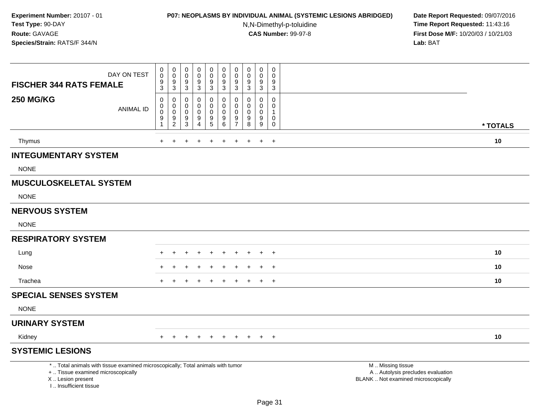# **P07: NEOPLASMS BY INDIVIDUAL ANIMAL (SYSTEMIC LESIONS ABRIDGED) Date Report Requested:** 09/07/2016

N,N-Dimethyl-p-toluidine

| DAY ON TEST<br><b>FISCHER 344 RATS FEMALE</b>                                                                                                                       | 0<br>$\mathbf 0$<br>9<br>3                                          | 0<br>$\mathbf 0$<br>9<br>3   | 0<br>0<br>9<br>$\sqrt{3}$                                 | 0<br>$\mathbf 0$<br>9<br>$\mathbf 3$              | 0<br>$\mathsf{O}\xspace$<br>9<br>3                                       | 0<br>$\mathbf 0$<br>9<br>$\sqrt{3}$                 | 0<br>$\mathbf 0$<br>9<br>$\sqrt{3}$                              | 0<br>$\mathbf 0$<br>9<br>$\mathbf{3}$ | $\mathbf 0$<br>$\mathsf 0$<br>9<br>$\mathbf{3}$                  | 0<br>0<br>9<br>$\mathbf{3}$                         |                                                                                               |          |
|---------------------------------------------------------------------------------------------------------------------------------------------------------------------|---------------------------------------------------------------------|------------------------------|-----------------------------------------------------------|---------------------------------------------------|--------------------------------------------------------------------------|-----------------------------------------------------|------------------------------------------------------------------|---------------------------------------|------------------------------------------------------------------|-----------------------------------------------------|-----------------------------------------------------------------------------------------------|----------|
| <b>250 MG/KG</b><br><b>ANIMAL ID</b>                                                                                                                                | $\mathsf 0$<br>0<br>$\mathbf 0$<br>$\boldsymbol{9}$<br>$\mathbf{1}$ | 0<br>0<br>0<br>$\frac{9}{2}$ | 0<br>$\mathbf 0$<br>0<br>$\boldsymbol{9}$<br>$\mathbf{3}$ | 0<br>0<br>0<br>$\boldsymbol{9}$<br>$\overline{4}$ | 0<br>$\mathbf 0$<br>$\mathbf 0$<br>$\begin{array}{c} 9 \\ 5 \end{array}$ | $\mathbf 0$<br>$\mathbf 0$<br>$\mathbf 0$<br>9<br>6 | $\mathbf 0$<br>$\mathbf 0$<br>$\mathbf 0$<br>9<br>$\overline{7}$ | 0<br>0<br>0<br>9<br>8                 | $\mathbf 0$<br>0<br>$\mathsf{O}\xspace$<br>$\boldsymbol{9}$<br>9 | $\mathbf 0$<br>$\mathbf{0}$<br>-1<br>$\pmb{0}$<br>0 |                                                                                               | * TOTALS |
| Thymus                                                                                                                                                              | +                                                                   |                              |                                                           | $\div$                                            | $\overline{1}$                                                           | ÷                                                   | $\pm$                                                            |                                       | $\overline{+}$                                                   | $+$                                                 |                                                                                               | 10       |
| <b>INTEGUMENTARY SYSTEM</b>                                                                                                                                         |                                                                     |                              |                                                           |                                                   |                                                                          |                                                     |                                                                  |                                       |                                                                  |                                                     |                                                                                               |          |
| <b>NONE</b>                                                                                                                                                         |                                                                     |                              |                                                           |                                                   |                                                                          |                                                     |                                                                  |                                       |                                                                  |                                                     |                                                                                               |          |
| <b>MUSCULOSKELETAL SYSTEM</b>                                                                                                                                       |                                                                     |                              |                                                           |                                                   |                                                                          |                                                     |                                                                  |                                       |                                                                  |                                                     |                                                                                               |          |
| <b>NONE</b>                                                                                                                                                         |                                                                     |                              |                                                           |                                                   |                                                                          |                                                     |                                                                  |                                       |                                                                  |                                                     |                                                                                               |          |
| <b>NERVOUS SYSTEM</b>                                                                                                                                               |                                                                     |                              |                                                           |                                                   |                                                                          |                                                     |                                                                  |                                       |                                                                  |                                                     |                                                                                               |          |
| <b>NONE</b>                                                                                                                                                         |                                                                     |                              |                                                           |                                                   |                                                                          |                                                     |                                                                  |                                       |                                                                  |                                                     |                                                                                               |          |
| <b>RESPIRATORY SYSTEM</b>                                                                                                                                           |                                                                     |                              |                                                           |                                                   |                                                                          |                                                     |                                                                  |                                       |                                                                  |                                                     |                                                                                               |          |
| Lung                                                                                                                                                                |                                                                     |                              |                                                           |                                                   |                                                                          |                                                     |                                                                  |                                       | $\div$                                                           | $\overline{+}$                                      |                                                                                               | 10       |
| Nose                                                                                                                                                                |                                                                     |                              |                                                           |                                                   |                                                                          |                                                     |                                                                  |                                       |                                                                  | $\overline{+}$                                      |                                                                                               | 10       |
| Trachea                                                                                                                                                             |                                                                     |                              |                                                           |                                                   |                                                                          |                                                     |                                                                  |                                       | $\overline{+}$                                                   | $+$                                                 |                                                                                               | 10       |
| <b>SPECIAL SENSES SYSTEM</b>                                                                                                                                        |                                                                     |                              |                                                           |                                                   |                                                                          |                                                     |                                                                  |                                       |                                                                  |                                                     |                                                                                               |          |
| <b>NONE</b>                                                                                                                                                         |                                                                     |                              |                                                           |                                                   |                                                                          |                                                     |                                                                  |                                       |                                                                  |                                                     |                                                                                               |          |
| <b>URINARY SYSTEM</b>                                                                                                                                               |                                                                     |                              |                                                           |                                                   |                                                                          |                                                     |                                                                  |                                       |                                                                  |                                                     |                                                                                               |          |
| Kidney                                                                                                                                                              | $+$                                                                 | $\ddot{}$                    |                                                           | $\ddot{}$                                         | $\ddot{}$                                                                | $\ddot{}$                                           | $\ddot{}$                                                        | $\pm$                                 | $+$                                                              | $+$                                                 |                                                                                               | 10       |
| <b>SYSTEMIC LESIONS</b>                                                                                                                                             |                                                                     |                              |                                                           |                                                   |                                                                          |                                                     |                                                                  |                                       |                                                                  |                                                     |                                                                                               |          |
| *  Total animals with tissue examined microscopically; Total animals with tumor<br>+  Tissue examined microscopically<br>X  Lesion present<br>I Insufficient tissue |                                                                     |                              |                                                           |                                                   |                                                                          |                                                     |                                                                  |                                       |                                                                  |                                                     | M  Missing tissue<br>A  Autolysis precludes evaluation<br>BLANK  Not examined microscopically |          |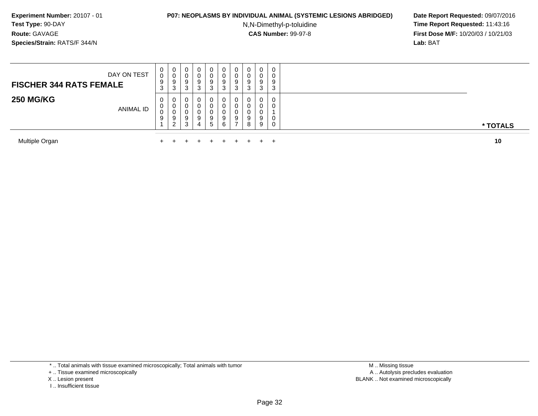#### **P07: NEOPLASMS BY INDIVIDUAL ANIMAL (SYSTEMIC LESIONS ABRIDGED) Date Report Requested:** 09/07/2016

N,N-Dimethyl-p-toluidine

 **Time Report Requested:** 11:43:16 **First Dose M/F:** 10/20/03 / 10/21/03<br>**Lab:** BAT **Lab:** BAT

| DAY ON TEST<br><b>FISCHER 344 RATS FEMALE</b> | U<br>0<br>9<br>3 | 0<br>U<br>9<br>3                | U<br>9<br>າ<br>J       | 0<br>0<br>9<br>3                 | 0<br>U<br>9<br>3       | 0<br>9<br>ت | ◡<br>9<br>ت | 0           | $\mathbf{0}$<br>0<br>9<br>3 | $\mathbf 0$<br>0<br>9<br>3 |          |
|-----------------------------------------------|------------------|---------------------------------|------------------------|----------------------------------|------------------------|-------------|-------------|-------------|-----------------------------|----------------------------|----------|
| <b>250 MG/KG</b><br><b>ANIMAL ID</b>          | 0<br>U<br>◡      | 0<br>0<br>U<br>9<br>$\sim$<br>∠ | U<br>U<br>9<br>≏<br>J. | $\mathbf{0}$<br>0<br>U<br>9<br>4 | 0<br>U<br>U<br>9<br>b. | υ<br>9<br>6 | ν           | 0<br>9<br>8 | 0<br>0<br>0<br>9<br>9       | 0<br>0<br>$\mathbf 0$<br>0 | * TOTALS |
| Multiple Organ                                | $\pm$            |                                 | ÷                      |                                  | $+$ $-$                | $+$         |             |             | $\pm$                       |                            | 10       |

Multiple Organn  $+$ 

\* .. Total animals with tissue examined microscopically; Total animals with tumor

+ .. Tissue examined microscopically

X .. Lesion present

I .. Insufficient tissue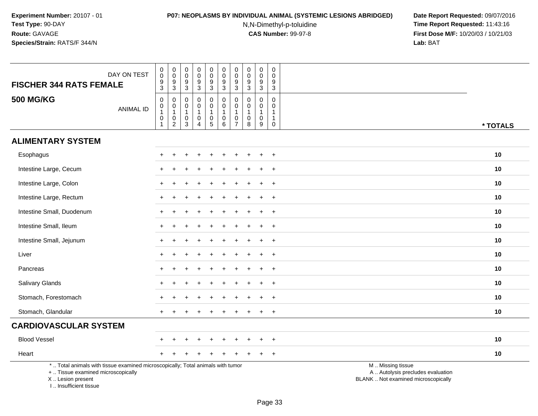### **P07: NEOPLASMS BY INDIVIDUAL ANIMAL (SYSTEMIC LESIONS ABRIDGED) Date Report Requested:** 09/07/2016

N,N-Dimethyl-p-toluidine

| DAY ON TEST<br><b>FISCHER 344 RATS FEMALE</b>                                                                                                                      | 0<br>$\pmb{0}$<br>$\frac{9}{3}$                                       | $\pmb{0}$<br>$\ddot{\mathbf{0}}$<br>$\frac{9}{3}$                      | $\pmb{0}$<br>$\pmb{0}$<br>9<br>$\mathbf{3}$                   | $_{\rm 0}^{\rm 0}$<br>$\frac{9}{3}$                                               | 0<br>$\pmb{0}$<br>$\frac{9}{3}$                         | $\mathbf 0$<br>$\overline{0}$<br>9<br>$\mathbf{3}$              | $\pmb{0}$<br>$\pmb{0}$<br>9<br>3                                 | $\pmb{0}$<br>$\mathbf 0$<br>$9\,$<br>$\overline{3}$ | $\pmb{0}$<br>$\ddot{\mathbf{0}}$<br>$\boldsymbol{9}$<br>3 | $\pmb{0}$<br>$\Omega$<br>9<br>3                                           |                                                                                               |  |
|--------------------------------------------------------------------------------------------------------------------------------------------------------------------|-----------------------------------------------------------------------|------------------------------------------------------------------------|---------------------------------------------------------------|-----------------------------------------------------------------------------------|---------------------------------------------------------|-----------------------------------------------------------------|------------------------------------------------------------------|-----------------------------------------------------|-----------------------------------------------------------|---------------------------------------------------------------------------|-----------------------------------------------------------------------------------------------|--|
| <b>500 MG/KG</b><br><b>ANIMAL ID</b>                                                                                                                               | $\pmb{0}$<br>$\pmb{0}$<br>$\mathbf{1}$<br>$\mathbf 0$<br>$\mathbf{1}$ | $\mathbf 0$<br>0<br>$\mathbf{1}$<br>$\boldsymbol{0}$<br>$\overline{2}$ | $\mathbf 0$<br>0<br>$\mathbf{1}$<br>$\pmb{0}$<br>$\mathbf{3}$ | $\pmb{0}$<br>$\mathbf 0$<br>$\mathbf{1}$<br>$\mathsf{O}\xspace$<br>$\overline{4}$ | 0<br>0<br>$\mathbf{1}$<br>$\mathbf 0$<br>$\overline{5}$ | $\pmb{0}$<br>$\pmb{0}$<br>$\mathbf{1}$<br>$\boldsymbol{0}$<br>6 | $\mathbf 0$<br>$\mathbf 0$<br>1<br>$\mathbf 0$<br>$\overline{7}$ | $\Omega$<br>0<br>$\mathbf{1}$<br>$\Omega$<br>8      | $\mathbf 0$<br>0<br>$\mathbf{1}$<br>$\pmb{0}$<br>$9\,$    | $\mathbf 0$<br>$\mathbf 0$<br>$\mathbf{1}$<br>$\mathbf{1}$<br>$\mathbf 0$ | * TOTALS                                                                                      |  |
| <b>ALIMENTARY SYSTEM</b>                                                                                                                                           |                                                                       |                                                                        |                                                               |                                                                                   |                                                         |                                                                 |                                                                  |                                                     |                                                           |                                                                           |                                                                                               |  |
| Esophagus                                                                                                                                                          |                                                                       | $\ddot{}$                                                              |                                                               |                                                                                   | ÷                                                       |                                                                 |                                                                  |                                                     | ÷                                                         | $+$                                                                       | 10                                                                                            |  |
| Intestine Large, Cecum                                                                                                                                             |                                                                       |                                                                        |                                                               |                                                                                   |                                                         |                                                                 |                                                                  |                                                     |                                                           | $\overline{1}$                                                            | 10                                                                                            |  |
| Intestine Large, Colon                                                                                                                                             |                                                                       |                                                                        |                                                               |                                                                                   |                                                         |                                                                 |                                                                  |                                                     | $\ddot{}$                                                 | $\ddot{}$                                                                 | 10                                                                                            |  |
| Intestine Large, Rectum                                                                                                                                            |                                                                       |                                                                        |                                                               |                                                                                   |                                                         |                                                                 |                                                                  |                                                     | $\ddot{}$                                                 | $+$                                                                       | 10                                                                                            |  |
| Intestine Small, Duodenum                                                                                                                                          |                                                                       |                                                                        |                                                               |                                                                                   |                                                         |                                                                 |                                                                  |                                                     |                                                           | $+$                                                                       | 10                                                                                            |  |
| Intestine Small, Ileum                                                                                                                                             |                                                                       |                                                                        |                                                               |                                                                                   |                                                         |                                                                 |                                                                  |                                                     |                                                           | $\ddot{}$                                                                 | 10                                                                                            |  |
| Intestine Small, Jejunum                                                                                                                                           |                                                                       |                                                                        |                                                               |                                                                                   |                                                         |                                                                 |                                                                  |                                                     | $\ddot{}$                                                 | $+$                                                                       | 10                                                                                            |  |
| Liver                                                                                                                                                              |                                                                       |                                                                        |                                                               |                                                                                   |                                                         |                                                                 |                                                                  |                                                     | ÷                                                         | $+$                                                                       | 10                                                                                            |  |
| Pancreas                                                                                                                                                           |                                                                       |                                                                        |                                                               |                                                                                   |                                                         |                                                                 |                                                                  |                                                     |                                                           | $\ddot{}$                                                                 | 10                                                                                            |  |
| <b>Salivary Glands</b>                                                                                                                                             |                                                                       |                                                                        |                                                               |                                                                                   |                                                         |                                                                 |                                                                  |                                                     | $\div$                                                    | $\ddot{}$                                                                 | 10                                                                                            |  |
| Stomach, Forestomach                                                                                                                                               |                                                                       |                                                                        |                                                               |                                                                                   |                                                         |                                                                 |                                                                  |                                                     |                                                           | $\overline{+}$                                                            | 10                                                                                            |  |
| Stomach, Glandular                                                                                                                                                 |                                                                       |                                                                        |                                                               |                                                                                   |                                                         |                                                                 |                                                                  |                                                     | $\ddot{}$                                                 | $+$                                                                       | 10                                                                                            |  |
| <b>CARDIOVASCULAR SYSTEM</b>                                                                                                                                       |                                                                       |                                                                        |                                                               |                                                                                   |                                                         |                                                                 |                                                                  |                                                     |                                                           |                                                                           |                                                                                               |  |
| <b>Blood Vessel</b>                                                                                                                                                |                                                                       |                                                                        |                                                               |                                                                                   |                                                         |                                                                 |                                                                  |                                                     |                                                           | $\overline{+}$                                                            | 10                                                                                            |  |
| Heart                                                                                                                                                              |                                                                       |                                                                        |                                                               |                                                                                   |                                                         |                                                                 |                                                                  |                                                     | ÷                                                         | $+$                                                                       | 10                                                                                            |  |
| *  Total animals with tissue examined microscopically; Total animals with tumor<br>+  Tissue examined microscopically<br>X Lesion present<br>I Insufficient tissue |                                                                       |                                                                        |                                                               |                                                                                   |                                                         |                                                                 |                                                                  |                                                     |                                                           |                                                                           | M  Missing tissue<br>A  Autolysis precludes evaluation<br>BLANK  Not examined microscopically |  |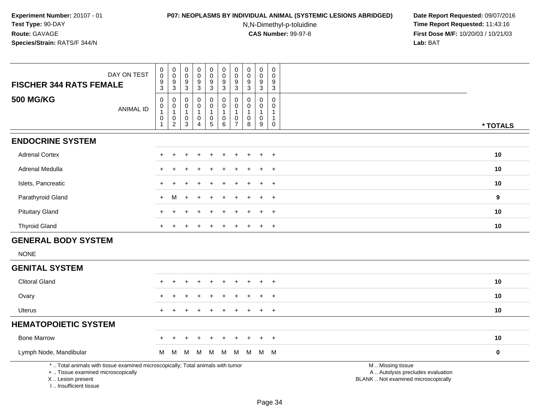I .. Insufficient tissue

# **P07: NEOPLASMS BY INDIVIDUAL ANIMAL (SYSTEMIC LESIONS ABRIDGED) Date Report Requested:** 09/07/2016

N,N-Dimethyl-p-toluidine

| DAY ON TEST<br><b>FISCHER 344 RATS FEMALE</b>                                                                                              | 0<br>$\pmb{0}$<br>$\frac{9}{3}$                     | $\begin{smallmatrix}0\0\0\end{smallmatrix}$<br>$\boldsymbol{9}$<br>3 | $\pmb{0}$<br>$\boldsymbol{0}$<br>9<br>$\mathbf{3}$          | $\mathbf 0$<br>$\mathbf 0$<br>9<br>3                    | $\pmb{0}$<br>$\pmb{0}$<br>$9\,$<br>3                                | $\pmb{0}$<br>$\mathsf 0$<br>9<br>3               | $\pmb{0}$<br>$\mathbf 0$<br>9<br>3                                      | $\pmb{0}$<br>$\pmb{0}$<br>9<br>3           | 0<br>$\mathbf 0$<br>9<br>3                           | $\,0\,$<br>$\Omega$<br>9<br>$\mathbf{3}$                       |                                                                                               |
|--------------------------------------------------------------------------------------------------------------------------------------------|-----------------------------------------------------|----------------------------------------------------------------------|-------------------------------------------------------------|---------------------------------------------------------|---------------------------------------------------------------------|--------------------------------------------------|-------------------------------------------------------------------------|--------------------------------------------|------------------------------------------------------|----------------------------------------------------------------|-----------------------------------------------------------------------------------------------|
| <b>500 MG/KG</b><br><b>ANIMAL ID</b>                                                                                                       | 0<br>$\pmb{0}$<br>$\mathbf{1}$<br>0<br>$\mathbf{1}$ | 0<br>$\mathbf 0$<br>$\mathbf{1}$<br>$\pmb{0}$<br>$\overline{2}$      | 0<br>$\pmb{0}$<br>$\mathbf{1}$<br>$\pmb{0}$<br>$\mathbf{3}$ | $\mathbf 0$<br>0<br>$\mathbf{1}$<br>0<br>$\overline{4}$ | $\mathbf 0$<br>$\pmb{0}$<br>$\mathbf{1}$<br>$\pmb{0}$<br>$\sqrt{5}$ | 0<br>$\pmb{0}$<br>$\mathbf{1}$<br>$\pmb{0}$<br>6 | $\mathbf 0$<br>$\pmb{0}$<br>$\mathbf{1}$<br>$\pmb{0}$<br>$\overline{7}$ | 0<br>0<br>$\mathbf{1}$<br>$\mathbf 0$<br>8 | $\mathbf 0$<br>0<br>$\mathbf{1}$<br>$\mathbf 0$<br>9 | 0<br>$\mathbf 0$<br>$\mathbf{1}$<br>$\mathbf 1$<br>$\mathbf 0$ | * TOTALS                                                                                      |
| <b>ENDOCRINE SYSTEM</b>                                                                                                                    |                                                     |                                                                      |                                                             |                                                         |                                                                     |                                                  |                                                                         |                                            |                                                      |                                                                |                                                                                               |
| <b>Adrenal Cortex</b>                                                                                                                      |                                                     |                                                                      |                                                             |                                                         |                                                                     |                                                  |                                                                         |                                            |                                                      | $\overline{+}$                                                 | 10                                                                                            |
| Adrenal Medulla                                                                                                                            | $\div$                                              |                                                                      |                                                             |                                                         |                                                                     |                                                  |                                                                         |                                            |                                                      | $\overline{+}$                                                 | 10                                                                                            |
| Islets, Pancreatic                                                                                                                         |                                                     |                                                                      |                                                             |                                                         |                                                                     |                                                  |                                                                         |                                            |                                                      | $\overline{+}$                                                 | 10                                                                                            |
| Parathyroid Gland                                                                                                                          | $\ddot{}$                                           | м                                                                    |                                                             |                                                         |                                                                     |                                                  |                                                                         |                                            |                                                      | $\overline{+}$                                                 | 9                                                                                             |
| <b>Pituitary Gland</b>                                                                                                                     |                                                     |                                                                      |                                                             |                                                         |                                                                     |                                                  |                                                                         |                                            | $\pm$                                                | $\overline{+}$                                                 | 10                                                                                            |
| <b>Thyroid Gland</b>                                                                                                                       |                                                     |                                                                      |                                                             |                                                         |                                                                     |                                                  |                                                                         |                                            |                                                      | $\overline{+}$                                                 | 10                                                                                            |
| <b>GENERAL BODY SYSTEM</b>                                                                                                                 |                                                     |                                                                      |                                                             |                                                         |                                                                     |                                                  |                                                                         |                                            |                                                      |                                                                |                                                                                               |
| <b>NONE</b>                                                                                                                                |                                                     |                                                                      |                                                             |                                                         |                                                                     |                                                  |                                                                         |                                            |                                                      |                                                                |                                                                                               |
| <b>GENITAL SYSTEM</b>                                                                                                                      |                                                     |                                                                      |                                                             |                                                         |                                                                     |                                                  |                                                                         |                                            |                                                      |                                                                |                                                                                               |
| <b>Clitoral Gland</b>                                                                                                                      |                                                     |                                                                      |                                                             |                                                         |                                                                     |                                                  |                                                                         |                                            |                                                      | $\ddot{}$                                                      | 10                                                                                            |
| Ovary                                                                                                                                      |                                                     |                                                                      |                                                             |                                                         |                                                                     |                                                  |                                                                         |                                            |                                                      | $\overline{+}$                                                 | 10                                                                                            |
| <b>Uterus</b>                                                                                                                              |                                                     |                                                                      |                                                             |                                                         |                                                                     |                                                  |                                                                         |                                            | $\pm$                                                | $+$                                                            | 10                                                                                            |
| <b>HEMATOPOIETIC SYSTEM</b>                                                                                                                |                                                     |                                                                      |                                                             |                                                         |                                                                     |                                                  |                                                                         |                                            |                                                      |                                                                |                                                                                               |
| <b>Bone Marrow</b>                                                                                                                         |                                                     |                                                                      |                                                             |                                                         |                                                                     |                                                  |                                                                         |                                            | $+$                                                  | $^{+}$                                                         | 10                                                                                            |
| Lymph Node, Mandibular                                                                                                                     | M                                                   | M                                                                    | M                                                           | M                                                       | M                                                                   | M                                                | M                                                                       | M                                          |                                                      | M M                                                            | 0                                                                                             |
| *  Total animals with tissue examined microscopically; Total animals with tumor<br>+  Tissue examined microscopically<br>X  Lesion present |                                                     |                                                                      |                                                             |                                                         |                                                                     |                                                  |                                                                         |                                            |                                                      |                                                                | M  Missing tissue<br>A  Autolysis precludes evaluation<br>BLANK  Not examined microscopically |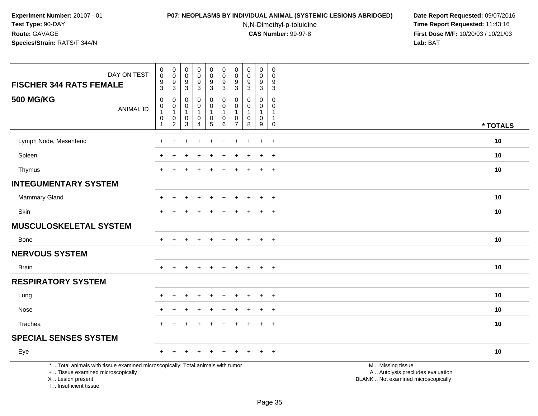#### **P07: NEOPLASMS BY INDIVIDUAL ANIMAL (SYSTEMIC LESIONS ABRIDGED) Date Report Requested:** 09/07/2016

N,N-Dimethyl-p-toluidine

| DAY ON TEST<br><b>FISCHER 344 RATS FEMALE</b>                                                                                                                       | $\pmb{0}$<br>$\overline{0}$<br>$\frac{9}{3}$          | $\begin{smallmatrix} 0\\0 \end{smallmatrix}$<br>$^9_3$                                  | $\mathbf 0$<br>$\ddot{\mathbf{0}}$<br>$\boldsymbol{9}$<br>$\overline{3}$ | $\mathbf 0$<br>$\ddot{\mathbf{0}}$<br>$\boldsymbol{9}$<br>$\overline{3}$ | $\mathbf 0$<br>$\ddot{\mathbf{0}}$<br>$\boldsymbol{9}$<br>$\overline{3}$  | $\pmb{0}$<br>$\overline{0}$<br>$\frac{9}{3}$                     | $\mathbf 0$<br>$\ddot{\mathbf{0}}$<br>$\frac{9}{3}$                           | $\mathbf 0$<br>$\pmb{0}$<br>$\boldsymbol{9}$<br>$\mathbf{3}$ | $\pmb{0}$<br>$\mathbf 0$<br>9<br>$\overline{3}$ | $\pmb{0}$<br>$\mathbf 0$<br>9<br>$\overline{3}$                           |                                                                                               |          |
|---------------------------------------------------------------------------------------------------------------------------------------------------------------------|-------------------------------------------------------|-----------------------------------------------------------------------------------------|--------------------------------------------------------------------------|--------------------------------------------------------------------------|---------------------------------------------------------------------------|------------------------------------------------------------------|-------------------------------------------------------------------------------|--------------------------------------------------------------|-------------------------------------------------|---------------------------------------------------------------------------|-----------------------------------------------------------------------------------------------|----------|
| <b>500 MG/KG</b><br><b>ANIMAL ID</b>                                                                                                                                | $\pmb{0}$<br>$\pmb{0}$<br>$\mathbf{1}$<br>$\mathbf 0$ | $\mathbf 0$<br>$\begin{array}{c} 0 \\ 1 \end{array}$<br>$\mathbf 0$<br>$\boldsymbol{2}$ | $\mathbf 0$<br>$\pmb{0}$<br>$\overline{1}$<br>$\mathbf 0$<br>3           | $\mathbf 0$<br>$\pmb{0}$<br>$\mathbf{1}$<br>$\mathbf 0$<br>4             | $\mathbf 0$<br>$\pmb{0}$<br>$\mathbf{1}$<br>$\mathbf 0$<br>$\overline{5}$ | $\mathbf 0$<br>$\pmb{0}$<br>$\mathbf{1}$<br>$\pmb{0}$<br>$\,6\,$ | $\mathbf 0$<br>$\mathbf 0$<br>$\overline{1}$<br>$\mathbf 0$<br>$\overline{7}$ | $\mathbf{0}$<br>0<br>$\mathbf{1}$<br>$\mathbf 0$<br>8        | 0<br>0<br>$\mathbf{1}$<br>$\mathbf 0$<br>9      | $\mathbf 0$<br>$\mathbf 0$<br>$\mathbf{1}$<br>$\mathbf{1}$<br>$\mathbf 0$ |                                                                                               | * TOTALS |
| Lymph Node, Mesenteric                                                                                                                                              |                                                       |                                                                                         |                                                                          |                                                                          |                                                                           |                                                                  |                                                                               |                                                              | $\ddot{}$                                       | $\overline{+}$                                                            |                                                                                               | 10       |
| Spleen                                                                                                                                                              |                                                       |                                                                                         |                                                                          |                                                                          |                                                                           |                                                                  |                                                                               |                                                              | ÷                                               | $\overline{+}$                                                            |                                                                                               | 10       |
| Thymus                                                                                                                                                              | $+$                                                   |                                                                                         |                                                                          |                                                                          |                                                                           |                                                                  |                                                                               |                                                              | $\ddot{}$                                       | $\overline{+}$                                                            |                                                                                               | 10       |
| <b>INTEGUMENTARY SYSTEM</b>                                                                                                                                         |                                                       |                                                                                         |                                                                          |                                                                          |                                                                           |                                                                  |                                                                               |                                                              |                                                 |                                                                           |                                                                                               |          |
| <b>Mammary Gland</b>                                                                                                                                                | $\ddot{}$                                             | $\ddot{}$                                                                               | $\ddot{}$                                                                | $\ddot{}$                                                                | $\ddot{}$                                                                 | $\ddot{}$                                                        | $\ddot{}$                                                                     | $\ddot{}$                                                    | $\ddot{}$                                       | $+$                                                                       |                                                                                               | 10       |
| Skin                                                                                                                                                                | $\ddot{}$                                             |                                                                                         |                                                                          |                                                                          |                                                                           |                                                                  |                                                                               |                                                              | $\ddot{}$                                       | $^{+}$                                                                    |                                                                                               | 10       |
| <b>MUSCULOSKELETAL SYSTEM</b>                                                                                                                                       |                                                       |                                                                                         |                                                                          |                                                                          |                                                                           |                                                                  |                                                                               |                                                              |                                                 |                                                                           |                                                                                               |          |
| Bone                                                                                                                                                                | $\pm$                                                 | $\div$                                                                                  |                                                                          | $\div$                                                                   | ÷                                                                         | $\ddot{}$                                                        |                                                                               |                                                              | $\pm$                                           | $+$                                                                       |                                                                                               | 10       |
| <b>NERVOUS SYSTEM</b>                                                                                                                                               |                                                       |                                                                                         |                                                                          |                                                                          |                                                                           |                                                                  |                                                                               |                                                              |                                                 |                                                                           |                                                                                               |          |
| <b>Brain</b>                                                                                                                                                        | $\pm$                                                 | $+$                                                                                     | ÷                                                                        | $\ddot{}$                                                                | $\ddot{}$                                                                 | $\ddot{}$                                                        | $\pm$                                                                         | $\overline{+}$                                               | $+$                                             | $+$                                                                       |                                                                                               | 10       |
| <b>RESPIRATORY SYSTEM</b>                                                                                                                                           |                                                       |                                                                                         |                                                                          |                                                                          |                                                                           |                                                                  |                                                                               |                                                              |                                                 |                                                                           |                                                                                               |          |
| Lung                                                                                                                                                                |                                                       |                                                                                         |                                                                          |                                                                          |                                                                           |                                                                  |                                                                               |                                                              |                                                 | $\ddot{}$                                                                 |                                                                                               | 10       |
| Nose                                                                                                                                                                | $\pm$                                                 |                                                                                         |                                                                          |                                                                          |                                                                           |                                                                  |                                                                               |                                                              | $\ddot{}$                                       | $+$                                                                       |                                                                                               | 10       |
| Trachea                                                                                                                                                             | $+$                                                   | $\div$                                                                                  |                                                                          |                                                                          |                                                                           | $\div$                                                           | +                                                                             |                                                              | $\ddot{}$                                       | $+$                                                                       |                                                                                               | 10       |
| <b>SPECIAL SENSES SYSTEM</b>                                                                                                                                        |                                                       |                                                                                         |                                                                          |                                                                          |                                                                           |                                                                  |                                                                               |                                                              |                                                 |                                                                           |                                                                                               |          |
| Eye                                                                                                                                                                 | $\pm$                                                 |                                                                                         |                                                                          |                                                                          |                                                                           |                                                                  |                                                                               |                                                              |                                                 | $\overline{+}$                                                            |                                                                                               | 10       |
| *  Total animals with tissue examined microscopically; Total animals with tumor<br>+  Tissue examined microscopically<br>X  Lesion present<br>I Insufficient tissue |                                                       |                                                                                         |                                                                          |                                                                          |                                                                           |                                                                  |                                                                               |                                                              |                                                 |                                                                           | M  Missing tissue<br>A  Autolysis precludes evaluation<br>BLANK  Not examined microscopically |          |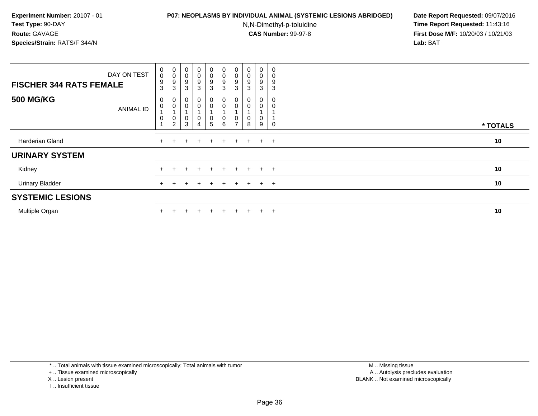### **P07: NEOPLASMS BY INDIVIDUAL ANIMAL (SYSTEMIC LESIONS ABRIDGED) Date Report Requested:** 09/07/2016

N,N-Dimethyl-p-toluidine

 **Time Report Requested:** 11:43:16 **First Dose M/F:** 10/20/03 / 10/21/03<br>**Lab:** BAT **Lab:** BAT

| DAY ON TEST<br><b>FISCHER 344 RATS FEMALE</b> | $\begin{smallmatrix} 0\\0 \end{smallmatrix}$<br>$\boldsymbol{9}$<br>$\mathbf{3}$ | $_{\rm 0}^{\rm 0}$<br>9<br>3      | $_{\rm 0}^{\rm 0}$<br>9<br>3 | $_0^0$<br>$\frac{9}{3}$           | $\begin{array}{c} 0 \\ 0 \\ 9 \\ 3 \end{array}$             | $\begin{matrix} 0 \\ 0 \\ 9 \\ 3 \end{matrix}$                                        | $\begin{smallmatrix} 0\\0 \end{smallmatrix}$<br>9<br>3 | $\begin{smallmatrix}0\\0\end{smallmatrix}$<br>9<br>3 | $\mathbf 0$<br>0<br>9<br>3 | 0<br>0<br>9<br>3 |          |
|-----------------------------------------------|----------------------------------------------------------------------------------|-----------------------------------|------------------------------|-----------------------------------|-------------------------------------------------------------|---------------------------------------------------------------------------------------|--------------------------------------------------------|------------------------------------------------------|----------------------------|------------------|----------|
| <b>500 MG/KG</b><br><b>ANIMAL ID</b>          | 0<br>$\pmb{0}$<br>$\pmb{0}$                                                      | $_{0}^{0}$<br>0<br>$\overline{c}$ | 0<br>$\mathbf 0$<br>0<br>3   | $_{0}^{0}$<br>0<br>$\overline{4}$ | $_{\rm 0}^{\rm 0}$<br>$\begin{array}{c} 0 \\ 5 \end{array}$ | $\begin{smallmatrix} 0\\0 \end{smallmatrix}$<br>$\begin{array}{c} 0 \\ 6 \end{array}$ | 0<br>$\overline{\phantom{0}}$                          | 0<br>8                                               | 0<br>9                     |                  | * TOTALS |
| Harderian Gland                               |                                                                                  |                                   |                              |                                   | $+$                                                         | $+$                                                                                   |                                                        | $+$ $+$                                              | $+$ $+$                    |                  | 10       |
| <b>URINARY SYSTEM</b>                         |                                                                                  |                                   |                              |                                   |                                                             |                                                                                       |                                                        |                                                      |                            |                  |          |
| Kidney                                        |                                                                                  |                                   |                              |                                   | $+$                                                         |                                                                                       | $\ddot{}$                                              | $+$                                                  | $+$                        | $+$              | 10       |
| <b>Urinary Bladder</b>                        | $\pm$                                                                            |                                   |                              |                                   | $+$                                                         | $+$                                                                                   | $+$                                                    | $+$                                                  | $+$                        | $+$              | 10       |
| <b>SYSTEMIC LESIONS</b>                       |                                                                                  |                                   |                              |                                   |                                                             |                                                                                       |                                                        |                                                      |                            |                  |          |
| Multiple Organ                                |                                                                                  |                                   |                              |                                   | ÷.                                                          |                                                                                       |                                                        |                                                      | $\ddot{}$                  | $+$              | 10       |

\* .. Total animals with tissue examined microscopically; Total animals with tumor

+ .. Tissue examined microscopically

- X .. Lesion present
- I .. Insufficient tissue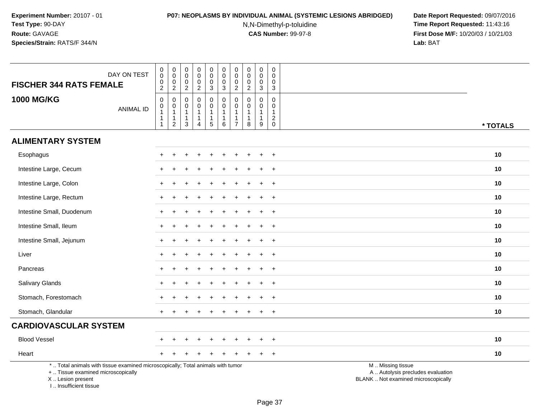# **P07: NEOPLASMS BY INDIVIDUAL ANIMAL (SYSTEMIC LESIONS ABRIDGED) Date Report Requested:** 09/07/2016

N,N-Dimethyl-p-toluidine

| DAY ON TEST<br><b>FISCHER 344 RATS FEMALE</b>                                                                                                                        | 0<br>$\mathbf 0$<br>0<br>$\overline{a}$                        | $\begin{smallmatrix}0\0\0\end{smallmatrix}$<br>$\pmb{0}$<br>$\overline{2}$   | $_{\rm 0}^{\rm 0}$<br>$\boldsymbol{0}$<br>$\overline{2}$        | $_{\rm 0}^{\rm 0}$<br>$\pmb{0}$<br>$\overline{2}$                          | $\pmb{0}$<br>$\overline{0}$<br>$\mathbf 0$<br>3                                   | $\pmb{0}$<br>$\overline{0}$<br>$\mathbf 0$<br>$\mathbf{3}$    | 0<br>$\mathbf 0$<br>0<br>$\overline{c}$ | $\mathsf 0$<br>$\mathbf 0$<br>0<br>$\overline{2}$           | $_{\rm 0}^{\rm 0}$<br>$\pmb{0}$<br>$\mathbf{3}$             | $\mathsf 0$<br>$\Omega$<br>$\mathbf 0$<br>3                              |                                                                                               |  |
|----------------------------------------------------------------------------------------------------------------------------------------------------------------------|----------------------------------------------------------------|------------------------------------------------------------------------------|-----------------------------------------------------------------|----------------------------------------------------------------------------|-----------------------------------------------------------------------------------|---------------------------------------------------------------|-----------------------------------------|-------------------------------------------------------------|-------------------------------------------------------------|--------------------------------------------------------------------------|-----------------------------------------------------------------------------------------------|--|
| <b>1000 MG/KG</b><br><b>ANIMAL ID</b>                                                                                                                                | 0<br>$\pmb{0}$<br>$\mathbf{1}$<br>$\mathbf{1}$<br>$\mathbf{1}$ | $\mathbf 0$<br>$\mathbf 0$<br>$\mathbf{1}$<br>$\mathbf{1}$<br>$\overline{2}$ | $\mathbf 0$<br>$\mathbf 0$<br>$\mathbf{1}$<br>$\mathbf{1}$<br>3 | $\pmb{0}$<br>$\mathbf 0$<br>$\mathbf{1}$<br>$\mathbf{1}$<br>$\overline{4}$ | $\overline{0}$<br>$\pmb{0}$<br>$\overline{1}$<br>$\overline{1}$<br>$\overline{5}$ | $\pmb{0}$<br>$\mathbf 0$<br>$\mathbf{1}$<br>$\mathbf{1}$<br>6 | 0<br>$\Omega$<br>1<br>$\overline{7}$    | $\Omega$<br>$\Omega$<br>$\overline{1}$<br>$\mathbf{1}$<br>8 | $\pmb{0}$<br>$\pmb{0}$<br>$\mathbf{1}$<br>$\mathbf{1}$<br>9 | $\mathbf 0$<br>$\Omega$<br>$\mathbf{1}$<br>$\overline{c}$<br>$\mathbf 0$ | * TOTALS                                                                                      |  |
| <b>ALIMENTARY SYSTEM</b>                                                                                                                                             |                                                                |                                                                              |                                                                 |                                                                            |                                                                                   |                                                               |                                         |                                                             |                                                             |                                                                          |                                                                                               |  |
| Esophagus                                                                                                                                                            |                                                                | $\ddot{}$                                                                    |                                                                 |                                                                            | $\div$                                                                            |                                                               |                                         |                                                             | $\ddot{}$                                                   | $+$                                                                      | 10                                                                                            |  |
| Intestine Large, Cecum                                                                                                                                               |                                                                |                                                                              |                                                                 |                                                                            |                                                                                   |                                                               |                                         |                                                             |                                                             | $\ddot{}$                                                                | 10                                                                                            |  |
| Intestine Large, Colon                                                                                                                                               |                                                                |                                                                              |                                                                 |                                                                            |                                                                                   |                                                               |                                         |                                                             |                                                             | $\div$                                                                   | 10                                                                                            |  |
| Intestine Large, Rectum                                                                                                                                              |                                                                |                                                                              |                                                                 |                                                                            |                                                                                   |                                                               |                                         |                                                             | $\ddot{}$                                                   | $+$                                                                      | 10                                                                                            |  |
| Intestine Small, Duodenum                                                                                                                                            |                                                                |                                                                              |                                                                 |                                                                            |                                                                                   |                                                               |                                         |                                                             |                                                             | $\ddot{}$                                                                | 10                                                                                            |  |
| Intestine Small, Ileum                                                                                                                                               |                                                                |                                                                              |                                                                 |                                                                            |                                                                                   |                                                               |                                         |                                                             |                                                             | $\div$                                                                   | 10                                                                                            |  |
| Intestine Small, Jejunum                                                                                                                                             |                                                                |                                                                              |                                                                 |                                                                            |                                                                                   |                                                               |                                         |                                                             | $\ddot{}$                                                   | $+$                                                                      | 10                                                                                            |  |
| Liver                                                                                                                                                                |                                                                |                                                                              |                                                                 |                                                                            |                                                                                   |                                                               |                                         |                                                             | $\div$                                                      | $\ddot{}$                                                                | 10                                                                                            |  |
| Pancreas                                                                                                                                                             |                                                                |                                                                              |                                                                 |                                                                            |                                                                                   |                                                               |                                         |                                                             |                                                             | $\ddot{}$                                                                | 10                                                                                            |  |
| <b>Salivary Glands</b>                                                                                                                                               |                                                                |                                                                              |                                                                 |                                                                            |                                                                                   |                                                               |                                         |                                                             |                                                             | $\div$                                                                   | 10                                                                                            |  |
| Stomach, Forestomach                                                                                                                                                 |                                                                |                                                                              |                                                                 |                                                                            |                                                                                   |                                                               |                                         |                                                             |                                                             | $\ddot{}$                                                                | 10                                                                                            |  |
| Stomach, Glandular                                                                                                                                                   |                                                                |                                                                              |                                                                 |                                                                            |                                                                                   |                                                               |                                         |                                                             | $\div$                                                      | $+$                                                                      | 10                                                                                            |  |
| <b>CARDIOVASCULAR SYSTEM</b>                                                                                                                                         |                                                                |                                                                              |                                                                 |                                                                            |                                                                                   |                                                               |                                         |                                                             |                                                             |                                                                          |                                                                                               |  |
| <b>Blood Vessel</b>                                                                                                                                                  |                                                                |                                                                              |                                                                 |                                                                            |                                                                                   |                                                               |                                         |                                                             |                                                             | $\overline{1}$                                                           | 10                                                                                            |  |
| Heart                                                                                                                                                                |                                                                |                                                                              |                                                                 |                                                                            |                                                                                   |                                                               |                                         |                                                             |                                                             | $\overline{+}$                                                           | 10                                                                                            |  |
| *  Total animals with tissue examined microscopically; Total animals with tumor<br>+  Tissue examined microscopically<br>X Lesion present<br>L., Insufficient tissue |                                                                |                                                                              |                                                                 |                                                                            |                                                                                   |                                                               |                                         |                                                             |                                                             |                                                                          | M  Missing tissue<br>A  Autolysis precludes evaluation<br>BLANK  Not examined microscopically |  |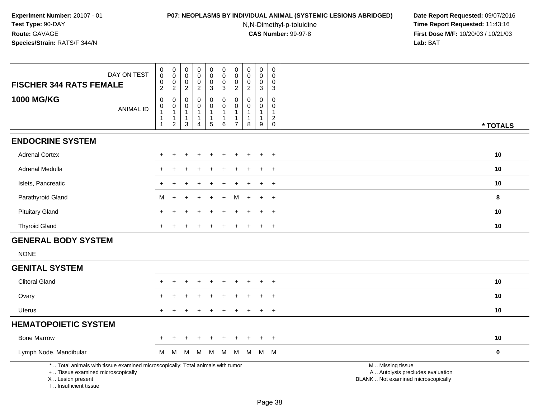I .. Insufficient tissue

## **P07: NEOPLASMS BY INDIVIDUAL ANIMAL (SYSTEMIC LESIONS ABRIDGED) Date Report Requested:** 09/07/2016

N,N-Dimethyl-p-toluidine

| DAY ON TEST<br><b>FISCHER 344 RATS FEMALE</b>                                                                                              | 0<br>0<br>0<br>$\overline{c}$ | 0<br>$\pmb{0}$<br>$\frac{0}{2}$                            | $\pmb{0}$<br>$\mathbf 0$<br>$\mathbf 0$<br>$\overline{2}$                | 0<br>$\Omega$<br>0<br>$\overline{2}$                 | $\mathsf 0$<br>$\mathsf{O}\xspace$<br>$\mathbf 0$<br>3                 | 0<br>$\pmb{0}$<br>$\mathbf 0$<br>3 | $\pmb{0}$<br>$\mathbf 0$<br>$\mathbf 0$<br>$\overline{2}$                    | 0<br>$\mathbf 0$<br>0<br>$\overline{2}$ | $\mathbf 0$<br>$\mathbf 0$<br>0<br>3                  | $\pmb{0}$<br>$\Omega$<br>$\Omega$<br>3                            |                                                                                               |          |
|--------------------------------------------------------------------------------------------------------------------------------------------|-------------------------------|------------------------------------------------------------|--------------------------------------------------------------------------|------------------------------------------------------|------------------------------------------------------------------------|------------------------------------|------------------------------------------------------------------------------|-----------------------------------------|-------------------------------------------------------|-------------------------------------------------------------------|-----------------------------------------------------------------------------------------------|----------|
| <b>1000 MG/KG</b><br><b>ANIMAL ID</b>                                                                                                      | 0<br>0<br>1<br>1              | 0<br>$\overline{0}$<br>1<br>$\mathbf{1}$<br>$\overline{2}$ | $\mathbf 0$<br>$\pmb{0}$<br>$\mathbf{1}$<br>$\mathbf{1}$<br>$\mathbf{3}$ | $\Omega$<br>0<br>$\mathbf 1$<br>-1<br>$\overline{4}$ | $\mathbf 0$<br>$\pmb{0}$<br>$\mathbf{1}$<br>$\mathbf{1}$<br>$\sqrt{5}$ | 0<br>0<br>$\overline{1}$<br>1<br>6 | $\mathbf 0$<br>$\pmb{0}$<br>$\overline{1}$<br>$\mathbf{1}$<br>$\overline{7}$ | $\Omega$<br>0<br>1<br>8                 | 0<br>$\mathbf 0$<br>$\mathbf{1}$<br>$\mathbf{1}$<br>9 | $\mathbf 0$<br>0<br>$\mathbf{1}$<br>$\overline{c}$<br>$\mathbf 0$ |                                                                                               | * TOTALS |
| <b>ENDOCRINE SYSTEM</b>                                                                                                                    |                               |                                                            |                                                                          |                                                      |                                                                        |                                    |                                                                              |                                         |                                                       |                                                                   |                                                                                               |          |
| <b>Adrenal Cortex</b>                                                                                                                      |                               |                                                            |                                                                          |                                                      |                                                                        |                                    |                                                                              |                                         |                                                       | $\ddot{}$                                                         |                                                                                               | 10       |
| Adrenal Medulla                                                                                                                            | $\pm$                         |                                                            |                                                                          |                                                      |                                                                        |                                    |                                                                              |                                         |                                                       | $^{+}$                                                            |                                                                                               | 10       |
| Islets, Pancreatic                                                                                                                         | ÷                             |                                                            |                                                                          |                                                      |                                                                        |                                    |                                                                              |                                         |                                                       | $+$                                                               |                                                                                               | 10       |
| Parathyroid Gland                                                                                                                          | м                             | $\pm$                                                      | $\div$                                                                   |                                                      |                                                                        | $+$                                | M                                                                            |                                         |                                                       | $+$                                                               |                                                                                               | 8        |
| <b>Pituitary Gland</b>                                                                                                                     | $\pm$                         |                                                            |                                                                          |                                                      |                                                                        |                                    |                                                                              |                                         |                                                       | $\overline{+}$                                                    |                                                                                               | 10       |
| <b>Thyroid Gland</b>                                                                                                                       |                               |                                                            |                                                                          |                                                      |                                                                        |                                    |                                                                              |                                         |                                                       | $+$                                                               |                                                                                               | 10       |
| <b>GENERAL BODY SYSTEM</b>                                                                                                                 |                               |                                                            |                                                                          |                                                      |                                                                        |                                    |                                                                              |                                         |                                                       |                                                                   |                                                                                               |          |
| <b>NONE</b>                                                                                                                                |                               |                                                            |                                                                          |                                                      |                                                                        |                                    |                                                                              |                                         |                                                       |                                                                   |                                                                                               |          |
| <b>GENITAL SYSTEM</b>                                                                                                                      |                               |                                                            |                                                                          |                                                      |                                                                        |                                    |                                                                              |                                         |                                                       |                                                                   |                                                                                               |          |
| <b>Clitoral Gland</b>                                                                                                                      |                               |                                                            |                                                                          |                                                      |                                                                        |                                    |                                                                              |                                         |                                                       | $\ddot{}$                                                         |                                                                                               | 10       |
| Ovary                                                                                                                                      |                               |                                                            |                                                                          |                                                      |                                                                        |                                    |                                                                              |                                         |                                                       | $+$                                                               |                                                                                               | 10       |
| Uterus                                                                                                                                     |                               |                                                            |                                                                          |                                                      |                                                                        |                                    |                                                                              |                                         |                                                       | $+$                                                               |                                                                                               | 10       |
| <b>HEMATOPOIETIC SYSTEM</b>                                                                                                                |                               |                                                            |                                                                          |                                                      |                                                                        |                                    |                                                                              |                                         |                                                       |                                                                   |                                                                                               |          |
| <b>Bone Marrow</b>                                                                                                                         |                               |                                                            | ÷.                                                                       |                                                      |                                                                        |                                    |                                                                              |                                         |                                                       | $+$                                                               |                                                                                               | 10       |
| Lymph Node, Mandibular                                                                                                                     | M                             | M                                                          | M                                                                        | M                                                    | M                                                                      | M                                  | M                                                                            | M                                       |                                                       | M M                                                               |                                                                                               | 0        |
| *  Total animals with tissue examined microscopically; Total animals with tumor<br>+  Tissue examined microscopically<br>X  Lesion present |                               |                                                            |                                                                          |                                                      |                                                                        |                                    |                                                                              |                                         |                                                       |                                                                   | M  Missing tissue<br>A  Autolysis precludes evaluation<br>BLANK  Not examined microscopically |          |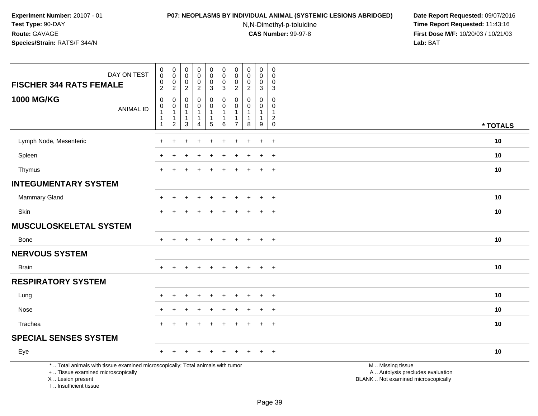# **P07: NEOPLASMS BY INDIVIDUAL ANIMAL (SYSTEMIC LESIONS ABRIDGED) Date Report Requested:** 09/07/2016

N,N-Dimethyl-p-toluidine

| DAY ON TEST<br><b>FISCHER 344 RATS FEMALE</b>                                                                                                                       | $\mathbf 0$<br>$\overline{0}$<br>$\pmb{0}$<br>$\overline{2}$ | $_{\rm 0}^{\rm 0}$<br>$\pmb{0}$<br>$\sqrt{2}$                        | $\boldsymbol{0}$<br>$\mathbf 0$<br>$\mathbf 0$<br>2          | $\mathbf 0$<br>$\ddot{\mathbf{0}}$<br>$\mathbf 0$<br>$\overline{c}$ | $\mathsf 0$<br>$\ddot{\mathbf{0}}$<br>$\mathbf 0$<br>$\mathbf{3}$                      | $\pmb{0}$<br>$\ddot{\mathbf{0}}$<br>$\pmb{0}$<br>3 | $\pmb{0}$<br>$\mathbf 0$<br>$\mathbf 0$<br>$\overline{2}$             | $\mathbf 0$<br>$\mathbf 0$<br>$\mathbf 0$<br>$\overline{2}$ | $\pmb{0}$<br>$\mathbf 0$<br>$\mathbf 0$<br>3 | $\mathsf{O}\xspace$<br>$\mathbf 0$<br>0<br>$\mathbf{3}$                     |                                                                                               |          |
|---------------------------------------------------------------------------------------------------------------------------------------------------------------------|--------------------------------------------------------------|----------------------------------------------------------------------|--------------------------------------------------------------|---------------------------------------------------------------------|----------------------------------------------------------------------------------------|----------------------------------------------------|-----------------------------------------------------------------------|-------------------------------------------------------------|----------------------------------------------|-----------------------------------------------------------------------------|-----------------------------------------------------------------------------------------------|----------|
| <b>1000 MG/KG</b><br><b>ANIMAL ID</b>                                                                                                                               | $\mathsf 0$<br>$\pmb{0}$<br>1<br>-1<br>$\overline{1}$        | 0<br>$\mathbf 0$<br>$\mathbf{1}$<br>$\mathbf{1}$<br>$\boldsymbol{2}$ | $\Omega$<br>$\mathbf 0$<br>$\mathbf{1}$<br>$\mathbf{1}$<br>3 | $\mathbf 0$<br>$\mathbf 0$<br>$\mathbf{1}$<br>1<br>4                | $\mathbf 0$<br>$\mathsf{O}\xspace$<br>$\overline{1}$<br>$\mathbf{1}$<br>$\overline{5}$ | $\mathbf 0$<br>$\pmb{0}$<br>1<br>1<br>$\,6\,$      | $\mathbf{0}$<br>0<br>$\overline{1}$<br>$\mathbf{1}$<br>$\overline{7}$ | $\Omega$<br>0<br>$\mathbf{1}$<br>$\mathbf{1}$<br>8          | $\mathbf 0$<br>0<br>$\mathbf{1}$<br>1<br>9   | $\mathbf 0$<br>$\mathbf 0$<br>$\mathbf{1}$<br>$\overline{c}$<br>$\mathbf 0$ |                                                                                               | * TOTALS |
| Lymph Node, Mesenteric                                                                                                                                              |                                                              |                                                                      |                                                              |                                                                     |                                                                                        |                                                    |                                                                       |                                                             | $\ddot{}$                                    | $\overline{+}$                                                              |                                                                                               | 10       |
| Spleen                                                                                                                                                              |                                                              |                                                                      |                                                              |                                                                     |                                                                                        |                                                    |                                                                       |                                                             |                                              | $\ddot{}$                                                                   |                                                                                               | 10       |
| Thymus                                                                                                                                                              |                                                              |                                                                      |                                                              |                                                                     |                                                                                        |                                                    |                                                                       |                                                             | $\ddot{}$                                    | $\overline{+}$                                                              |                                                                                               | 10       |
| <b>INTEGUMENTARY SYSTEM</b>                                                                                                                                         |                                                              |                                                                      |                                                              |                                                                     |                                                                                        |                                                    |                                                                       |                                                             |                                              |                                                                             |                                                                                               |          |
| <b>Mammary Gland</b>                                                                                                                                                | $\div$                                                       | $+$                                                                  | $\ddot{}$                                                    | $\ddot{}$                                                           | $\ddot{}$                                                                              | $\div$                                             | $\pm$                                                                 | ÷                                                           | $\ddot{}$                                    | $+$                                                                         |                                                                                               | 10       |
| Skin                                                                                                                                                                |                                                              |                                                                      |                                                              |                                                                     |                                                                                        |                                                    |                                                                       |                                                             |                                              | $\overline{+}$                                                              |                                                                                               | 10       |
| <b>MUSCULOSKELETAL SYSTEM</b>                                                                                                                                       |                                                              |                                                                      |                                                              |                                                                     |                                                                                        |                                                    |                                                                       |                                                             |                                              |                                                                             |                                                                                               |          |
| <b>Bone</b>                                                                                                                                                         | $+$                                                          |                                                                      |                                                              | $\ddot{}$                                                           | $\pm$                                                                                  | $\ddot{}$                                          |                                                                       | $\div$                                                      | $+$                                          | $+$                                                                         |                                                                                               | 10       |
| <b>NERVOUS SYSTEM</b>                                                                                                                                               |                                                              |                                                                      |                                                              |                                                                     |                                                                                        |                                                    |                                                                       |                                                             |                                              |                                                                             |                                                                                               |          |
| <b>Brain</b>                                                                                                                                                        |                                                              |                                                                      |                                                              | $\div$                                                              | $\div$                                                                                 | $\overline{+}$                                     | $+$                                                                   | $\ddot{}$                                                   | $+$                                          | $+$                                                                         |                                                                                               | 10       |
| <b>RESPIRATORY SYSTEM</b>                                                                                                                                           |                                                              |                                                                      |                                                              |                                                                     |                                                                                        |                                                    |                                                                       |                                                             |                                              |                                                                             |                                                                                               |          |
| Lung                                                                                                                                                                |                                                              |                                                                      |                                                              |                                                                     |                                                                                        |                                                    |                                                                       |                                                             |                                              | $\ddot{}$                                                                   |                                                                                               | 10       |
| Nose                                                                                                                                                                |                                                              |                                                                      |                                                              |                                                                     |                                                                                        |                                                    |                                                                       |                                                             | $\ddot{}$                                    | $+$                                                                         |                                                                                               | 10       |
| Trachea                                                                                                                                                             | $\ddot{}$                                                    |                                                                      |                                                              |                                                                     |                                                                                        | $\div$                                             | +                                                                     |                                                             | $\ddot{}$                                    | $+$                                                                         |                                                                                               | 10       |
| <b>SPECIAL SENSES SYSTEM</b>                                                                                                                                        |                                                              |                                                                      |                                                              |                                                                     |                                                                                        |                                                    |                                                                       |                                                             |                                              |                                                                             |                                                                                               |          |
| Eye                                                                                                                                                                 |                                                              |                                                                      |                                                              |                                                                     |                                                                                        |                                                    |                                                                       |                                                             |                                              | $\overline{+}$                                                              |                                                                                               | 10       |
| *  Total animals with tissue examined microscopically; Total animals with tumor<br>+  Tissue examined microscopically<br>X  Lesion present<br>I Insufficient tissue |                                                              |                                                                      |                                                              |                                                                     |                                                                                        |                                                    |                                                                       |                                                             |                                              |                                                                             | M  Missing tissue<br>A  Autolysis precludes evaluation<br>BLANK  Not examined microscopically |          |